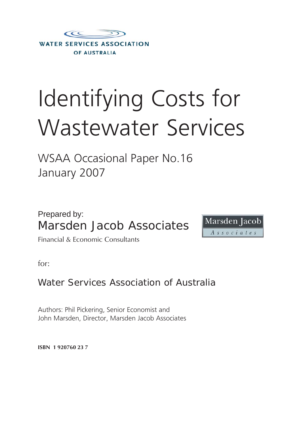

# Identifying Costs for Wastewater Services

WSAA Occasional Paper No.16 January 2007

Prepared by: Marsden Jacob Associates



Financial & Economic Consultants

for:

Water Services Association of Australia

Authors: Phil Pickering, Senior Economist and John Marsden, Director, Marsden Jacob Associates

**ISBN 1 920760 23 7**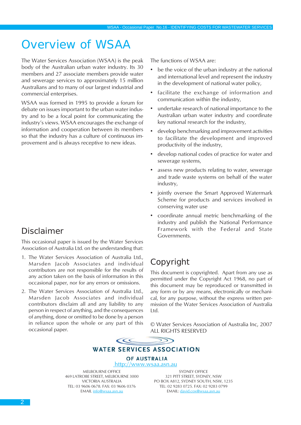# Overview of WSAA

The Water Services Association (WSAA) is the peak body of the Australian urban water industry. Its 30 members and 27 associate members provide water and sewerage services to approximately 15 million Australians and to many of our largest industrial and commercial enterprises.

WSAA was formed in 1995 to provide a forum for debate on issues important to the urban water industry and to be a focal point for communicating the industry's views. WSAA encourages the exchange of information and cooperation between its members so that the industry has a culture of continuous improvement and is always receptive to new ideas.

# Disclaimer

This occasional paper is issued by the Water Services Association of Australia Ltd. on the understanding that:

- 1. The Water Services Association of Australia Ltd., Marsden Jacob Associates and individual contributors are not responsible for the results of any action taken on the basis of information in this occasional paper, nor for any errors or omissions.
- 2. The Water Services Association of Australia Ltd., Marsden Jacob Associates and individual contributors disclaim all and any liability to any person in respect of anything, and the consequences of anything, done or omitted to be done by a person in reliance upon the whole or any part of this occasional paper.

The functions of WSAA are:

- be the voice of the urban industry at the national and international level and represent the industry in the development of national water policy,
- facilitate the exchange of information and communication within the industry,
- undertake research of national importance to the Australian urban water industry and coordinate key national research for the industry,
- develop benchmarking and improvement activities to facilitate the development and improved productivity of the industry,
- develop national codes of practice for water and sewerage systems,
- assess new products relating to water, sewerage and trade waste systems on behalf of the water industry,
- jointly oversee the Smart Approved Watermark Scheme for products and services involved in conserving water use
- coordinate annual metric benchmarking of the industry and publish the National Performance Framework with the Federal and State Governments.

# Copyright

This document is copyrighted. Apart from any use as permitted under the Copyright Act 1968, no part of this document may be reproduced or transmitted in any form or by any means, electronically or mechanical, for any purpose, without the express written permission of the Water Services Association of Australia Ltd.

© Water Services Association of Australia Inc, 2007 ALL RIGHTS RESERVED



#### **WATER SERVICES ASSOCIATION**

OF AUSTRALIA http://www.wsaa.asn.au

MELBOURNE OFFICE 469 LATROBE STREET, MELBOURNE 3000 VICTORIA AUSTRALIA TEL: 03 9606 0678. FAX: 03 9606 0376 EMAIL info@wsaa.asn.au

SYDNEY OFFICE 321 PITT STREET, SYDNEY, NSW PO BOX A812, SYDNEY SOUTH, NSW, 1235 TEL: 02 9283 0725. FAX: 02 9283 0799 EMAIL: david.cox@wsaa.asn.au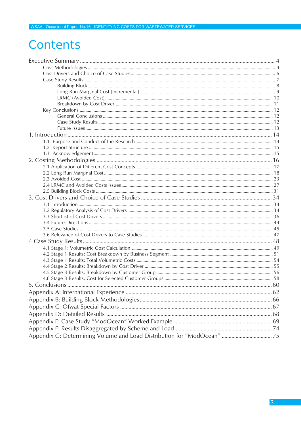# Contents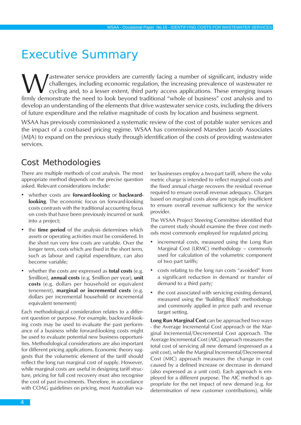# <span id="page-3-0"></span>Executive Summary

Wastewater service providers are currently facing a number of significant, industry wide<br>cycling conomic regulation, the increasing prevalence of wastewater re<br>firmly demonstrate the need to look beyond traditional "whole challenges, including economic regulation, the increasing prevalence of wastewater re cycling and, to a lesser extent, third party access applications. These emerging issues firmly demonstrate the need to look beyond traditional "whole of business" cost analysis and to develop an understanding of the elements that drive wastewater service costs, including the drivers of future expenditure and the relative magnitude of costs by location and business segment.

WSAA has previously commissioned a systematic review of the cost of potable water services and the impact of a cost-based pricing regime. WSAA has commissioned Marsden Jacob Associates (MJA) to expand on the previous study through identification of the costs of providing wastewater services.

# Cost Methodologies

There are multiple methods of cost analysis. The most appropriate method depends on the precise question asked. Relevant considerations include:

- whether costs are **forward-looking** or **backwardlooking**. The economic focus on forward-looking costs contrasts with the traditional accounting focus on costs that have been previously incurred or sunk into a project;
- the **time period** of the analysis determines which assets or operating activities must be considered. In the short run very few costs are variable. Over the longer term, costs which are fixed in the short term, such as labour and capital expenditure, can also become variable;
- whether the costs are expressed as **total costs** (e.g. \$million), **annual costs** (e.g. \$million per year), **unit costs** (e.g. dollars per household or equivalent tenement), **marginal or incremental costs** (e.g. dollars per incremental household or incremental equivalent tenement)

Each methodological consideration relates to a different question or purpose. For example, backward-looking costs may be used to evaluate the past performance of a business while forward-looking costs might be used to evaluate potential new business opportunities. Methodological considerations are also important for different pricing applications. Economic theory suggests that the volumetric element of the tariff should reflect the long run marginal cost of supply. However, while marginal costs are useful in designing tariff structure, pricing for full cost recovery must also recognise the cost of past investments. Therefore, in accordance with COAG guidelines on pricing, most Australian water businesses employ a two-part tariff, where the volumetric charge is intended to reflect marginal costs and the fixed annual charge recovers the residual revenue required to ensure overall revenue adequacy. Charges based on marginal costs alone are typically insufficient to ensure overall revenue sufficiency for the service provider.

The WSAA Project Steering Committee identified that the current study should examine the three cost methods most commonly employed for regulated pricing

- incremental costs, measured using the Long Run Marginal Cost (LRMC) methodology – commonly used for calculation of the volumetric component of two part tariffs;
- costs relating to the long run costs "avoided" from a significant reduction in demand or transfer of demand to a third party;
- the cost associated with servicing existing demand, measured using the 'Building Block' methodology and commonly applied in price path and revenue target setting.

**Long Run Marginal Cost** can be approached two ways - the Average Incremental Cost approach or the Marginal Incremental/Decremental Cost approach. The Average Incremental Cost (AIC) approach measures the total cost of servicing all new demand (expressed as a unit cost), while the Marginal Incremental/Decremental Cost (MIC) approach measures the change in cost caused by a defined increase or decrease in demand (also expressed as a unit cost). Each approach is employed for a different purpose. The AIC method is appropriate for the net impact of new demand (e.g. for determination of new customer contributions), while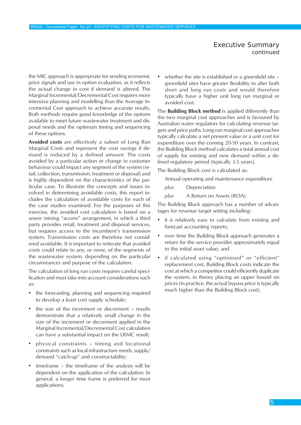the MIC approach is appropriate for sending economic price signals and use in option evaluation, as it reflects the actual change in cost if demand is altered. The Marginal Incremental/Decremental Cost requires more intensive planning and modelling than the Average Incremental Cost approach to achieve accurate results. Both methods require good knowledge of the options available to meet future wastewater treatment and disposal needs and the optimum timing and sequencing of these options.

**Avoided costs** are effectively a subset of Long Run Marginal Costs and represent the cost savings if demand is reduced by a defined amount. The costs avoided by a particular action or change in customer behaviour could impact any segment of the system (retail, collection, transmission, treatment or disposal) and is highly dependent on the characteristics of the particular case. To illustrate the concepts and issues involved in determining avoidable costs, this report includes the calculation of avoidable costs for each of the case studies examined. For the purposes of this exercise, the avoided cost calculation is based on a sewer mining "access" arrangement, in which a third party provides retail, treatment and disposal services, but requires access to the incumbent's transmission system. Transmission costs are therefore not considered avoidable. It is important to reiterate that avoided costs could relate to any, or none, of the segments of the wastewater system, depending on the particular circumstances and purpose of the calculation.

The calculation of long run costs requires careful specification and must take into account considerations such as:

- the forecasting, planning and sequencing required to develop a least cost supply schedule;
- the size of the increment or decrement results demonstrate that a relatively small change in the size of the increment or decrement applied in the Marginal Incremental/Decremental Cost calculation can have a substantial impact on the LRMC result;
- physical constraints timing and locational constraints such as local infrastructure needs, supply/ demand "catch-up" and constructability;
- timeframe the timeframe of the analysis will be dependent on the application of the calculation. In general, a longer time frame is preferred for most applications;

• whether the site is established or a greenfield site – greenfield sites have greater flexibility to alter both short and long run costs and would therefore typically have a higher unit long run marginal or avoided cost.

The **Building Block method** is applied differently than the two marginal cost approaches and is favoured by Australian water regulators for calculating revenue targets and price paths. Long run marginal cost approaches typically calculate a net present value or a unit cost for expenditure over the coming 20-50 years. In contrast, the Building Block method calculates a total annual cost of supply for existing and new demand within a defined regulatory period (typically 3-5 years).

The Building Block cost is calculated as:

Annual operating and maintenance expenditure

- *plus* Depreciation
- *plus* A Return on Assets (ROA).

The Building Block approach has a number of advantages for revenue target setting including:

- it is relatively easy to calculate from existing and forecast accounting reports;
- over time the Building Block approach generates a return for the service provider approximately equal to the initial asset value; and
- if calculated using "optimised" or "efficient" replacement cost, Building Block costs indicate the cost at which a competitor could efficiently duplicate the system, in theory placing an upper bound on prices (in practice, the actual bypass price is typically much higher than the Building Block cost).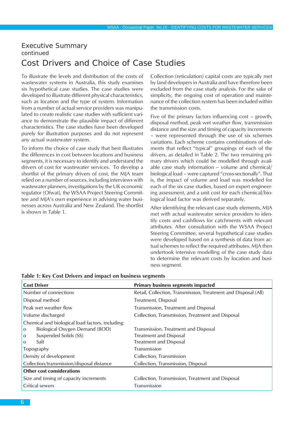# <span id="page-5-0"></span>Cost Drivers and Choice of Case Studies

To illustrate the levels and distribution of the costs of wastewater systems in Australia, this study examines six hypothetical case studies. The case studies were developed to illustrate different physical characteristics, such as location and the type of system. Information from a number of actual service providers was manipulated to create realistic case studies with sufficient variance to demonstrate the plausible impact of different characteristics. The case studies have been developed purely for illustration purposes and do not represent any actual wastewater system.

To inform the choice of case study that best illustrates the differences in cost between locations and business segments, it is necessary to identify and understand the drivers of cost for wastewater services. To develop a shortlist of the primary drivers of cost, the MJA team relied on a number of sources, including interviews with wastewater planners, investigations by the UK economic regulator (Ofwat), the WSAA Project Steering Committee and MJA's own experience in advising water businesses across Australia and New Zealand. The shortlist is shown in Table 1.

Collection (reticulation) capital costs are typically met by land developers in Australia and have therefore been excluded from the case study analysis. For the sake of simplicity, the ongoing cost of operation and maintenance of the collection system has been included within the transmission costs.

Five of the primary factors influencing cost – growth, disposal method, peak wet weather flow, transmission distance and the size and timing of capacity increments – were represented through the use of six schemes variations. Each scheme contains combinations of elements that reflect "typical" groupings of each of the drivers, as detailed in Table 2. The two remaining primary drivers which could be modelled through available case study information – volume and chemical/ biological load – were captured "cross-sectionally". That is, the impact of volume and load was modelled for each of the six case studies, based on expert engineering assessment, and a unit cost for each chemical/biological load factor was derived separately.

After identifying the relevant case study elements, MJA met with actual wastewater service providers to identify costs and cashflows for catchments with relevant attributes. After consultation with the WSAA Project Steering Committee, several hypothetical case studies were developed based on a synthesis of data from actual schemes to reflect the required attributes. MJA then undertook intensive modelling of the case study data to determine the relevant costs by location and business segment.

| <b>Cost Driver</b>                               | <b>Primary business segments impacted</b>                      |
|--------------------------------------------------|----------------------------------------------------------------|
| Number of connections                            | Retail, Collection, Transmission, Treatment and Disposal (All) |
| Disposal method                                  | Treatment, Disposal                                            |
| Peak wet weather flow                            | Transmission, Treatment and Disposal                           |
| Volume discharged                                | Collection, Transmission, Treatment and Disposal               |
| Chemical and biological load factors, including: |                                                                |
| Biological Oxygen Demand (BOD)<br>$\circ$        | Transmission, Treatment and Disposal                           |
| Suspended Solids (SS)<br>$\circ$                 | Treatment and Disposal                                         |
| Salt<br>O                                        | <b>Treatment and Disposal</b>                                  |
| Topography                                       | Transmission                                                   |
| Density of development                           | Collection, Transmission                                       |
| Collection/transmission/disposal distance        | Collection, Transmission, Disposal                             |
| <b>Other cost considerations</b>                 |                                                                |
| Size and timing of capacity increments           | Collection, Transmission, Treatment and Disposal               |
| Critical sewers                                  | Transmission                                                   |

#### **Table 1: Key Cost Drivers and impact on business segments**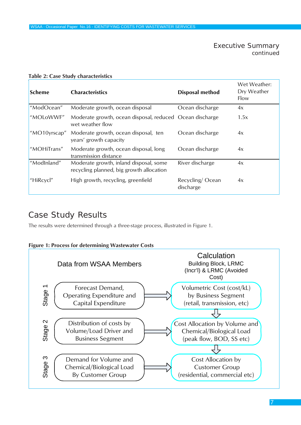| <b>Scheme</b> | <b>Characteristics</b>                                                             | Disposal method              | Wet Weather:<br>Dry Weather<br>Flow |
|---------------|------------------------------------------------------------------------------------|------------------------------|-------------------------------------|
| "ModOcean"    | Moderate growth, ocean disposal                                                    | Ocean discharge              | 4x                                  |
| "MOLoWWF"     | Moderate growth, ocean disposal, reduced Ocean discharge<br>wet weather flow       |                              | 1.5x                                |
| "MO10yrscap"  | Moderate growth, ocean disposal, ten<br>years' growth capacity                     | Ocean discharge              | 4x                                  |
| "MOHiTrans"   | Moderate growth, ocean disposal, long<br>transmission distance                     | Ocean discharge              | 4x                                  |
| "ModInland"   | Moderate growth, inland disposal, some<br>recycling planned, big growth allocation | River discharge              | 4x                                  |
| "HiRcycl"     | High growth, recycling, greenfield                                                 | Recycling/Ocean<br>discharge | 4x                                  |

#### <span id="page-6-0"></span>**Table 2: Case Study characteristics**

# Case Study Results

The results were determined through a three-stage process, illustrated in Figure 1.



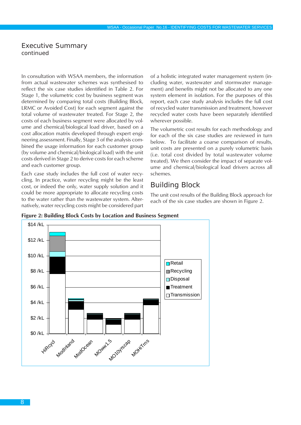<span id="page-7-0"></span>In consultation with WSAA members, the information from actual wastewater schemes was synthesised to reflect the six case studies identified in Table 2. For Stage 1, the volumetric cost by business segment was determined by comparing total costs (Building Block, LRMC or Avoided Cost) for each segment against the total volume of wastewater treated. For Stage 2, the costs of each business segment were allocated by volume and chemical/biological load driver, based on a cost allocation matrix developed through expert engineering assessment. Finally, Stage 3 of the analysis combined the usage information for each customer group (by volume and chemical/biological load) with the unit costs derived in Stage 2 to derive costs for each scheme and each customer group.

Each case study includes the full cost of water recycling. In practice, water recycling might be the least cost, or indeed the only, water supply solution and it could be more appropriate to allocate recycling costs to the water rather than the wastewater system. Alternatively, water recycling costs might be considered part of a holistic integrated water management system (including water, wastewater and stormwater management) and benefits might not be allocated to any one system element in isolation. For the purposes of this report, each case study analysis includes the full cost of recycled water transmission and treatment, however recycled water costs have been separately identified wherever possible.

The volumetric cost results for each methodology and for each of the six case studies are reviewed in turn below. To facilitate a coarse comparison of results, unit costs are presented on a purely volumetric basis (i.e. total cost divided by total wastewater volume treated). We then consider the impact of separate volume and chemical/biological load drivers across all schemes.

### Building Block

The unit cost results of the Building Block approach for each of the six case studies are shown in Figure 2.



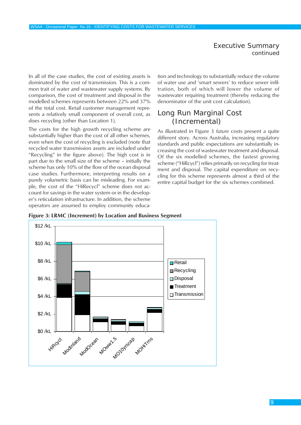<span id="page-8-0"></span>In all of the case studies, the cost of existing assets is dominated by the cost of transmission. This is a common trait of water and wastewater supply systems. By comparison, the cost of treatment and disposal in the modelled schemes represents between 22% and 37% of the total cost. Retail customer management represents a relatively small component of overall cost, as does recycling (other than Location 1).

The costs for the high growth recycling scheme are substantially higher than the cost of all other schemes, even when the cost of recycling is excluded (note that recycled water transmission assets are included under "Recycling" in the figure above). The high cost is in part due to the small size of the scheme – initially the scheme has only 10% of the flow of the ocean disposal case studies. Furthermore, interpreting results on a purely volumetric basis can be misleading. For example, the cost of the "HiRecycl" scheme does *not* account for savings in the water system or in the developer's reticulation infrastructure. In addition, the scheme operators are assumed to employ community education and technology to substantially reduce the volume of water use and 'smart sewers' to reduce sewer infiltration, both of which will lower the volume of wastewater requiring treatment (thereby reducing the denominator of the unit cost calculation).

### Long Run Marginal Cost (Incremental)

As illustrated in Figure 3 *future* costs present a quite different story. Across Australia, increasing regulatory standards and public expectations are substantially increasing the cost of wastewater treatment and disposal. Of the six modelled schemes, the fastest growing scheme ("HiRcycl") relies primarily on recycling for treatment and disposal. The capital expenditure on recycling for this scheme represents almost a third of the entire capital budget for the six schemes combined.



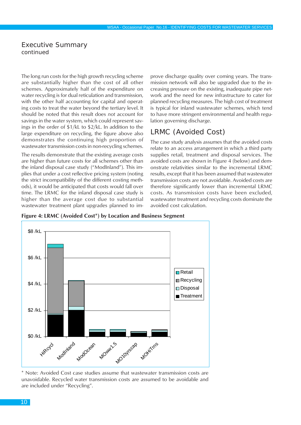<span id="page-9-0"></span>The long run costs for the high growth recycling scheme are substantially higher than the cost of all other schemes. Approximately half of the expenditure on water recycling is for dual reticulation and transmission, with the other half accounting for capital and operating costs to treat the water beyond the tertiary level. It should be noted that this result does *not* account for savings in the water system, which could represent savings in the order of \$1/kL to \$2/kL. In addition to the large expenditure on recycling, the figure above also demonstrates the continuing high proportion of wastewater transmission costs in non-recycling schemes.

The results demonstrate that the existing average costs are higher than future costs for all schemes other than the inland disposal case study ("ModInland"). This implies that under a cost reflective pricing system (noting the strict incompatibility of the different costing methods), it would be anticipated that costs would fall over time. The LRMC for the inland disposal case study is higher than the average cost due to substantial wastewater treatment plant upgrades planned to improve discharge quality over coming years. The transmission network will also be upgraded due to the increasing pressure on the existing, inadequate pipe network and the need for new infrastructure to cater for planned recycling measures. The high cost of treatment is typical for inland wastewater schemes, which tend to have more stringent environmental and health regulation governing discharge.

# LRMC (Avoided Cost)

The case study analysis assumes that the avoided costs relate to an access arrangement in which a third party supplies retail, treatment and disposal services. The avoided costs are shown in Figure 4 (below) and demonstrate relativities similar to the incremental LRMC results, except that it has been assumed that wastewater transmission costs are not avoidable. Avoided costs are therefore significantly lower than incremental LRMC costs. As transmission costs have been excluded, wastewater treatment and recycling costs dominate the avoided cost calculation.

**Figure 4: LRMC (Avoided Cost\*) by Location and Business Segment**



\* Note: Avoided Cost case studies assume that wastewater transmission costs are unavoidable. Recycled water transmission costs are assumed to be avoidable and are included under "Recycling".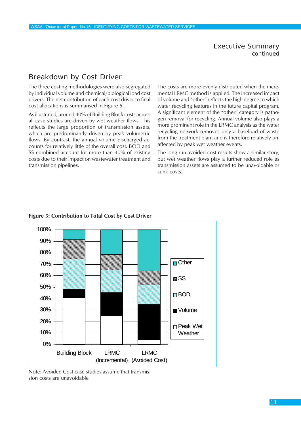# <span id="page-10-0"></span>Breakdown by Cost Driver

The three costing methodologies were also segregated by individual volume and chemical/biological load cost drivers. The net contribution of each cost driver to final cost allocations is summarised in Figure 5.

As illustrated, around 40% of Building Block costs across all case studies are driven by wet weather flows. This reflects the large proportion of transmission assets, which are predominantly driven by peak volumetric flows. By contrast, the annual volume discharged accounts for relatively little of the overall cost. BOD and SS combined account for more than 40% of existing costs due to their impact on wastewater treatment and transmission pipelines.

The costs are more evenly distributed when the incremental LRMC method is applied. The increased impact of volume and "other" reflects the high degree to which water recycling features in the future capital program. A significant element of the "other" category is pathogen removal for recycling. Annual volume also plays a more prominent role in the LRMC analysis as the water recycling network removes only a baseload of waste from the treatment plant and is therefore relatively unaffected by peak wet weather events.

The long run avoided cost results show a similar story, but wet weather flows play a further reduced role as transmission assets are assumed to be unavoidable or sunk costs.



#### **Figure 5: Contribution to Total Cost by Cost Driver**

Note: Avoided Cost case studies assume that transmission costs are unavoidable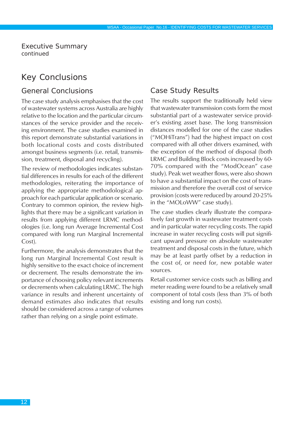# <span id="page-11-0"></span>Key Conclusions

### General Conclusions

The case study analysis emphasises that the cost of wastewater systems across Australia are highly relative to the location and the particular circumstances of the service provider and the receiving environment. The case studies examined in this report demonstrate substantial variations in both locational costs and costs distributed amongst business segments (i.e. retail, transmission, treatment, disposal and recycling).

The review of methodologies indicates substantial differences in results for each of the different methodologies, reiterating the importance of applying the appropriate methodological approach for each particular application or scenario. Contrary to common opinion, the review highlights that there may be a significant variation in results from applying different LRMC methodologies (i.e. long run Average Incremental Cost compared with long run Marginal Incremental Cost).

Furthermore, the analysis demonstrates that the long run Marginal Incremental Cost result is highly sensitive to the exact choice of increment or decrement. The results demonstrate the importance of choosing policy relevant increments or decrements when calculating LRMC. The high variance in results and inherent uncertainty of demand estimates also indicates that results should be considered across a range of volumes rather than relying on a single point estimate.

# Case Study Results

The results support the traditionally held view that wastewater transmission costs form the most substantial part of a wastewater service provider's existing asset base. The long transmission distances modelled for one of the case studies ("MOHiTrans") had the highest impact on cost compared with all other drivers examined, with the exception of the method of disposal (both LRMC and Building Block costs increased by 60- 70% compared with the "ModOcean" case study). Peak wet weather flows, were also shown to have a substantial impact on the cost of transmission and therefore the overall cost of service provision (costs were reduced by around 20-25% in the "MOLoWW" case study).

The case studies clearly illustrate the comparatively fast growth in wastewater treatment costs and in particular water recycling costs. The rapid increase in water recycling costs will put significant upward pressure on absolute wastewater treatment and disposal costs in the future, which may be at least partly offset by a reduction in the cost of, or need for, new potable water sources.

Retail customer service costs such as billing and meter reading were found to be a relatively small component of total costs (less than 3% of both existing and long run costs).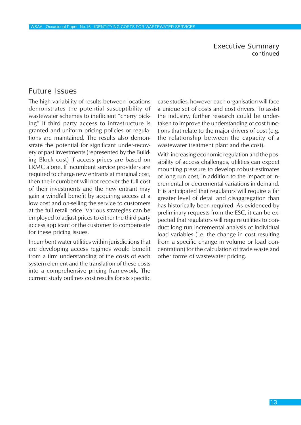# <span id="page-12-0"></span>Future Issues

The high variability of results between locations demonstrates the potential susceptibility of wastewater schemes to inefficient "cherry picking" if third party access to infrastructure is granted and uniform pricing policies or regulations are maintained. The results also demonstrate the potential for significant under-recovery of past investments (represented by the Building Block cost) if access prices are based on LRMC alone. If incumbent service providers are required to charge new entrants at marginal cost, then the incumbent will not recover the full cost of their investments and the new entrant may gain a windfall benefit by acquiring access at a low cost and on-selling the service to customers at the full retail price. Various strategies can be employed to adjust prices to either the third party access applicant or the customer to compensate for these pricing issues.

Incumbent water utilities within jurisdictions that are developing access regimes would benefit from a firm understanding of the costs of each system element and the translation of these costs into a comprehensive pricing framework. The current study outlines cost results for six specific case studies, however each organisation will face a unique set of costs and cost drivers. To assist the industry, further research could be undertaken to improve the understanding of cost functions that relate to the major drivers of cost (e.g. the relationship between the capacity of a wastewater treatment plant and the cost).

With increasing economic regulation and the possibility of access challenges, utilities can expect mounting pressure to develop robust estimates of long run cost, in addition to the impact of incremental or decremental variations in demand. It is anticipated that regulators will require a far greater level of detail and disaggregation than has historically been required. As evidenced by preliminary requests from the ESC, it can be expected that regulators will require utilities to conduct long run incremental analysis of individual load variables (i.e. the change in cost resulting from a specific change in volume or load concentration) for the calculation of trade waste and other forms of wastewater pricing.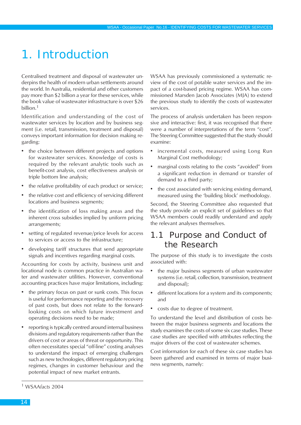# <span id="page-13-0"></span>1. Introduction

Centralised treatment and disposal of wastewater underpins the health of modern urban settlements around the world. In Australia, residential and other customers pay more than \$2 billion a year for these services, while the book value of wastewater infrastructure is over \$26 billion.<sup>1</sup>

Identification and understanding of the cost of wastewater services by location and by business segment (i.e. retail, transmission, treatment and disposal) conveys important information for decision making regarding:

- the choice between different projects and options for wastewater services. Knowledge of costs is required by the relevant analytic tools such as benefit-cost analysis, cost effectiveness analysis or triple bottom line analysis;
- the relative profitability of each product or service;
- the relative cost and efficiency of servicing different locations and business segments;
- the identification of loss making areas and the inherent cross subsidies implied by uniform pricing arrangements;
- setting of regulated revenue/price levels for access to services or access to the infrastructure;
- developing tariff structures that send appropriate signals and incentives regarding marginal costs.

Accounting for costs by activity, business unit and locational node is common practice in Australian water and wastewater utilities. However, conventional accounting practices have major limitations, including:

- the primary focus on past or sunk costs. This focus is useful for performance reporting and the recovery of past costs, but does not relate to the forwardlooking costs on which future investment and operating decisions need to be made;
- reporting is typically centred around internal business divisions and regulatory requirements rather than the drivers of cost or areas of threat or opportunity. This often necessitates special "off-line" costing analyses to understand the impact of emerging challenges such as new technologies, different regulatory pricing regimes, changes in customer behaviour and the potential impact of new market entrants.

WSAA has previously commissioned a systematic review of the cost of potable water services and the impact of a cost-based pricing regime. WSAA has commissioned Marsden Jacob Associates (MJA) to extend the previous study to identify the costs of wastewater services.

The process of analysis undertaken has been responsive and interactive: first, it was recognised that there were a number of interpretations of the term "cost". The Steering Committee suggested that the study should examine:

- incremental costs, measured using Long Run Marginal Cost methodology;
- marginal costs relating to the costs "avoided" from a significant reduction in demand or transfer of demand to a third party;
- the cost associated with servicing existing demand, measured using the 'building block' methodology.

Second, the Steering Committee also requested that the study provide an explicit set of guidelines so that WSAA members could readily understand and apply the relevant analyses themselves.

# 1.1 Purpose and Conduct of the Research

The purpose of this study is to investigate the costs associated with:

- the major business segments of urban wastewater systems (i.e. retail, collection, transmission, treatment and disposal);
- different locations for a system and its components; and
- costs due to degree of treatment.

To understand the level and distribution of costs between the major business segments and locations the study examines the costs of some six case studies. These case studies are specified with attributes reflecting the major drivers of the cost of wastewater schemes.

Cost information for each of these six case studies has been gathered and examined in terms of major business segments, namely:

<sup>1</sup> WSAA*facts* 2004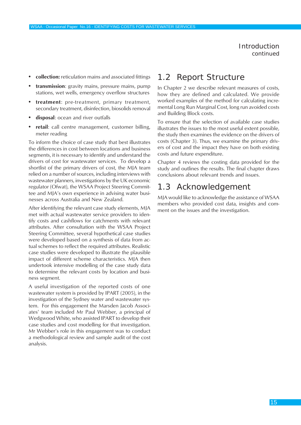Introduction *continued*

- <span id="page-14-0"></span>**• collection:** reticulation mains and associated fittings
- **• transmission**: gravity mains, pressure mains, pump stations, wet wells, emergency overflow structures
- **• treatment**: pre-treatment, primary treatment, secondary treatment, disinfection, biosolids removal
- **• disposal**: ocean and river outfalls
- **• retail**: call centre management, customer billing, meter reading

To inform the choice of case study that best illustrates the differences in cost between locations and business segments, it is necessary to identify and understand the drivers of cost for wastewater services. To develop a shortlist of the primary drivers of cost, the MJA team relied on a number of sources, including interviews with wastewater planners, investigations by the UK economic regulator (Ofwat), the WSAA Project Steering Committee and MJA's own experience in advising water businesses across Australia and New Zealand.

After identifying the relevant case study elements, MJA met with actual wastewater service providers to identify costs and cashflows for catchments with relevant attributes. After consultation with the WSAA Project Steering Committee, several hypothetical case studies were developed based on a synthesis of data from actual schemes to reflect the required attributes. Realistic case studies were developed to illustrate the plausible impact of different scheme characteristics. MJA then undertook intensive modelling of the case study data to determine the relevant costs by location and business segment.

A useful investigation of the reported costs of one wastewater system is provided by IPART (2005), in the investigation of the Sydney water and wastewater system. For this engagement the Marsden Jacob Associates' team included Mr Paul Webber, a principal of Wedgwood White, who assisted IPART to develop their case studies and cost modelling for that investigation. Mr Webber's role in this engagement was to conduct a methodological review and sample audit of the cost analysis.

# 1.2 Report Structure

In Chapter 2 we describe relevant measures of costs, how they are defined and calculated. We provide worked examples of the method for calculating incremental Long Run Marginal Cost, long run avoided costs and Building Block costs.

To ensure that the selection of available case studies illustrates the issues to the most useful extent possible, the study then examines the evidence on the drivers of costs (Chapter 3). Thus, we examine the primary drivers of cost and the impact they have on both existing costs and future expenditure.

Chapter 4 reviews the costing data provided for the study and outlines the results. The final chapter draws conclusions about relevant trends and issues.

# 1.3 Acknowledgement

MJA would like to acknowledge the assistance of WSAA members who provided cost data, insights and comment on the issues and the investigation.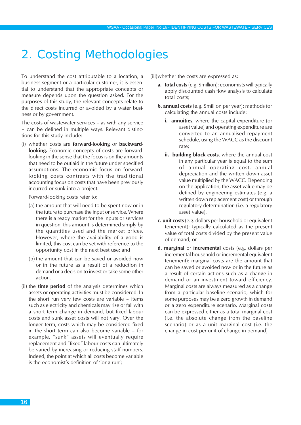# <span id="page-15-0"></span>2. Costing Methodologies

To understand the cost attributable to a location, a business segment or a particular customer, it is essential to understand that the appropriate concepts or measure depends upon the question asked. For the purposes of this study, the relevant concepts relate to the direct costs incurred or avoided by a water business or by government.

The costs of wastewater services – as with any service – can be defined in multiple ways. Relevant distinctions for this study include:

(i) whether costs are **forward-looking** or **backwardlooking.** Economic concepts of costs are forwardlooking in the sense that the focus is on the amounts that need to be outlaid in the future under specified assumptions. The economic focus on forwardlooking costs contrasts with the traditional accounting focus on costs that have been previously incurred or sunk into a project.

Forward-looking costs refer to:

- (a) the amount that will need to be spent now or in the future to purchase the input or service. Where there is a ready market for the inputs or services in question, this amount is determined simply by the quantities used and the market prices. However, where the availability of a good is limited, this cost can be set with reference to the opportunity cost in the next best use; and
- (b) the amount that can be saved or avoided now or in the future as a result of a reduction in demand or a decision to invest or take some other action.
- (ii) the **time period** of the analysis determines which assets or operating activities must be considered. In the short run very few costs are variable – items such as electricity and chemicals may rise or fall with a short term change in demand, but fixed labour costs and sunk asset costs will not vary. Over the longer term, costs which may be considered fixed in the short term can also become variable – for example, "sunk" assets will eventually require replacement and "fixed" labour costs can ultimately be varied by increasing or reducing staff numbers. Indeed, the point at which all costs become variable is the economist's definition of 'long run';

(iii)whether the costs are expressed as:

- **a. total costs** (e.g. \$million): economists will typically apply discounted cash flow analysis to calculate total costs;
- **b. annual costs** (e.g. \$million per year): methods for calculating the annual costs include:
	- **i. annuities**, where the capital expenditure (or asset value) and operating expenditure are converted to an annualised repayment schedule, using the WACC as the discount rate;
	- **ii. building block costs**, where the annual cost in any particular year is equal to the sum of annual operating cost, annual depreciation and the written down asset value multiplied by the WACC. Depending on the application, the asset value may be defined by engineering estimates (e.g. a written down replacement cost) or through regulatory determination (i.e. a regulatory asset value).
- **c. unit costs** (e.g. dollars per household or equivalent tenement): typically calculated as the present value of total costs divided by the present value of demand; or
- **d. marginal** or **incremental** costs (e.g. dollars per incremental household or incremental equivalent tenement): marginal costs are the amount that can be saved or avoided now or in the future as a result of certain actions such as a change in demand or an investment toward efficiency. Marginal costs are always measured as a change from a particular baseline scenario, which for some purposes may be a zero growth in demand or a zero expenditure scenario. Marginal costs can be expressed either as a total marginal cost (i.e. the absolute change from the baseline scenario) or as a unit marginal cost (i.e. the change in cost per unit of change in demand).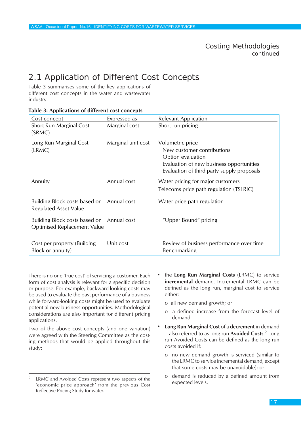# <span id="page-16-0"></span>2.1 Application of Different Cost Concepts

Table 3 summarises some of the key applications of different cost concepts in the water and wastewater industry.

| Cost concept                                                                    | Expressed as       | <b>Relevant Application</b>                                                                                                                                   |
|---------------------------------------------------------------------------------|--------------------|---------------------------------------------------------------------------------------------------------------------------------------------------------------|
| Short Run Marginal Cost<br>(SRMC)                                               | Marginal cost      | Short run pricing                                                                                                                                             |
| Long Run Marginal Cost<br>(LRMC)                                                | Marginal unit cost | Volumetric price<br>New customer contributions<br>Option evaluation<br>Evaluation of new business opportunities<br>Evaluation of third party supply proposals |
| Annuity                                                                         | Annual cost        | Water pricing for major customers<br>Telecoms price path regulation (TSLRIC)                                                                                  |
| Building Block costs based on Annual cost<br><b>Regulated Asset Value</b>       |                    | Water price path regulation                                                                                                                                   |
| Building Block costs based on Annual cost<br><b>Optimised Replacement Value</b> |                    | "Upper Bound" pricing                                                                                                                                         |
| Cost per property (Building<br>Block or annuity)                                | Unit cost          | Review of business performance over time<br>Benchmarking                                                                                                      |

#### **Table 3: Applications of different cost concepts**

There is no one 'true cost' of servicing a customer. Each form of cost analysis is relevant for a specific decision or purpose. For example, backward-looking costs may be used to evaluate the past performance of a business while forward-looking costs might be used to evaluate potential new business opportunities. Methodological considerations are also important for different pricing applications.

Two of the above cost concepts (and one variation) were agreed with the Steering Committee as the costing methods that would be applied throughout this study:

- the **Long Run Marginal Costs** (LRMC) to service **incremental** demand. Incremental LRMC can be defined as the long run, marginal cost to service either:
	- o all new demand growth; or
	- o a defined increase from the forecast level of demand.
- **• Long Run Marginal Cost** of a **decrement** in demand – also referred to as long run **Avoided Costs**. 2 Long run Avoided Costs can be defined as the long run costs avoided if:
	- o no new demand growth is serviced (similar to the LRMC to service incremental demand, except that some costs may be unavoidable); or
	- o demand is reduced by a defined amount from expected levels.

LRMC and Avoided Costs represent two aspects of the 'economic price approach' from the previous Cost Reflective Pricing Study for water.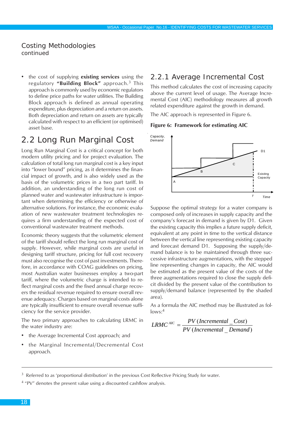<span id="page-17-0"></span>• the cost of supplying **existing services** using the regulatory **"Building Block"** approach.3 This approach is commonly used by economic regulators to define price paths for water utilities. The Building Block approach is defined as annual operating expenditure, plus depreciation and a return on assets. Both depreciation and return on assets are typically calculated with respect to an efficient (or optimised) asset base.

# 2.2 Long Run Marginal Cost

Long Run Marginal Cost is a critical concept for both modern utility pricing and for project evaluation. The calculation of total long run marginal cost is a key input into "lower bound" pricing, as it determines the financial impact of growth, and is also widely used as the basis of the volumetric prices in a two part tariff. In addition, an understanding of the long run cost of planned water and wastewater infrastructure is important when determining the efficiency or otherwise of alternative solutions. For instance, the economic evaluation of new wastewater treatment technologies requires a firm understanding of the expected cost of conventional wastewater treatment methods.

Economic theory suggests that the volumetric element of the tariff should reflect the long run marginal cost of supply. However, while marginal costs are useful in designing tariff structure, pricing for full cost recovery must also recognise the cost of past investments. Therefore, in accordance with COAG guidelines on pricing, most Australian water businesses employ a two-part tariff, where the volumetric charge is intended to reflect marginal costs and the fixed annual charge recovers the residual revenue required to ensure overall revenue adequacy. Charges based on marginal costs alone are typically insufficient to ensure overall revenue sufficiency for the service provider.

The two primary approaches to calculating LRMC in the water industry are:

- the Average Incremental Cost approach; and
- the Marginal Incremental/Decremental Cost approach.

### 2.2.1 Average Incremental Cost

This method calculates the cost of increasing capacity above the current level of usage. The Average Incremental Cost (AIC) methodology measures all growth related expenditure against the growth in demand.

The AIC approach is represented in Figure 6.

#### **Figure 6: Framework for estimating AIC**



Suppose the optimal strategy for a water company is composed only of increases in supply capacity and the company's forecast in demand is given by D1. Given the existing capacity this implies a future supply deficit, equivalent at any point in time to the vertical distance between the vertical line representing existing capacity and forecast demand D1. Supposing the supply/demand balance is to be maintained through three successive infrastructure augmentations, with the stepped line representing changes in capacity, the AIC would be estimated as the present value of the costs of the three augmentations required to close the supply deficit divided by the present value of the contribution to supply/demand balance (represented by the shaded area).

As a formula the AIC method may be illustrated as fol $lows:4$ 

$$
LRMC^{AIC} = \frac{PV \left(Incremental \_{Cost}\right)}{PV \left(Incremental \_{Demand}\right)}
$$

 $3$  Referred to as 'proportional distribution' in the previous Cost Reflective Pricing Study for water.

<sup>&</sup>lt;sup>4</sup> "PV" denotes the present value using a discounted cashflow analysis.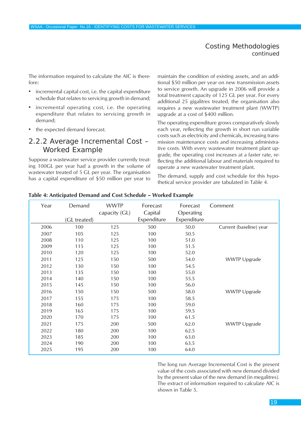The information required to calculate the AIC is therefore:

- incremental capital cost, i.e. the capital expenditure schedule that relates to servicing growth in demand;
- incremental operating cost, i.e. the operating expenditure that relates to servicing growth in demand;
- the expected demand forecast.

#### 2.2.2 Average Incremental Cost – Worked Example

Suppose a wastewater service provider currently treating 100GL per year had a growth in the volume of wastewater treated of 5 GL per year. The organisation has a capital expenditure of \$50 million per year to

maintain the condition of existing assets, and an additional \$50 million per year on new transmission assets to service growth. An upgrade in 2006 will provide a total treatment capacity of 125 GL per year. For every additional 25 gigalitres treated, the organisation also requires a new wastewater treatment plant (WWTP) upgrade at a cost of \$400 million.

The operating expenditure grows comparatively slowly each year, reflecting the growth in short run variable costs such as electricity and chemicals, increasing transmission maintenance costs and increasing administrative costs. With every wastewater treatment plant upgrade, the operating cost increases at a faster rate, reflecting the additional labour and materials required to operate a new wastewater treatment plant.

The demand, supply and cost schedule for this hypothetical service provider are tabulated in Table 4.

| Year | Demand       | <b>WWTP</b><br>capacity (GL) | Forecast<br>Capital | Forecast<br>Operating | Comment                 |
|------|--------------|------------------------------|---------------------|-----------------------|-------------------------|
|      | (GL treated) |                              | Expenditure         | Expenditure           |                         |
| 2006 | 100          | 125                          | 500                 | 50.0                  | Current (baseline) year |
| 2007 | 105          | 125                          | 100                 | 50.5                  |                         |
| 2008 | 110          | 125                          | 100                 | 51.0                  |                         |
| 2009 | 115          | 125                          | 100                 | 51.5                  |                         |
| 2010 | 120          | 125                          | 100                 | 52.0                  |                         |
| 2011 | 125          | 150                          | 500                 | 54.0                  | <b>WWTP Upgrade</b>     |
| 2012 | 130          | 150                          | 100                 | 54.5                  |                         |
| 2013 | 135          | 150                          | 100                 | 55.0                  |                         |
| 2014 | 140          | 150                          | 100                 | 55.5                  |                         |
| 2015 | 145          | 150                          | 100                 | 56.0                  |                         |
| 2016 | 150          | 150                          | 500                 | 58.0                  | <b>WWTP Upgrade</b>     |
| 2017 | 155          | 175                          | 100                 | 58.5                  |                         |
| 2018 | 160          | 175                          | 100                 | 59.0                  |                         |
| 2019 | 165          | 175                          | 100                 | 59.5                  |                         |
| 2020 | 170          | 175                          | 100                 | 61.5                  |                         |
| 2021 | 175          | 200                          | 500                 | 62.0                  | <b>WWTP Upgrade</b>     |
| 2022 | 180          | 200                          | 100                 | 62.5                  |                         |
| 2023 | 185          | 200                          | 100                 | 63.0                  |                         |
| 2024 | 190          | 200                          | 100                 | 63.5                  |                         |
| 2025 | 195          | 200                          | 100                 | 64.0                  |                         |

#### **Table 4: Anticipated Demand and Cost Schedule – Worked Example**

The long run Average Incremental Cost is the present value of the costs associated with new demand divided by the present value of the new demand (in megalitres). The extract of information required to calculate AIC is shown in Table 5.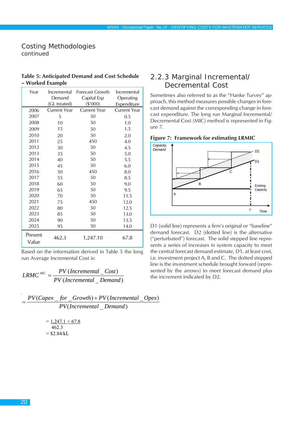| <b>Table 5: Anticipated Demand and Cost Schedule</b> |  |  |
|------------------------------------------------------|--|--|
| – Worked Example                                     |  |  |

| Year             | Incremental  | Forecast Growth     | Incremental         |
|------------------|--------------|---------------------|---------------------|
|                  | Demand       | Capital Exp         | Operating           |
|                  | (GL treated) | $(\$'000)$          | Expenditure         |
| 2006             | Current Year | <b>Current Year</b> | <b>Current Year</b> |
| 2007             | 5            | 50                  | 0.5                 |
| 2008             | 10           | 50                  | 1.0                 |
| 2009             | 15           | 50                  | 1.5                 |
| 2010             | 20           | 50                  | 2.0                 |
| 2011             | 25           | 450                 | 4.0                 |
| 2012             | 30           | 50                  | 4.5                 |
| 2013             | 35           | 50                  | 5.0                 |
| 2014             | 40           | 50                  | 5.5                 |
| 2015             | 45           | 50                  | 6.0                 |
| 2016             | 50           | 450                 | 8.0                 |
| 2017             | 55           | 50                  | 8.5                 |
| 2018             | 60           | 50                  | 9.0                 |
| 2019             | 65           | 50                  | 9.5                 |
| 2020             | 70           | 50                  | 11.5                |
| 2021             | 75           | 450                 | 12.0                |
| 2022             | 80           | 50                  | 12.5                |
| 2023             | 85           | 50                  | 13.0                |
| 2024             | 90           | 50                  | 13.5                |
| 2025             | 95           | 50                  | 14.0                |
| Present<br>Value | 462.3        | 1,247.10            | 67.8                |

Based on the information derived in Table 5 the long run Average Incremental Cost is:

$$
LRMC^{AIC} = \frac{PV \left(Incremental \_{Cost}\right)}{PV \left(Incremental \_{Demand}\right)}
$$

( \_ ) *PV Incremental Demand*  $=\frac{PV(Capex - for - Growth) + PV(Incremental - Oper)}{P(Capex - for - Growth)}$ 

> $= 1,247.1 + 67.8$  462.3  $= $2.84/kL$

# 2.2.3 Marginal Incremental/ Decremental Cost

Sometimes also referred to as the "Hanke Turvey" approach, this method measures possible changes in forecast demand against the corresponding change in forecast expenditure. The long run Marginal Incremental/ Decremental Cost (MIC) method is represented in Figure 7.





D1 (solid line) represents a firm's original or "baseline" demand forecast. D2 (dotted line) is the alternative ("perturbated") forecast. The solid stepped line represents a series of increases in system capacity to meet the central forecast demand estimate, D1, at least cost, i.e. investment project A, B and C. The dotted stepped line is the investment schedule brought forward (represented by the arrows) to meet forecast demand plus the increment indicated by D2.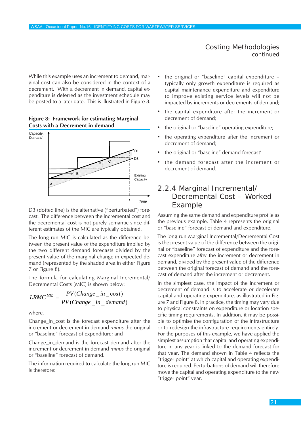While this example uses an increment to demand, marginal cost can also be considered in the context of a decrement. With a decrement in demand, capital expenditure is deferred as the investment schedule may be posted to a later date. This is illustrated in Figure 8.

#### **Figure 8: Framework for estimating Marginal Costs with a Decrement in demand**



D3 (dotted line) is the alternative ("perturbated") forecast. The difference between the incremental cost and the decremental cost is not purely semantic since different estimates of the MIC are typically obtained.

The long run MIC is calculated as the difference between the present value of the expenditure implied by the two different demand forecasts divided by the present value of the marginal change in expected demand (represented by the shaded area in either Figure 7 or Figure 8).

The formula for calculating Marginal Incremental/ Decremental Costs (MIC) is shown below:

$$
LRMC^{MIC} = \frac{PV(Change\_in\_cost)}{PV(Change\_in\_demand)}
$$

where,

Change\_in\_cost is the forecast expenditure after the increment or decrement in demand *minus* the original or "baseline" forecast of expenditure; and

Change\_in\_demand is the forecast demand after the increment or decrement in demand *minus* the original or "baseline" forecast of demand.

The information required to calculate the long run MIC is therefore:

- the original or "baseline" capital expenditure typically only growth expenditure is required as capital maintenance expenditure and expenditure to improve existing service levels will not be impacted by increments or decrements of demand;
- the capital expenditure after the increment or decrement of demand;
- the original or "baseline" operating expenditure;
- the operating expenditure after the increment or decrement of demand;
- the original or "baseline" demand forecast'
- the demand forecast after the increment or decrement of demand.

# 2.2.4 Marginal Incremental/ Decremental Cost – Worked Example

Assuming the same demand and expenditure profile as the previous example, Table 4 represents the original or "baseline" forecast of demand and expenditure.

The long run Marginal Incremental/Decremental Cost is the present value of the difference between the original or "baseline" forecast of expenditure and the forecast expenditure *after* the increment or decrement in demand, divided by the present value of the difference between the original forecast of demand and the forecast of demand after the increment or decrement.

In the simplest case, the impact of the increment or decrement of demand is to accelerate or decelerate capital and operating expenditure, as illustrated in Figure 7 and Figure 8. In practice, the timing may vary due to physical constraints on expenditure or location specific timing requirements. In addition, it may be possible to optimise the configuration of the infrastructure or to redesign the infrastructure requirements entirely. For the purposes of this example, we have applied the simplest assumption that capital and operating expenditure in any year is linked to the demand forecast for that year. The demand shown in Table 4 reflects the "trigger point" at which capital and operating expenditure is required. Perturbations of demand will therefore move the capital and operating expenditure to the new "trigger point" year.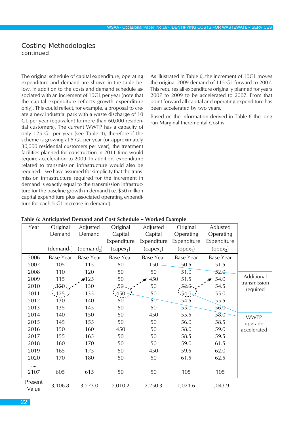The original schedule of capital expenditure, operating expenditure and demand are shown in the table below, in addition to the costs and demand schedule associated with an increment of 10GL per year (note that the capital expenditure reflects growth expenditure only). This could reflect, for example, a proposal to create a new industrial park with a waste discharge of 10 GL per year (equivalent to more than 60,000 residential customers). The current WWTP has a capacity of only 125 GL per year (see Table 4), therefore if the scheme is growing at 5 GL per year (or approximately 30,000 residential customers per year), the treatment facilities planned for construction in 2011 time would require acceleration to 2009. In addition, expenditure related to transmission infrastructure would also be required – we have assumed for simplicity that the transmission infrastructure required for the increment in demand is exactly equal to the transmission infrastructure for the baseline growth in demand (i.e. \$50 million capital expenditure plus associated operating expenditure for each 5 GL increase in demand).

As illustrated in Table 6, the increment of 10GL moves the original 2009 demand of 115 GL forward to 2007. This requires all expenditure originally planned for years 2007 to 2009 to be accelerated to 2007. From that point forward all capital and operating expenditure has been accelerated by two years.

Based on the information derived in Table 6 the long run Marginal Incremental Cost is:

| Year             | Original               | Adjusted               | Original         | Adjusted              | Original             | Adjusted         |                          |
|------------------|------------------------|------------------------|------------------|-----------------------|----------------------|------------------|--------------------------|
|                  | Demand                 | Demand                 | Capital          | Capital               | Operating            | Operating        |                          |
|                  |                        |                        | Expenditure      | Expenditure           | Expenditure          | Expenditure      |                          |
|                  | (demand <sub>1</sub> ) | (demand <sub>2</sub> ) | $(capex_1)$      | (capex <sub>2</sub> ) | (open <sub>1</sub> ) | $(open_2)$       |                          |
| 2006             | <b>Base Year</b>       | <b>Base Year</b>       | <b>Base Year</b> | <b>Base Year</b>      | Base Year            | <b>Base Year</b> |                          |
| 2007             | 105                    | 115                    | 50               | 150                   | 50.5                 | 51.5             |                          |
| 2008             | 110                    | 120                    | 50               | 50                    | 51.0                 | 52.0             |                          |
| 2009             | 115                    | 125                    | 50               | 450                   | 51.5                 | 54.0             | Additional               |
| 2010             | 120                    | 130                    | 50               | 50                    | $52 - 0$             | 54.5             | transmission<br>required |
| 2011             | 25                     | 135                    | 150              | 50                    | $.54.0\le$           | 55.0             |                          |
| 2012             | 130                    | 140                    | 50               | 50                    | 54.5                 | 55.5             |                          |
| 2013             | 135                    | 145                    | 50               | 50                    | 55.0                 | 56.0             |                          |
| 2014             | 140                    | 150                    | 50               | 450                   | 55.5                 | 58.0             | <b>WWTP</b>              |
| 2015             | 145                    | 155                    | 50               | 50                    | 56.0                 | 58.5             | upgrade                  |
| 2016             | 150                    | 160                    | 450              | 50                    | 58.0                 | 59.0             | accelerated              |
| 2017             | 155                    | 165                    | 50               | 50                    | 58.5                 | 59.5             |                          |
| 2018             | 160                    | 170                    | 50               | 50                    | 59.0                 | 61.5             |                          |
| 2019             | 165                    | 175                    | 50               | 450                   | 59.5                 | 62.0             |                          |
| 2020             | 170                    | 180                    | 50               | 50                    | 61.5                 | 62.5             |                          |
|                  |                        |                        |                  |                       |                      |                  |                          |
| 2107             | 605                    | 615                    | 50               | 50                    | 105                  | 105              |                          |
| Present<br>Value | 3,106.8                | 3,273.0                | 2,010.2          | 2,250.3               | 1,021.6              | 1,043.9          |                          |

#### **Table 6: Anticipated Demand and Cost Schedule – Worked Example**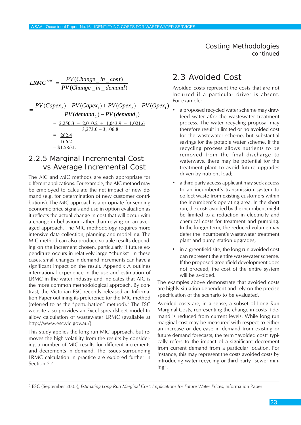<span id="page-22-0"></span>
$$
LRMC^{MIC} = \frac{PV(Change\_in\_cost)}{PV(Change\_in\_demand)}
$$
  
= 
$$
\frac{PV(Capex_2) - PV(Capex_1) + PV(Opex_2) - PV(Opex_1)}{PV(demand_2) - PV(demand_1)}
$$
  
= 
$$
\frac{2,250.3 - 2,010.2 + 1,043.9 - 1,021.6}{3,273.0 - 3,106.8}
$$
  
= 
$$
\frac{262.4}{166.2}
$$
  
= \$1.58/kL

### 2.2.5 Marginal Incremental Cost vs Average Incremental Cost

The AIC and MIC methods are each appropriate for different applications. For example, the AIC method may be employed to calculate the net impact of new demand (e.g. for determination of new customer contributions). The MIC approach is appropriate for sending economic price signals and use in option evaluation as it reflects the actual change in cost that will occur with a change in behaviour rather than relying on an averaged approach. The MIC methodology requires more intensive data collection, planning and modelling. The MIC method can also produce volatile results depending on the increment chosen, particularly if future expenditure occurs in relatively large "chunks". In these cases, small changes in demand increments can have a significant impact on the result. Appendix A outlines international experience in the use and estimation of LRMC in the water industry and indicates that AIC is the more common methodological approach. By contrast, the Victorian ESC recently released an Information Paper outlining its preference for the MIC method (referred to as the "perturbation" method).<sup>5</sup> The ESC website also provides an Excel spreadsheet model to allow calculation of wastewater LRMC (available at http://www.esc.vic.gov.au/).

This study applies the long run MIC approach, but removes the high volatility from the results by considering a number of MIC results for different increments and decrements in demand. The issues surrounding LRMC calculation in practice are explored further in Section 2.4.

# 2.3 Avoided Cost

Avoided costs represent the costs that are not incurred if a particular driver is absent.

- $x_1$ ) For example:<br>a propose a proposed recycled water scheme may draw feed water *after* the wastewater treatment process. The water recycling proposal may therefore result in limited or no avoided cost for the wastewater scheme, but substantial savings for the potable water scheme. If the recycling process allows nutrients to be removed from the final discharge to waterways, there may be potential for the treatment plant to avoid future upgrades driven by nutrient load;
	- a third party access applicant may seek access to an incumbent's transmission system to collect waste from existing customers within the incumbent's operating area. In the short run, the costs avoided by the incumbent might be limited to a reduction in electricity and chemical costs for treatment and pumping. In the longer term, the reduced volume may defer the incumbent's wastewater treatment plant and pump station upgrades;
	- in a greenfield site, the long run avoided cost can represent the entire wastewater scheme. If the proposed greenfield development does not proceed, the cost of the entire system will be avoided.

The examples above demonstrate that avoided costs are highly situation dependent and rely on the precise specification of the scenario to be evaluated.

Avoided costs are, in a sense, a subset of Long Run Marginal Costs, representing the change in costs if demand is reduced from current levels. While long run marginal cost may be measured with respect to either an increase or decrease in demand from existing or future demand forecasts, the term "avoided cost" typically refers to the impact of a significant decrement from current demand from a particular location. For instance, this may represent the costs avoided costs by introducing water recycling or third party "sewer mining".

<sup>5</sup> ESC (September 2005), *Estimating Long Run Marginal Cost: Implications for Future Water Prices*, Information Paper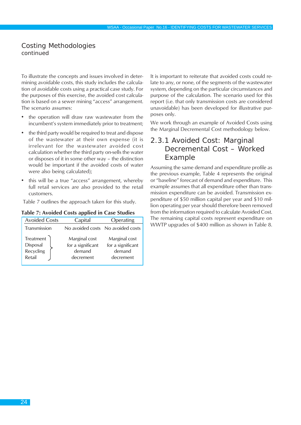To illustrate the concepts and issues involved in determining avoidable costs, this study includes the calculation of avoidable costs using a practical case study. For the purposes of this exercise, the avoided cost calculation is based on a sewer mining "access" arrangement. The scenario assumes:

- the operation will draw raw wastewater from the incumbent's system immediately prior to treatment;
- the third party would be required to treat and dispose of the wastewater at their own expense (it is irrelevant for the wastewater avoided cost calculation whether the third party on-sells the water or disposes of it in some other way – the distinction would be important if the avoided costs of water were also being calculated);
- this will be a true "access" arrangement, whereby full retail services are also provided to the retail customers.

Table 7 outlines the approach taken for this study.

| <b>Avoided Costs</b>                         | Capital                                                   | Operating                                                 |  |
|----------------------------------------------|-----------------------------------------------------------|-----------------------------------------------------------|--|
| Transmission                                 |                                                           | No avoided costs No avoided costs                         |  |
| Treatment<br>Disposal<br>Recycling<br>Retail | Marginal cost<br>for a significant<br>demand<br>decrement | Marginal cost<br>for a significant<br>demand<br>decrement |  |

**Table 7: Avoided Costs applied in Case Studies**

It is important to reiterate that avoided costs could relate to any, or none, of the segments of the wastewater system, depending on the particular circumstances and purpose of the calculation. The scenario used for this report (i.e. that only transmission costs are considered unavoidable) has been developed for illustrative purposes only.

We work through an example of Avoided Costs using the Marginal Decremental Cost methodology below.

# 2.3.1 Avoided Cost: Marginal Decremental Cost – Worked Example

Assuming the same demand and expenditure profile as the previous example, Table 4 represents the original or "baseline" forecast of demand and expenditure. This example assumes that all expenditure other than transmission expenditure can be avoided. Transmission expenditure of \$50 million capital per year and \$10 million operating per year should therefore been removed from the information required to calculate Avoided Cost. The remaining capital costs represent expenditure on WWTP upgrades of \$400 million as shown in Table 8.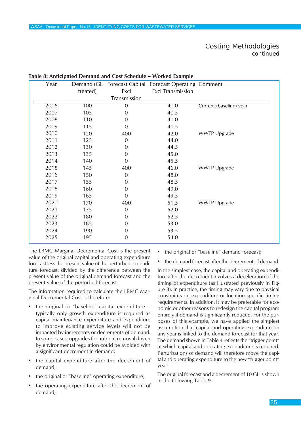| Year | Demand (GL |                  | Forecast Capital Forecast Operating Comment |                         |
|------|------------|------------------|---------------------------------------------|-------------------------|
|      | treated)   | Excl             | <b>Excl Transmission</b>                    |                         |
|      |            | Transmission     |                                             |                         |
| 2006 | 100        | $\mathbf 0$      | 40.0                                        | Current (baseline) year |
| 2007 | 105        | $\Omega$         | 40.5                                        |                         |
| 2008 | 110        | $\Omega$         | 41.0                                        |                         |
| 2009 | 115        | 0                | 41.5                                        |                         |
| 2010 | 120        | 400              | 42.0                                        | <b>WWTP Upgrade</b>     |
| 2011 | 125        | $\boldsymbol{0}$ | 44.0                                        |                         |
| 2012 | 130        | $\Omega$         | 44.5                                        |                         |
| 2013 | 135        | $\overline{0}$   | 45.0                                        |                         |
| 2014 | 140        | $\overline{0}$   | 45.5                                        |                         |
| 2015 | 145        | 400              | 46.0                                        | <b>WWTP Upgrade</b>     |
| 2016 | 150        | $\boldsymbol{0}$ | 48.0                                        |                         |
| 2017 | 155        | $\Omega$         | 48.5                                        |                         |
| 2018 | 160        | $\Omega$         | 49.0                                        |                         |
| 2019 | 165        | $\Omega$         | 49.5                                        |                         |
| 2020 | 170        | 400              | 51.5                                        | <b>WWTP Upgrade</b>     |
| 2021 | 175        | $\overline{0}$   | 52.0                                        |                         |
| 2022 | 180        | $\Omega$         | 52.5                                        |                         |
| 2023 | 185        | 0                | 53.0                                        |                         |
| 2024 | 190        | $\Omega$         | 53.5                                        |                         |
| 2025 | 195        | $\mathbf 0$      | 54.0                                        |                         |

#### **Table 8: Anticipated Demand and Cost Schedule – Worked Example**

The LRMC Marginal Decremental Cost is the present value of the original capital and operating expenditure forecast less the present value of the perturbed expenditure forecast, divided by the difference between the present value of the original demand forecast and the present value of the perturbed forecast.

The information required to calculate the LRMC Marginal Decremental Cost is therefore:

- the original or "baseline" capital expenditure typically only growth expenditure is required as capital maintenance expenditure and expenditure to improve existing service levels will not be impacted by increments or decrements of demand. In some cases, upgrades for nutrient removal driven by environmental regulation could be avoided with a significant decrement in demand;
- the capital expenditure after the decrement of demand;
- the original or "baseline" operating expenditure;
- the operating expenditure after the decrement of demand;
- the original or "baseline" demand forecast;
- the demand forecast after the decrement of demand.

In the simplest case, the capital and operating expenditure after the decrement involves a deceleration of the timing of expenditure (as illustrated previously in Figure 8). In practice, the timing may vary due to physical constraints on expenditure or location specific timing requirements. In addition, it may be preferable for economic or other reasons to redesign the capital program entirely if demand is significantly reduced. For the purposes of this example, we have applied the simplest assumption that capital and operating expenditure in any year is linked to the demand forecast for that year. The demand shown in Table 4 reflects the "trigger point" at which capital and operating expenditure is required. Perturbations of demand will therefore move the capital and operating expenditure to the new "trigger point" year.

The original forecast and a decrement of 10 GL is shown in the following Table 9.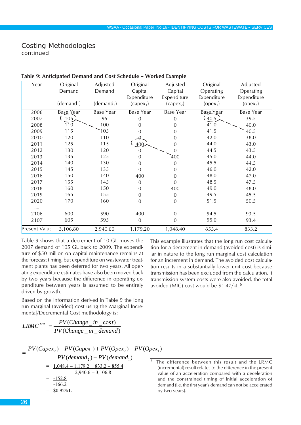| Year          | Original               | Adjusted               | Original         | Adjusted         | Original    | Adjusted    |
|---------------|------------------------|------------------------|------------------|------------------|-------------|-------------|
|               | Demand                 | Demand                 | Capital          | Capital          | Operating   | Operating   |
|               |                        |                        | Expenditure      | Expenditure      | Expenditure | Expenditure |
|               | (demand <sub>1</sub> ) | (demand <sub>2</sub> ) | $(capex_1)$      | $(capex_2)$      | $(open_1)$  | $(open_2)$  |
| 2006          | Base Year              | Base Year              | <b>Base Year</b> | <b>Base Year</b> | Base Year   | Base Year   |
| 2007          | (105)                  | 95                     | 0                | $\overline{0}$   | (40.5)      | 39.5        |
| 2008          | 110                    | 100                    | 0                | 0                | 41.0        | 40.0        |
| 2009          | 115                    | 105                    | 0                | 0                | 41.5        | 40.5        |
| 2010          | 120                    | 110                    |                  | 0                | 42.0        | 38.0        |
| 2011          | 125                    | 115                    | 400              | 0                | 44.0        | 43.0        |
| 2012          | 130                    | 120                    | $\overline{0}$   | 0                | 44.5        | 43.5        |
| 2013          | 135                    | 125                    | 0                | 400              | 45.0        | 44.0        |
| 2014          | 140                    | 130                    | $\Omega$         | $\overline{0}$   | 45.5        | 44.5        |
| 2015          | 145                    | 135                    | $\boldsymbol{0}$ | $\mathbf 0$      | 46.0        | 42.0        |
| 2016          | 150                    | 140                    | 400              | $\boldsymbol{0}$ | 48.0        | 47.0        |
| 2017          | 155                    | 145                    | $\mathbf{0}$     | $\mathbf 0$      | 48.5        | 47.5        |
| 2018          | 160                    | 150                    | 0                | 400              | 49.0        | 48.0        |
| 2019          | 165                    | 155                    | $\boldsymbol{0}$ | $\overline{0}$   | 49.5        | 45.5        |
| 2020          | 170                    | 160                    | 0                | $\mathbf 0$      | 51.5        | 50.5        |
|               |                        |                        |                  |                  |             |             |
| 2106          | 600                    | 590                    | 400              | $\mathbf 0$      | 94.5        | 93.5        |
| 2107          | 605                    | 595                    | $\mathbf 0$      | $\overline{0}$   | 95.0        | 93.4        |
| Present Value | 3,106.80               | 2,940.60               | 1,179.20         | 1,048.40         | 855.4       | 833.2       |

#### **Table 9: Anticipated Demand and Cost Schedule – Worked Example**

Table 9 shows that a decrement of 10 GL moves the 2007 demand of 105 GL back to 2009. The expenditure of \$50 million on capital maintenance remains at the forecast timing, but expenditure on wastewater treatment plants has been deferred for two years. All operating expenditure estimates have also been moved back by two years because the difference in operating expenditure between years is assumed to be entirely driven by growth.

Based on the information derived in Table 9 the long run marginal (avoided) cost using the Marginal Incremental/Decremental Cost methodology is:

$$
LRMC^{MIC} = \frac{PV(Change\_in\_cost)}{PV(Change\_in\_demand)}
$$

$$
= \frac{PV(Capex_1) - PV(Capex_1) + PV(Opex_1) - PV(Opex_1)}{PV(demand_2) - PV(demand_1)} = \frac{1,048.4 - 1,179.2 + 833.2 - 855.4}{2,940.6 - 3,106.8}
$$
\n
$$
= \frac{-152.8}{-166.2}
$$
\n
$$
= \$0.92/kL
$$
\nby

This example illustrates that the long run cost calculation for a decrement in demand (avoided cost) is similar in nature to the long run marginal cost calculation for an increment in demand. The avoided cost calculation results in a substantially lower unit cost because transmission has been excluded from the calculation. If transmission system costs were also avoided, the total

avoided (MIC) cost would be \$1.47/kL.6

he difference between this result and the LRMC (incremental) result relates to the difference in the present value of an acceleration compared with a deceleration and the constrained timing of initial acceleration of demand (i.e. the first year's demand can not be accelerated by two years).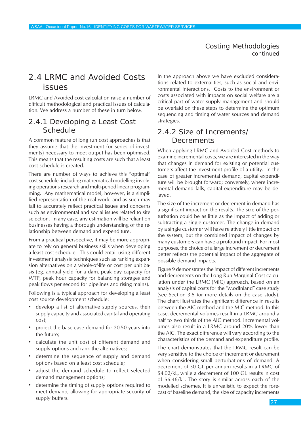# <span id="page-26-0"></span>2.4 LRMC and Avoided Costs issues

LRMC and Avoided cost calculation raise a number of difficult methodological and practical issues of calculation. We address a number of these in turn below.

#### 2.4.1 Developing a Least Cost **Schedule**

A common feature of long run cost approaches is that they assume that the investment (or series of investments) necessary to meet output has been optimised. This means that the resulting costs are such that a least cost schedule is created.

There are number of ways to achieve this "optimal" cost schedule, including mathematical modelling involving operations research and multi-period linear programming. Any mathematical model, however, is a simplified representation of the real world and as such may fail to accurately reflect practical issues and concerns such as environmental and social issues related to site selection. In any case, any estimation will be reliant on businesses having a thorough understanding of the relationship between demand and expenditure.

From a practical perspective, it may be more appropriate to rely on general business skills when developing a least cost schedule. This could entail using different investment analysis techniques such as ranking expansion alternatives on a whole-of-life or cost per unit basis (eg. annual yield for a dam, peak day capacity for WTP, peak hour capacity for balancing storages and peak flows per second for pipelines and rising mains).

Following is a typical approach for developing a least cost source development schedule:

- develop a list of alternative supply sources, their supply capacity and associated capital and operating cost;
- project the base case demand for 20-50 years into the future;
- calculate the unit cost of different demand and supply options and rank the alternatives;
- determine the sequence of supply and demand options based on a least cost schedule;
- adjust the demand schedule to reflect selected demand management options;
- determine the timing of supply options required to meet demand, allowing for appropriate security of supply buffers.

In the approach above we have excluded considerations related to externalities, such as social and environmental interactions. Costs to the environment or costs associated with impacts on social welfare are a critical part of water supply management and should be overlaid on these steps to determine the optimum sequencing and timing of water sources and demand strategies.

# 2.4.2 Size of Increments/ **Decrements**

When applying LRMC and Avoided Cost methods to examine incremental costs, we are interested in the way that changes in demand for existing or potential customers affect the investment profile of a utility. In the case of greater incremental demand, capital expenditure will be brought forward; conversely, where incremental demand falls, capital expenditure may be delayed.

The size of the increment or decrement in demand has a significant impact on the results. The size of the perturbation could be as little as the impact of adding or subtracting a single customer. The change in demand by a single customer will have relatively little impact on the system, but the combined impact of changes by many customers can have a profound impact. For most purposes, the choice of a large increment or decrement better reflects the potential impact of the aggregate of possible demand impacts.

Figure 9 demonstrates the impact of different increments and decrements on the Long Run Marginal Cost calculation under the LRMC (MIC) approach, based on an analysis of capital costs for the "ModInland" case study (see Section 3.5 for more details on the case study). The chart illustrates the significant difference in results between the AIC method and the MIC method. In this case, decremental volumes result in a LRMC around a half to two thirds of the AIC method. Incremental volumes also result in a LRMC around 20% lower than the AIC. The exact difference will vary according to the characteristics of the demand and expenditure profile.

The chart demonstrates that the LRMC result can be very sensitive to the choice of increment or decrement when considering small perturbations of demand. A decrement of 50 GL per annum results in a LRMC of \$4.02/kL, while a decrement of 100 GL results in cost of \$6.46/kL. The story is similar across each of the modelled schemes. It is unrealistic to expect the forecast of baseline demand, the size of capacity increments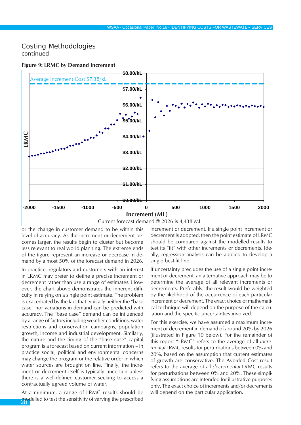

#### **Figure 9: LRMC by Demand Increment**

or the change in customer demand to be within this level of accuracy. As the increment or decrement becomes larger, the results begin to cluster but become less relevant to real world planning. The extreme ends of the figure represent an increase or decrease in demand by almost 50% of the forecast demand in 2026.

In practice, regulators and customers with an interest in LRMC may prefer to define a precise increment or decrement rather than use a range of estimates. However, the chart above demonstrates the inherent difficulty in relying on a single point estimate. The problem is exacerbated by the fact that typically neither the "base case" nor variations in demand can be predicted with accuracy. The "base case" demand can be influenced by a range of factors including weather conditions, water restrictions and conservation campaigns, population growth, income and industrial development. Similarly, the nature and the timing of the "base case" capital program is a forecast based on current information – in practice social, political and environmental concerns may change the program or the relative order in which water sources are brought on line. Finally, the increment or decrement itself is typically uncertain unless there is a well-defined customer seeking to access a contractually agreed volume of water.

modelled to test the sensitivity of varying the prescribed At a minimum, a range of LRMC results should be increment or decrement. If a single point increment or decrement is adopted, then the point estimate of LRMC should be compared against the modelled results to test its "fit" with other increments or decrements. Ideally, regression analysis can be applied to develop a single best-fit line.

If uncertainty precludes the use of a single point increment or decrement, an alternative approach may be to determine the average of all relevant increments or decrements. Preferably, the result would be weighted by the likelihood of the occurrence of each particular increment or decrement. The exact choice of mathematical technique will depend on the purpose of the calculation and the specific uncertainties involved.

For this exercise, we have assumed a maximum increment or decrement in demand of around 20% by 2026 (illustrated in Figure 10 below). For the remainder of this report "LRMC" refers to the average of all *incremental* LRMC results for perturbations between 0% and 20%, based on the assumption that current estimates of growth are conservative. The Avoided Cost result refers to the average of all *decremental* LRMC results for perturbations between 0% and 20%. These simplifying assumptions are intended for illustrative purposes only. The exact choice of increments and/or decrements will depend on the particular application.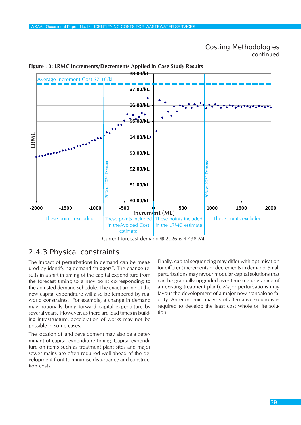

#### **Figure 10: LRMC Increments/Decrements Applied in Case Study Results**

# 2.4.3 Physical constraints

The impact of perturbations in demand can be measured by identifying demand "triggers". The change results in a shift in timing of the capital expenditure from the forecast timing to a new point corresponding to the adjusted demand schedule. The exact timing of the new capital expenditure will also be tempered by real world constraints. For example, a change in demand may notionally bring forward capital expenditure by several years. However, as there are lead times in building infrastructure, acceleration of works may not be possible in some cases.

The location of land development may also be a determinant of capital expenditure timing. Capital expenditure on items such as treatment plant sites and major sewer mains are often required well ahead of the development front to minimise disturbance and construction costs.

Finally, capital sequencing may differ with optimisation for different increments or decrements in demand. Small perturbations may favour modular capital solutions that can be gradually upgraded over time (eg upgrading of an existing treatment plant). Major perturbations may favour the development of a major new standalone facility. An economic analysis of alternative solutions is required to develop the least cost whole of life solution.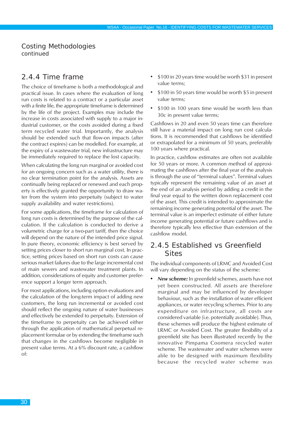# 2.4.4 Time frame

The choice of timeframe is both a methodological and practical issue. In cases where the evaluation of long run costs is related to a contract or a particular asset with a finite life, the appropriate timeframe is determined by the life of the project. Examples may include the increase in costs associated with supply to a major industrial customer, or the costs avoided during a fixed term recycled water trial. Importantly, the analysis should be extended such that flow-on impacts (after the contract expires) can be modelled. For example, at the expiry of a wastewater trial, new infrastructure may be immediately required to replace the lost capacity.

When calculating the long run marginal or avoided cost for an ongoing concern such as a water utility, there is no clear termination point for the analysis. Assets are continually being replaced or renewed and each property is effectively granted the opportunity to draw water from the system into perpetuity (subject to water supply availability and water restrictions).

For some applications, the timeframe for calculation of long run costs is determined by the purpose of the calculation. If the calculation is conducted to derive a volumetric charge for a two-part tariff, then the choice will depend on the nature of the intended price signal. In pure theory, economic efficiency is best served by setting prices closer to short run marginal cost. In practice, setting prices based on short run costs can cause serious market failures due to the large incremental cost of main sewers and wastewater treatment plants. In addition, considerations of equity and customer preference support a longer term approach.

For most applications, including option evaluations and the calculation of the long-term impact of adding new customers, the long run incremental or avoided cost should reflect the ongoing nature of water businesses and effectively be extended to perpetuity. Extension of the timeframe to perpetuity can be achieved either through the application of mathematical perpetual replacement formulae or by extending the timeframe such that changes in the cashflows become negligible in present value terms. At a 6% discount rate, a cashflow of:

- \$100 in 20 years time would be worth \$31 in present value terms;
- \$100 in 50 years time would be worth \$5 in present value terms;
- \$100 in 100 years time would be worth less than 30c in present value terms;

Cashflows in 20 and even 50 years time can therefore still have a material impact on long run cost calculations. It is recommended that cashflows be identified or extrapolated for a minimum of 50 years, preferably 100 years where practical.

In practice, cashflow estimates are often not available for 50 years or more. A common method of approximating the cashflows after the final year of the analysis is through the use of "terminal values". Terminal values typically represent the remaining value of an asset at the end of an analysis period by adding a credit in the final year equal to the written down replacement cost of the asset. This credit is intended to approximate the remaining income generating potential of the asset. The terminal value is an imperfect estimate of either future income generating potential or future cashflows and is therefore typically less effective than extension of the cashflow model.

# 2.4.5 Established vs Greenfield **Sites**

The individual components of LRMC and Avoided Cost will vary depending on the status of the scheme:

*• New scheme:* In greenfield schemes, assets have not yet been constructed. All assets are therefore marginal and may be influenced by developer behaviour, such as the installation of water efficient appliances, or water recycling schemes. Prior to any expenditure on infrastructure, all costs are considered variable (i.e. potentially avoidable). Thus, these schemes will produce the highest estimate of LRMC or Avoided Cost. The greater flexibility of a greenfield site has been illustrated recently by the innovative Pimpama Coomera recycled water scheme. The wastewater and water schemes were able to be designed with maximum flexibility because the recycled water scheme was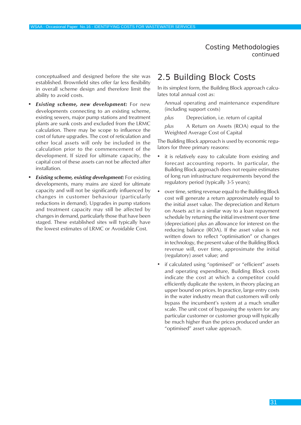<span id="page-30-0"></span>conceptualised and designed before the site was established. Brownfield sites offer far less flexibility in overall scheme design and therefore limit the ability to avoid costs.

- *• Existing scheme, new development:* For new developments connecting to an existing scheme, existing sewers, major pump stations and treatment plants are sunk costs and excluded from the LRMC calculation. There may be scope to influence the cost of future upgrades. The cost of reticulation and other local assets will only be included in the calculation prior to the commencement of the development. If sized for ultimate capacity, the capital cost of these assets can not be affected after installation.
- *• Existing scheme, existing development:* For existing developments, many mains are sized for ultimate capacity and will not be significantly influenced by changes in customer behaviour (particularly reductions in demand). Upgrades in pump stations and treatment capacity may still be affected by changes in demand, particularly those that have been staged. These established sites will typically have the lowest estimates of LRMC or Avoidable Cost.

# 2.5 Building Block Costs

In its simplest form, the Building Block approach calculates total annual cost as:

Annual operating and maintenance expenditure (including support costs)

*plus* Depreciation, i.e. return of capital

*plus* A Return on Assets (ROA) equal to the Weighted Average Cost of Capital

The Building Block approach is used by economic regulators for three primary reasons:

- it is relatively easy to calculate from existing and forecast accounting reports. In particular, the Building Block approach does not require estimates of long run infrastructure requirements beyond the regulatory period (typically 3-5 years);
- over time, setting revenue equal to the Building Block cost will generate a return approximately equal to the initial asset value. The depreciation and Return on Assets act in a similar way to a loan repayment schedule by returning the initial investment over time (depreciation) plus an allowance for interest on the reducing balance (ROA). If the asset value is not written down to reflect "optimisation" or changes in technology, the present value of the Building Block revenue will, over time, approximate the initial (regulatory) asset value; and
- if calculated using "optimised" or "efficient" assets and operating expenditure, Building Block costs indicate the cost at which a competitor could efficiently duplicate the system, in theory placing an upper bound on prices. In practice, large entry costs in the water industry mean that customers will only bypass the incumbent's system at a much smaller scale. The unit cost of bypassing the system for any particular customer or customer group will typically be much higher than the prices produced under an "optimised" asset value approach.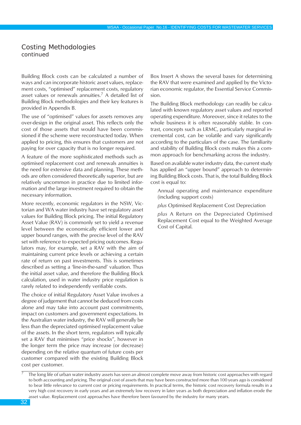Building Block costs can be calculated a number of ways and can incorporate historic asset values, replacement costs, "optimised" replacement costs, regulatory asset values or renewals annuities.7 A detailed list of Building Block methodologies and their key features is provided in Appendix B.

The use of "optimised" values for assets removes any over-design in the original asset. This reflects only the cost of those assets that would have been commissioned if the scheme were reconstructed today. When applied to pricing, this ensures that customers are not paying for over capacity that is no longer required.

A feature of the more sophisticated methods such as optimised replacement cost and renewals annuities is the need for extensive data and planning. These methods are often considered theoretically superior, but are relatively uncommon in practice due to limited information and the large investment required to obtain the necessary information.

More recently, economic regulators in the NSW, Victorian and WA water industry have set regulatory asset values for Building Block pricing. The initial Regulatory Asset Value (RAV) is commonly set to yield a revenue level between the economically efficient lower and upper bound ranges, with the precise level of the RAV set with reference to expected pricing outcomes. Regulators may, for example, set a RAV with the aim of maintaining current price levels or achieving a certain rate of return on past investments. This is sometimes described as setting a 'line-in-the-sand' valuation. Thus the initial asset value, and therefore the Building Block calculation, used in water industry price regulation is rarely related to independently verifiable costs.

The choice of initial Regulatory Asset Value involves a degree of judgement that cannot be deduced from costs alone and may take into account past commitments, impact on customers and government expectations. In the Australian water industry, the RAV will generally be less than the depreciated optimised replacement value of the assets. In the short term, regulators will typically set a RAV that minimises "price shocks", however in the longer term the price may increase (or decrease) depending on the relative quantum of future costs per customer compared with the existing Building Block cost per customer.

Box Insert A shows the several bases for determining the RAV that were examined and applied by the Victorian economic regulator, the Essential Service Commission.

The Building Block methodology can readily be calculated with known regulatory asset values and reported operating expenditure. Moreover, since it relates to the whole business it is often reasonably stable. In contrast, concepts such as LRMC, particularly marginal incremental cost, can be volatile and vary significantly according to the particulars of the case. The familiarity and stability of Building Block costs makes this a common approach for benchmarking across the industry.

Based on available water industry data, the current study has applied an "upper bound" approach to determining Building Block costs. That is, the total Building Block cost is equal to:

Annual operating and maintenance expenditure (including support costs)

*plus* Optimised Replacement Cost Depreciation

*plus* A Return on the Depreciated Optimised Replacement Cost equal to the Weighted Average Cost of Capital.

The long life of urban water industry assets has seen an almost complete move away from historic cost approaches with regard to both accounting and pricing. The original cost of assets that may have been constructed more than 100 years ago is considered to bear little relevance to current cost or pricing requirements. In practical terms, the historic cost recovery formula results in a very high cost recovery in early years and an extremely low recovery in later years as both depreciation and inflation erode the asset value. Replacement cost approaches have therefore been favoured by the industry for many years.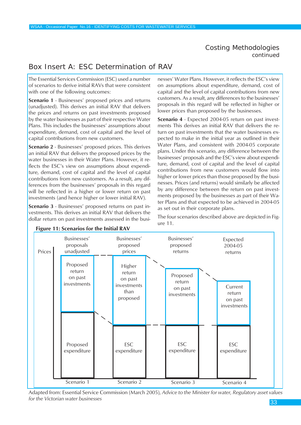# Box Insert A: ESC Determination of RAV

The Essential Services Commission (ESC) used a number of scenarios to derive initial RAVs that were consistent with one of the following outcomes:

**Scenario 1** - Businesses' proposed prices and returns (unadjusted). This derives an initial RAV that delivers the prices and returns on past investments proposed by the water businesses as part of their respective Water Plans. This includes the businesses' assumptions about expenditure, demand, cost of capital and the level of capital contributions from new customers.

**Scenario 2** - Businesses' proposed prices. This derives an initial RAV that delivers the proposed prices by the water businesses in their Water Plans. However, it reflects the ESC's view on assumptions about expenditure, demand, cost of capital and the level of capital contributions from new customers. As a result, any differences from the businesses' proposals in this regard will be reflected in a higher or lower return on past investments (and hence higher or lower initial RAV).

**Scenario 3** - Businesses' proposed returns on past investments. This derives an initial RAV that delivers the dollar return on past investments assessed in the businesses' Water Plans. However, it reflects the ESC's view on assumptions about expenditure, demand, cost of capital and the level of capital contributions from new customers. As a result, any differences to the businesses' proposals in this regard will be reflected in higher or lower prices than proposed by the businesses.

**Scenario 4** - Expected 2004-05 return on past investments This derives an initial RAV that delivers the return on past investments that the water businesses expected to make in the initial year as outlined in their Water Plans, and consistent with 2004-05 corporate plans. Under this scenario, any difference between the businesses' proposals and the ESC's view about expenditure, demand, cost of capital and the level of capital contributions from new customers would flow into higher or lower prices than those proposed by the businesses. Prices (and returns) would similarly be affected by any difference between the return on past investments proposed by the businesses as part of their Water Plans and that expected to be achieved in 2004-05 as set out in their corporate plans.

The four scenarios described above are depicted in Figure 11.



Adapted from: Essential Service Commission (March 2005), *Advice to the Minister for water, Regulatory asset values for the Victorian water businesses*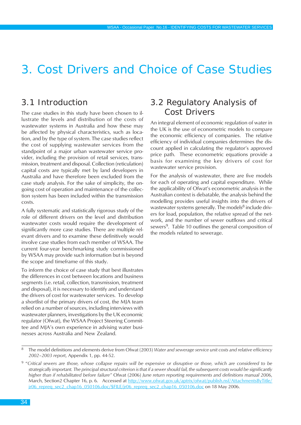# <span id="page-33-0"></span>3. Cost Drivers and Choice of Case Studies

# 3.1 Introduction

The case studies in this study have been chosen to illustrate the levels and distribution of the costs of wastewater systems in Australia and how these may be affected by physical characteristics, such as location, and by the type of system. The case studies reflect the cost of supplying wastewater services from the standpoint of a major urban wastewater service provider, including the provision of retail services, transmission, treatment and disposal. Collection (reticulation) capital costs are typically met by land developers in Australia and have therefore been excluded from the case study analysis. For the sake of simplicity, the ongoing cost of operation and maintenance of the collection system has been included within the transmission costs.

A fully systematic and statistically rigorous study of the role of different drivers on the level and distribution wastewater costs would require the development of significantly more case studies. There are multiple relevant drivers and to examine these definitively would involve case studies from each member of WSAA. The current four-year benchmarking study commissioned by WSAA may provide such information but is beyond the scope and timeframe of this study.

To inform the choice of case study that best illustrates the differences in cost between locations and business segments (i.e. retail, collection, transmission, treatment and disposal), it is necessary to identify and understand the drivers of cost for wastewater services. To develop a shortlist of the primary drivers of cost, the MJA team relied on a number of sources, including interviews with wastewater planners, investigations by the UK economic regulator (Ofwat), the WSAA Project Steering Committee and MJA's own experience in advising water businesses across Australia and New Zealand.

# 3.2 Regulatory Analysis of Cost Drivers

An integral element of economic regulation of water in the UK is the use of econometric models to compare the economic efficiency of companies. The relative efficiency of individual companies determines the discount applied in calculating the regulator's approved price path. These econometric equations provide a basis for examining the key drivers of cost for wastewater service provision.

For the analysis of wastewater, there are five models for each of operating and capital expenditure. While the applicability of Ofwat's econometric analysis in the Australian context is debatable, the analysis behind the modelling provides useful insights into the drivers of wastewater systems generally. The models<sup>8</sup> include drivers for load, population, the relative spread of the network, and the number of sewer outflows and critical sewers<sup>9</sup>. Table 10 outlines the general composition of the models related to sewerage.

<sup>8</sup> The model definitions and elements derive from Ofwat (2003) *Water and sewerage service unit costs and relative efficiency 2002–2003 report*, Appendix 1, pp. 44-52.

<sup>9 &</sup>quot;*Critical sewers are those, whose collapse repairs will be expensive or disruptive or those, which are considered to be strategically important. The principal structural criterion is that if a sewer should fail, the subsequent costs would be significantly higher than if rehabilitated before failure"* Ofwat (2006) *June return reporting requirements and definitions manual 2006*, March, Section2 Chapter 16, p. 6. Accessed at http://www.ofwat.gov.uk/aptrix/ofwat/publish.nsf/AttachmentsByTitle/ jr06\_repreq\_sec2\_chap16\_050106.doc/\$FILE/jr06\_repreq\_sec2\_chap16\_050106.doc on 18 May 2006.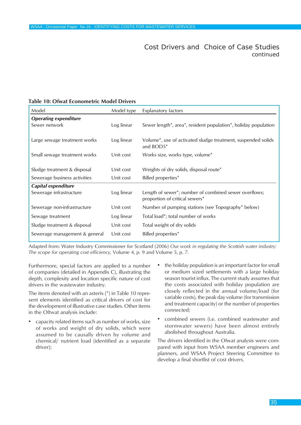Cost Drivers and Choice of Case Studies *continued*

| Model                                         | Model type | <b>Explanatory factors</b>                                                              |
|-----------------------------------------------|------------|-----------------------------------------------------------------------------------------|
| <b>Operating expenditure</b><br>Sewer network | Log linear | Sewer length*, area*, resident population*, holiday population                          |
| Large sewage treatment works                  | Log linear | Volume <sup>*</sup> , use of activated sludge treatment, suspended solids<br>and BOD5*  |
| Small sewage treatment works                  | Unit cost  | Works size, works type, volume <sup>*</sup>                                             |
|                                               |            |                                                                                         |
| Sludge treatment & disposal                   | Unit cost  | Weights of dry solids, disposal route*                                                  |
| Sewerage business activities                  | Unit cost  | Billed properties*                                                                      |
| Capital expenditure                           |            |                                                                                         |
| Sewerage infrastructure                       | Log linear | Length of sewer*; number of combined sewer overflows;<br>proportion of critical sewers* |
| Sewerage non-infrastructure                   | Unit cost  | Number of pumping stations (see Topography* below)                                      |
| Sewage treatment                              | Log linear | Total load <sup>*</sup> ; total number of works                                         |
| Sludge treatment & disposal                   | Unit cost  | Total weight of dry solids                                                              |
| Sewerage management & general                 | Unit cost  | Billed properties*                                                                      |

#### **Table 10: Ofwat Econometric Model Drivers**

Adapted from: Water Industry Commissioner for Scotland (2006) *Our work in regulating the Scottish water industry: The scope for operating cost efficiency*, Volume 4, p. 9 and Volume 5, p. 7.

Furthermore, special factors are applied to a number of companies (detailed in Appendix C), illustrating the depth, complexity and location specific nature of cost drivers in the wastewater industry.

The items denoted with an asterix (\*) in Table 10 represent elements identified as critical drivers of cost for the development of illustrative case studies. Other items in the Oftwat analysis include:

- capacity related items such as number of works, size of works and weight of dry solids, which were assumed to be causally driven by volume and chemical/ nutrient load (identified as a separate driver);
- the holiday population is an important factor for small or medium sized settlements with a large holiday season tourist influx. The current study assumes that the costs associated with holiday population are closely reflected in the annual volume/load (for variable costs), the peak day volume (for transmission and treatment capacity) or the number of properties connected;
- combined sewers (i.e. combined wastewater and stormwater sewers) have been almost entirely abolished throughout Australia.

The drivers identified in the Ofwat analysis were compared with input from WSAA member engineers and planners, and WSAA Project Steering Committee to develop a final shortlist of cost drivers.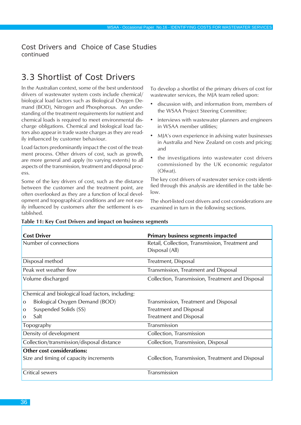<span id="page-35-0"></span>Cost Drivers and Choice of Case Studies *continued*

# 3.3 Shortlist of Cost Drivers

In the Australian context, some of the best understood drivers of wastewater system costs include chemical/ biological load factors such as Biological Oxygen Demand (BOD), Nitrogen and Phosphorous. An understanding of the treatment requirements for nutrient and chemical loads is required to meet environmental discharge obligations. Chemical and biological load factors also appear in trade waste charges as they are readily influenced by customer behaviour.

Load factors predominantly impact the cost of the treatment process. Other drivers of cost, such as growth, are more general and apply (to varying extents) to all aspects of the transmission, treatment and disposal process.

Some of the key drivers of cost, such as the distance between the customer and the treatment point, are often overlooked as they are a function of local development and topographical conditions and are not easily influenced by customers after the settlement is established.

To develop a shortlist of the primary drivers of cost for wastewater services, the MJA team relied upon:

- discussion with, and information from, members of the WSAA Project Steering Committee;
- interviews with wastewater planners and engineers in WSAA member utilities;
- MJA's own experience in advising water businesses in Australia and New Zealand on costs and pricing; and
- the investigations into wastewater cost drivers commissioned by the UK economic regulator (Ofwat).

The key cost drivers of wastewater service costs identified through this analysis are identified in the table below.

The short-listed cost drivers and cost considerations are examined in turn in the following sections.

| <b>Cost Driver</b>                               | <b>Primary business segments impacted</b>        |
|--------------------------------------------------|--------------------------------------------------|
| Number of connections                            | Retail, Collection, Transmission, Treatment and  |
|                                                  | Disposal (All)                                   |
| Disposal method                                  | Treatment, Disposal                              |
| Peak wet weather flow                            | Transmission, Treatment and Disposal             |
| Volume discharged                                | Collection, Transmission, Treatment and Disposal |
| Chemical and biological load factors, including: |                                                  |
| Biological Oxygen Demand (BOD)<br>$\overline{O}$ | Transmission, Treatment and Disposal             |
| Suspended Solids (SS)<br>$\overline{O}$          | <b>Treatment and Disposal</b>                    |
| Salt<br>$\overline{O}$                           | <b>Treatment and Disposal</b>                    |
| Topography                                       | Transmission                                     |
| Density of development                           | Collection, Transmission                         |
| Collection/transmission/disposal distance        | Collection, Transmission, Disposal               |
| Other cost considerations:                       |                                                  |
| Size and timing of capacity increments           | Collection, Transmission, Treatment and Disposal |
| Critical sewers                                  | Transmission                                     |

#### **Table 11: Key Cost Drivers and impact on business segments**

Л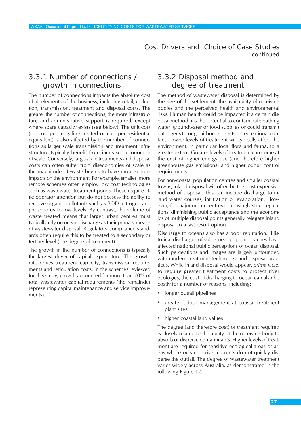# 3.3.1 Number of connections / growth in connections

The number of connections impacts the absolute cost of all elements of the business, including retail, collection, transmission, treatment and disposal costs. The greater the number of connections, the more infrastructure and administrative support is required, except where spare capacity exists (see below). The unit cost (i.e. cost per megalitre treated or cost per residential equivalent) is also affected by the number of connections as larger scale transmission and treatment infrastructure typically benefit from increased economies of scale. Conversely, large-scale treatments and disposal costs can often suffer from diseconomies of scale as the magnitude of waste begins to have more serious impacts on the environment. For example, smaller, more remote schemes often employ low cost technologies such as wastewater treatment ponds. These require little operator attention but do not possess the ability to remove organic pollutants such as BOD, nitrogen and phosphorus to low levels. By contrast, the volume of waste treated means that larger urban centres must typically rely on ocean discharge as their primary means of wastewater disposal. Regulatory compliance standards often require this to be treated to a secondary or tertiary level (see degree of treatment).

The growth in the number of connections is typically the largest driver of capital expenditure. The growth rate drives treatment capacity, transmission requirements and reticulation costs. In the schemes reviewed for this study, growth accounted for more than 70% of total wastewater capital requirements (the remainder representing capital maintenance and service improvements).

# 3.3.2 Disposal method and degree of treatment

The method of wastewater disposal is determined by the size of the settlement, the availability of receiving bodies and the perceived health and environmental risks. Human health could be impacted if a certain disposal method has the potential to contaminate bathing water, groundwater or food supplies or could transmit pathogens through airborne insects or recreational contact. Lower levels of treatment will typically affect the environment, in particular local flora and fauna, to a greater extent. Greater levels of treatment can come at the cost of higher energy use (and therefore higher greenhouse gas emissions) and higher odour control requirements.

For non-coastal population centres and smaller coastal towns, inland disposal will often be the least expensive method of disposal. This can include discharge to inland water courses, infiltration or evaporation. However, for major urban centres increasingly strict regulations, diminishing public acceptance and the economics of multiple disposal points generally relegate inland disposal to a last resort option.

Discharge to oceans also has a poor reputation. Historical discharges of solids near popular beaches have affected national public perceptions of ocean disposal. Such perceptions and images are largely unfounded with modern treatment technology and disposal practices. While inland disposal would appear, *prima facie*, to require greater treatment costs to protect river ecologies, the cost of discharging to ocean can also be costly for a number of reasons, including:

- longer outfall pipelines
- greater odour management at coastal treatment plant sites
- higher coastal land values

The degree (and therefore cost) of treatment required is closely related to the ability of the receiving body to absorb or disperse contaminants. Higher levels of treatment are required for sensitive ecological areas or areas where ocean or river currents do not quickly disperse the outfall. The degree of wastewater treatment varies widely across Australia, as demonstrated in the following Figure 12.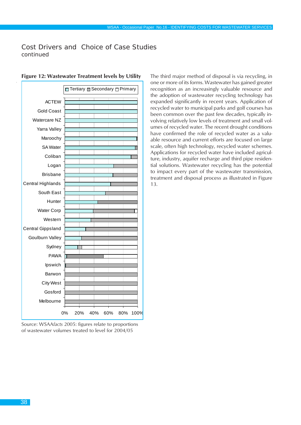|                          | <b>N</b> Tertiary <b>Z</b> Secondary □ Primary |
|--------------------------|------------------------------------------------|
| <b>ACTEW</b>             |                                                |
| Gold Coast               |                                                |
| Watercare NZ             |                                                |
| Yarra Valley             |                                                |
| Maroochy                 |                                                |
| <b>SA Water</b>          | ,,,,,,,,,,,,,,,,,,,,,,,,,,,,,,                 |
| Coliban                  |                                                |
| Logan                    | Sittilitti till                                |
| <b>Brisbane</b>          |                                                |
| Central Highlands        | <i>Villiniminini</i>                           |
| South East               | William                                        |
| Hunter                   | <i>SHIIRIIKII HIIKII HIIKII</i>                |
| Water Corp               |                                                |
| Western                  |                                                |
| <b>Central Gippsland</b> |                                                |
| Goulburn Valley          |                                                |
| Sydney                   |                                                |
| <b>PAWA</b>              | <i>Simmuniminininin</i>                        |
| Ipswich                  |                                                |
| Barwon                   | MUUTUUTUUTUUTUUTUUTUUTUU                       |
| <b>City West</b>         |                                                |
| Gosford                  | <i>mmmmmmmmm</i>                               |
| Melbourne                |                                                |
|                          | 0%<br>20%<br>40%<br>60%<br>80%<br>100%         |

**Figure 12: Wastewater Treatment levels by Utility**

Source: WSAA*facts* 2005: figures relate to proportions of wastewater volumes treated to level for 2004/05

The third major method of disposal is via recycling, in one or more of its forms. Wastewater has gained greater recognition as an increasingly valuable resource and the adoption of wastewater recycling technology has expanded significantly in recent years. Application of recycled water to municipal parks and golf courses has been common over the past few decades, typically involving relatively low levels of treatment and small volumes of recycled water. The recent drought conditions have confirmed the role of recycled water as a valuable resource and current efforts are focused on large scale, often high technology, recycled water schemes. Applications for recycled water have included agriculture, industry, aquifer recharge and third pipe residential solutions. Wastewater recycling has the potential to impact every part of the wastewater transmission, treatment and disposal process as illustrated in Figure 13.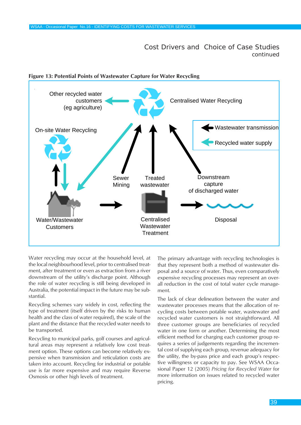

**Figure 13: Potential Points of Wastewater Capture for Water Recycling**

Water recycling may occur at the household level, at the local neighbourhood level, prior to centralised treatment, after treatment or even as extraction from a river downstream of the utility's discharge point. Although the role of water recycling is still being developed in Australia, the potential impact in the future may be substantial.

Recycling schemes vary widely in cost, reflecting the type of treatment (itself driven by the risks to human health and the class of water required), the scale of the plant and the distance that the recycled water needs to be transported.

Recycling to municipal parks, golf courses and agricultural areas may represent a relatively low cost treatment option. These options can become relatively expensive when transmission and reticulation costs are taken into account. Recycling for industrial or potable use is far more expensive and may require Reverse Osmosis or other high levels of treatment.

The primary advantage with recycling technologies is that they represent both a method of wastewater disposal and a source of water. Thus, even comparatively expensive recycling processes may represent an overall reduction in the cost of total water cycle management.

The lack of clear delineation between the water and wastewater processes means that the allocation of recycling costs between potable water, wastewater and recycled water customers is not straightforward. All three customer groups are beneficiaries of recycled water in one form or another. Determining the most efficient method for charging each customer group requires a series of judgements regarding the incremental cost of supplying each group, revenue adequacy for the utility, the by-pass price and each group's respective willingness or capacity to pay. See WSAA Occasional Paper 12 (2005) *Pricing for Recycled Water* for more information on issues related to recycled water pricing.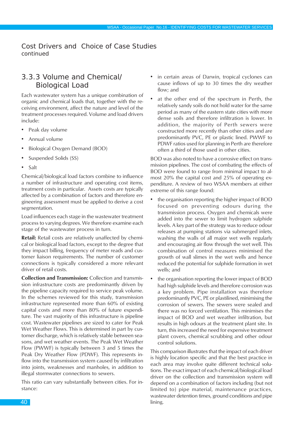# 3.3.3 Volume and Chemical/ Biological Load

Each wastewater system has a unique combination of organic and chemical loads that, together with the receiving environment, affect the nature and level of the treatment processes required. Volume and load drivers include:

- Peak day volume
- Annual volume
- Biological Oxygen Demand (BOD)
- Suspended Solids (SS)
- Salt

Chemical/biological load factors combine to influence a number of infrastructure and operating cost items, treatment costs in particular. Assets costs are typically affected by a combination of factors and therefore engineering assessment must be applied to derive a cost segmentation.

Load influences each stage in the wastewater treatment process to varying degrees. We therefore examine each stage of the wastewater process in turn.

**Retail:** Retail costs are relatively unaffected by chemical or biological load factors, except to the degree that they impact billing, frequency of meter reads and customer liaison requirements. The number of customer connections is typically considered a more relevant driver of retail costs.

**Collection and Transmission:** Collection and transmission infrastructure costs are predominantly driven by the pipeline capacity required to service peak volume. In the schemes reviewed for this study, transmission infrastructure represented more than 60% of existing capital costs and more than 80% of future expenditure. The vast majority of this infrastructure is pipeline cost. Wastewater pipelines are sized to cater for Peak Wet Weather Flows. This is determined in part by customer discharge, which is relatively stable between seasons, and wet weather events. The Peak Wet Weather Flow (PWWF) is typically between 3 and 5 times the Peak Dry Weather Flow (PDWF). This represents inflow into the transmission system caused by infiltration into joints, weaknesses and manholes, in addition to illegal stormwater connections to sewers.

This ratio can vary substantially between cities. For instance:

- in certain areas of Darwin, tropical cyclones can cause inflows of up to 30 times the dry weather flow; and
- at the other end of the spectrum in Perth, the relatively sandy soils do not hold water for the same period as many of the eastern state cities with more dense soils and therefore infiltration is lower. In addition, the majority of Perth sewers were constructed more recently than other cities and are predominantly PVC, PE or plastic lined. PWWF to PDWF ratios used for planning in Perth are therefore often a third of those used in other cities.

BOD was also noted to have a corrosive effect on transmission pipelines. The cost of combating the effects of BOD were found to range from minimal impact to almost 20% the capital cost and 25% of operating expenditure. A review of two WSAA members at either extreme of this range found:

- the organisation reporting the higher impact of BOD focused on preventing odours during the transmission process. Oxygen and chemicals were added into the sewer to limit hydrogen sulphide levels. A key part of the strategy was to reduce odour releases at pumping stations via submerged inlets, washing the walls of all major wet wells regularly and encouraging air flow through the wet well. This combination of control measures minimised the growth of wall slimes in the wet wells and hence reduced the potential for sulphide formation in wet wells; and
- the organisation reporting the lower impact of BOD had high sulphide levels and therefore corrosion was a key problem. Pipe installation was therefore predominantly PVC, PE or plastilined, minimising the corrosion of sewers. The sewers were sealed and there was no forced ventilation. This minimises the impact of BOD and wet weather infiltration, but results in high odours at the treatment plant site. In turn, this increased the need for expensive treatment plant covers, chemical scrubbing and other odour control solutions.

This comparison illustrates that the impact of each driver is highly location specific and that the best practice in each area may involve quite different technical solutions. The exact impact of each chemical/biological load driver on the collection and transmission system will depend on a combination of factors including (but not limited to) pipe material, maintenance practices, wastewater detention times, ground conditions and pipe lining.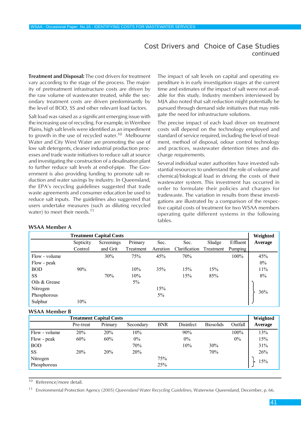**Treatment and Disposal:** The cost drivers for treatment vary according to the stage of the process. The majority of pretreatment infrastructure costs are driven by the raw volume of wastewater treated, while the secondary treatment costs are driven predominantly by the level of BOD, SS and other relevant load factors.

Salt load was raised as a significant emerging issue with the increasing use of recycling. For example, in Werribee Plains, high salt levels were identified as an impediment to growth in the use of recycled water.<sup>10</sup> Melbourne Water and City West Water are promoting the use of low salt detergents, cleaner industrial production processes and trade waste initiatives to reduce salt at source and investigating the construction of a desalination plant to further reduce salt levels at end-of-pipe. The Government is also providing funding to promote salt reduction and water savings by industry. In Queensland, the EPA's recycling guidelines suggested that trade waste agreements and consumer education be used to reduce salt inputs. The guidelines also suggested that users undertake measures (such as diluting recycled water) to meet their needs.<sup>11</sup>

The impact of salt levels on capital and operating expenditure is in early investigation stages at the current time and estimates of the impact of salt were not available for this study. Industry members interviewed by MJA also noted that salt reduction might potentially be pursued through demand side initiatives that may mitigate the need for infrastructure solutions.

The precise impact of each load driver on treatment costs will depend on the technology employed and standard of service required, including the level of treatment, method of disposal, odour control technology and practices, wastewater detention times and discharge requirements.

Several individual water authorities have invested substantial resources to understand the role of volume and chemical/biological load in driving the costs of their wastewater system. This investment has occurred in order to formulate their policies and charges for tradewaste. The variation in results from these investigations are illustrated by a comparison of the respective capital costs of treatment for two WSAA members operating quite different systems in the following tables.

| <b>Treatment Capital Costs</b> |           |            |           |          |               |           |          | Weighted |
|--------------------------------|-----------|------------|-----------|----------|---------------|-----------|----------|----------|
|                                | Septicity | Screenings | Primary   | Sec.     | Sec.          | Sludge    | Effluent | Average  |
|                                | Control   | and Grit   | Treatment | Aeration | Clarification | Treatment | Pumping  |          |
| Flow - volume                  |           | 30%        | 75%       | 45%      | 70%           |           | 100%     | 45%      |
| Flow - peak                    |           |            |           |          |               |           |          | $0\%$    |
| <b>BOD</b>                     | 90%       |            | 10%       | 35%      | 15%           | 15%       |          | 11%      |
| <b>SS</b>                      |           | 70%        | 10%       |          | 15%           | 85%       |          | 8%       |
| Oils & Grease                  |           |            | 5%        |          |               |           |          |          |
| Nitrogen                       |           |            |           | 15%      |               |           |          | 36%      |
| Phosphorous                    |           |            |           | 5%       |               |           |          |          |
| Sulphur                        | 10%       |            |           |          |               |           |          |          |

#### **WSAA Member A**

#### **WSAA Member B**

|               | <b>Treatment Capital Costs</b> |         |           |            |           |                  |         | Weighted |
|---------------|--------------------------------|---------|-----------|------------|-----------|------------------|---------|----------|
|               | Pre-treat                      | Primary | Secondary | <b>BNR</b> | Disinfect | <b>Biosolids</b> | Outfall | Average  |
| Flow - volume | 20%                            | 20%     | 10%       |            | 90%       |                  | 100%    | 13%      |
| Flow - peak   | 60%                            | 60%     | $0\%$     |            | $0\%$     |                  | $0\%$   | 15%      |
| <b>BOD</b>    |                                |         | 70%       |            | 10%       | 30%              |         | 31%      |
| <b>SS</b>     | 20%                            | 20%     | 20%       |            |           | 70%              |         | 26%      |
| Nitrogen      |                                |         |           | 75%        |           |                  |         | 15%      |
| Phosphorous   |                                |         |           | 25%        |           |                  |         |          |

<sup>10</sup> Reference/more detail.

<sup>11</sup> Environmental Protection Agency (2005) *Queensland Water Recycling Guidelines*, Waterwise Queensland, December, p. 66.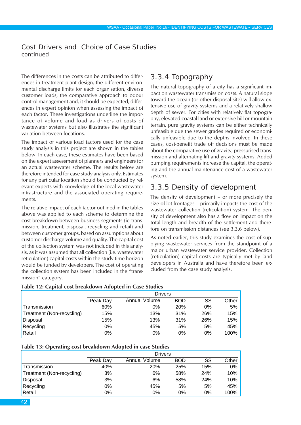The differences in the costs can be attributed to differences in treatment plant design, the different environmental discharge limits for each organisation, diverse customer loads, the comparative approach to odour control management and, it should be expected, differences in expert opinion when assessing the impact of each factor. These investigations underline the importance of volume and load as drivers of costs of wastewater systems but also illustrates the significant variation between locations.

The impact of various load factors used for the case study analysis in this project are shown in the tables below. In each case, these estimates have been based on the expert assessment of planners and engineers for an actual wastewater scheme. The results below are therefore intended for case study analysis only. Estimates for any particular location should be conducted by relevant experts with knowledge of the local wastewater infrastructure and the associated operating requirements.

The relative impact of each factor outlined in the tables above was applied to each scheme to determine the cost breakdown between business segments (ie transmission, treatment, disposal, recycling and retail) and between customer groups, based on assumptions about customer discharge volume and quality. The capital cost of the collection system was not included in this analysis, as it was assumed that all collection (i.e. wastewater reticulation) capital costs within the study time horizon would be funded by developers. The cost of operating the collection system has been included in the "transmission" category.

# 3.3.4 Topography

The natural topography of a city has a significant impact on wastewater transmission costs. A natural slope toward the ocean (or other disposal site) will allow extensive use of gravity systems and a relatively shallow depth of sewer. For cities with relatively flat topography, elevated coastal land or extensive hill or mountain terrain, pure gravity systems can be either technically unfeasible due the sewer grades required or economically unfeasible due to the depths involved. In these cases, cost-benefit trade off decisions must be made about the comparative use of gravity, pressurised transmission and alternating lift and gravity systems. Added pumping requirements increase the capital, the operating and the annual maintenance cost of a wastewater system.

## 3.3.5 Density of development

The density of development – or more precisely the size of lot frontages – primarily impacts the cost of the wastewater collection (reticulation) system. The density of development also has a flow on impact on the total length and breadth of the settlement and therefore on transmission distances (see 3.3.6 below).

As noted earlier, this study examines the cost of supplying wastewater services from the standpoint of a major urban wastewater service provider. Collection (reticulation) capital costs are typically met by land developers in Australia and have therefore been excluded from the case study analysis.

|                           | <b>Drivers</b> |               |            |     |       |  |  |
|---------------------------|----------------|---------------|------------|-----|-------|--|--|
|                           | Peak Day       | Annual Volume | <b>BOD</b> | SS  | Other |  |  |
| Transmission              | 60%            | 0%            | <b>20%</b> | 0%  | 5%    |  |  |
| Treatment (Non-recycling) | 15%            | 13%           | 31%        | 26% | 15%   |  |  |
| Disposal                  | 15%            | 13%           | 31%        | 26% | 15%   |  |  |
| Recycling                 | 0%             | 45%           | 5%         | 5%  | 45%   |  |  |
| Retail                    | 0%             | 0%            | 0%         | 0%  | 100%  |  |  |

|  |  |  | Table 13: Operating cost breakdown Adopted in case Studies |  |  |  |  |  |  |  |  |  |  |  |
|--|--|--|------------------------------------------------------------|--|--|--|--|--|--|--|--|--|--|--|
|--|--|--|------------------------------------------------------------|--|--|--|--|--|--|--|--|--|--|--|

|                           | <b>Drivers</b> |               |     |     |       |  |  |  |
|---------------------------|----------------|---------------|-----|-----|-------|--|--|--|
|                           | Peak Day       | Annual Volume | BOD | SS  | Other |  |  |  |
| Transmission              | 40%            | 20%           | 25% | 15% | 0%    |  |  |  |
| Treatment (Non-recycling) | 3%             | 6%            | 58% | 24% | 10%   |  |  |  |
| Disposal                  | 3%             | 6%            | 58% | 24% | 10%   |  |  |  |
| Recycling                 | 0%             | 45%           | 5%  | 5%  | 45%   |  |  |  |
| Retail                    | 0%             | 0%            | 0%  | 0%  | 100%  |  |  |  |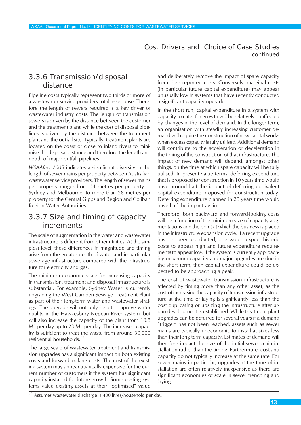# 3.3.6 Transmission/disposal distance

Pipeline costs typically represent two thirds or more of a wastewater service providers total asset base. Therefore the length of sewers required is a key driver of wastewater industry costs. The length of transmission sewers is driven by the distance between the customer and the treatment plant, while the cost of disposal pipelines is driven by the distance between the treatment plant and the outfall site. Typically, treatment plants are located on the coast or close to inland rivers to minimise the disposal distance and therefore the length and depth of major outfall pipelines.

*WSAAfact 2005* indicates a significant diversity in the length of sewer mains per property between Australian wastewater service providers. The length of sewer mains per property ranges from 14 metres per property in Sydney and Melbourne, to more than 28 metres per property for the Central Gippsland Region and Coliban Region Water Authorities.

# 3.3.7 Size and timing of capacity increments

The scale of augmentation in the water and wastewater infrastructure is different from other utilities. At the simplest level, these differences in magnitude and timing arise from the greater depth of water and in particular sewerage infrastructure compared with the infrastructure for electricity and gas.

The minimum economic scale for increasing capacity in transmission, treatment and disposal infrastructure is substantial. For example, Sydney Water is currently upgrading the West Camden Sewage Treatment Plant as part of their long-term water and wastewater strategy. The upgrade will not only help to improve water quality in the Hawkesbury Nepean River system, but will also increase the capacity of the plant from 10.8 ML per day up to 23 ML per day. The increased capacity is sufficient to treat the waste from around 30,000 residential households.12

The large scale of wastewater treatment and transmission upgrades has a significant impact on both existing costs and forward-looking costs. The cost of the existing system may appear atypically expensive for the current number of customers if the system has significant capacity installed for future growth. Some costing systems value existing assets at their "optimised" value

and deliberately remove the impact of spare capacity from their reported costs. Conversely, marginal costs (in particular future capital expenditure) may appear unusually low in systems that have recently conducted a significant capacity upgrade.

In the short run, capital expenditure in a system with capacity to cater for growth will be relatively unaffected by changes in the level of demand. In the longer term, an organisation with steadily increasing customer demand will require the construction of new capital works when excess capacity is fully utilised. Additional demand will contribute to the acceleration or deceleration in the timing of the construction of that infrastructure. The impact of new demand will depend, amongst other things, on the time at which spare capacity will be fully utilised. In present value terms, deferring expenditure that is proposed for construction in 10 years time would have around half the impact of deferring equivalent capital expenditure proposed for construction today. Deferring expenditure planned in 20 years time would have half the impact again.

Therefore, both backward and forward-looking costs will be a function of the minimum size of capacity augmentations and the point at which the business is placed in the infrastructure expansion cycle. If a recent upgrade has just been conducted, one would expect historic costs to appear high and future expenditure requirements to appear low. If the system is currently approaching maximum capacity and major upgrades are due in the short term, then capital expenditure could be expected to be approaching a peak.

The cost of wastewater transmission infrastructure is affected by timing more than any other asset, as the cost of increasing the capacity of transmission infrastructure at the time of laying is significantly less than the cost duplicating or upsizing the infrastructure after urban development is established. While treatment plant upgrades can be deferred for several years if a demand "trigger" has not been reached, assets such as sewer mains are typically uneconomic to install at sizes less than their long term capacity. Estimates of demand will therefore impact the size of the initial sewer main installation rather than the timing. Furthermore, cost and capacity do not typically increase at the same rate. For sewer mains in particular, upgrades at the time of installation are often relatively inexpensive as there are significant economies of scale in sewer trenching and laying.

12 Assumes wastewater discharge is 400 litres/household per day.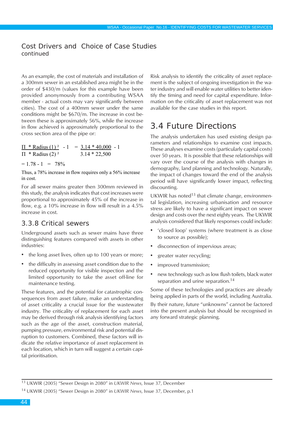As an example, the cost of materials and installation of a 300mm sewer in an established area might be in the order of \$430/m (values for this example have been provided anonymously from a contributing WSAA member - actual costs may vary significantly between cities). The cost of a 400mm sewer under the same conditions might be \$670/m. The increase in cost between these is approximately 56%, while the increase in flow achieved is approximately proportional to the cross section area of the pipe or:

$$
\frac{\Pi * \text{Radius} (1)^2}{\Pi * \text{Radius} (2)^2} - 1 = \frac{3.14 * 40,000}{3.14 * 22,500} - 1
$$

 $= 1.78 - 1 = 78\%$ 

Thus, a 78% increase in flow requires only a 56% increase in cost.

For all sewer mains greater then 300mm reviewed in this study, the analysis indicates that cost increases were proportional to approximately 45% of the increase in flow, e.g. a 10% increase in flow will result in a 4.5% increase in cost.

## 3.3.8 Critical sewers

Underground assets such as sewer mains have three distinguishing features compared with assets in other industries:

- the long asset lives, often up to 100 years or more;
- the difficulty in assessing asset condition due to the reduced opportunity for visible inspection and the limited opportunity to take the asset off-line for maintenance testing.

These features, and the potential for catastrophic consequences from asset failure, make an understanding of asset criticality a crucial issue for the wastewater industry. The criticality of replacement for each asset may be derived through risk analysis identifying factors such as the age of the asset, construction material, pumping pressure, environmental risk and potential disruption to customers. Combined, these factors will indicate the relative importance of asset replacement in each location, which in turn will suggest a certain capital prioritisation.

Risk analysis to identify the criticality of asset replacement is the subject of ongoing investigation in the water industry and will enable water utilities to better identify the timing and need for capital expenditure. Information on the criticality of asset replacement was not available for the case studies in this report.

# 3.4 Future Directions

The analysis undertaken has used existing design parameters and relationships to examine cost impacts. These analyses examine costs (particularly capital costs) over 50 years. It is possible that these relationships will vary over the course of the analysis with changes in demography, land planning and technology. Naturally, the impact of changes toward the end of the analysis period will have significantly lower impact, reflecting discounting.

UKWIR has noted $13$  that climate change, environmental legislation, increasing urbanisation and resource stress are likely to have a significant impact on sewer design and costs over the next eighty years. The UKWIR analysis considered that likely responses could include:

- 'closed loop' systems (where treatment is as close to source as possible);
- disconnection of impervious areas;
- greater water recycling;
- improved transmission;
- new technology such as low flush toilets, black water separation and urine separation.<sup>14</sup>

Some of these technologies and practices are already being applied in parts of the world, including Australia.

By their nature, future "unknowns" cannot be factored into the present analysis but should be recognised in any forward strategic planning.

<sup>13</sup> UKWIR (2005) "Sewer Design in 2080" in *UKWIR News*, Issue 37, December

<sup>14</sup> UKWIR (2005) "Sewer Design in 2080" in *UKWIR News*, Issue 37, December, p.1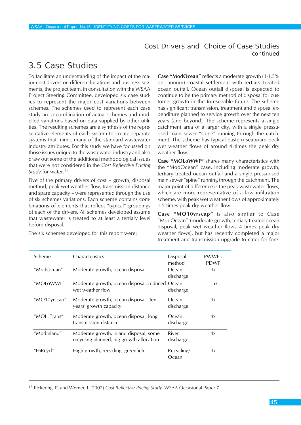# 3.5 Case Studies

To facilitate an understanding of the impact of the major cost drivers on different locations and business segments, the project team, in consultation with the WSAA Project Steering Committee, developed six case studies to represent the major cost variations between schemes. The schemes used to represent each case study are a combination of actual schemes and modelled variations based on data supplied by other utilities. The resulting schemes are a synthesis of the representative elements of each system to create separate systems that mimic many of the standard wastewater industry attributes. For this study we have focussed on those issues unique to the wastewater industry and also draw out some of the additional methodological issues that were not considered in the *Cost Reflective Pricing Study* for water.15

Five of the primary drivers of cost – growth, disposal method, peak wet weather flow, transmission distance and spare capacity – were represented through the use of six schemes variations. Each scheme contains combinations of elements that reflect "typical" groupings of each of the drivers. All schemes developed assume that wastewater is treated to at least a tertiary level before disposal.

The six schemes developed for this report were:

**Case "ModOcean"** reflects a moderate growth (1-1.5% per annum) coastal settlement with tertiary treated ocean outfall. Ocean outfall disposal is expected to continue to be the primary method of disposal for customer growth in the foreseeable future. The scheme has significant transmission, treatment and disposal expenditure planned to service growth over the next ten years (and beyond). The scheme represents a single catchment area of a larger city, with a single pressurised main sewer "spine" running through the catchment. The scheme has typical eastern seaboard peak wet weather flows of around 4 times the peak dry weather flow.

**Case "MOLoWWF"** shares many characteristics with the "ModOcean" case, including moderate growth, tertiary treated ocean outfall and a single pressurised main sewer "spine" running through the catchment. The major point of difference is the peak wastewater flows, which are more representative of a low infiltration scheme, with peak wet weather flows of approximately 1.5 times peak dry weather flow.

**Case "MO10yrscap"** is also similar to Case "ModOcean" (moderate growth, tertiary treated ocean disposal, peak wet weather flows 4 times peak dry weather flows), but has recently completed a major treatment and transmission upgrade to cater for fore-

| Scheme       | <b>Characteristics</b>                                                             | Disposal<br>method  | PWWF:<br><b>PDWF</b> |
|--------------|------------------------------------------------------------------------------------|---------------------|----------------------|
| "ModOcean"   | Moderate growth, ocean disposal                                                    | Ocean<br>discharge  | 4x                   |
| "MOLoWWF"    | Moderate growth, ocean disposal, reduced Ocean<br>wet weather flow                 | discharge           | 1.5x                 |
| "MO10yrscap" | Moderate growth, ocean disposal, ten<br>years' growth capacity                     | Ocean<br>discharge  | 4x                   |
| "MOHiTrans"  | Moderate growth, ocean disposal, long<br>transmission distance                     | Ocean<br>discharge  | 4x                   |
| "ModInland"  | Moderate growth, inland disposal, some<br>recycling planned, big growth allocation | River<br>discharge  | 4x                   |
| "HiRcycl"    | High growth, recycling, greenfield                                                 | Recycling/<br>Ocean | 4x                   |

15 Pickering, P, and Werner, L (2002) *Cost Reflective Pricing Study,* WSAA Occasional Paper 7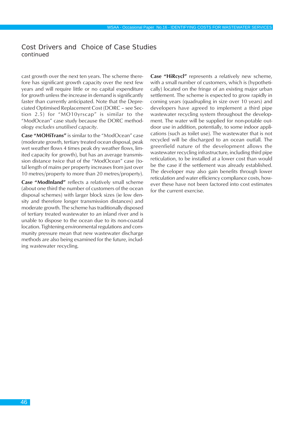cast growth over the next ten years. The scheme therefore has significant growth capacity over the next few years and will require little or no capital expenditure for growth unless the increase in demand is significantly faster than currently anticipated. Note that the Depreciated Optimised Replacement Cost (DORC – see Section 2.5) for "MO10yrscap" is similar to the "ModOcean" case study because the DORC methodology *excludes unutilised capacity*.

**Case "MOHiTrans"** is similar to the "ModOcean" case (moderate growth, tertiary treated ocean disposal, peak wet weather flows 4 times peak dry weather flows, limited capacity for growth), but has an average transmission distance twice that of the "ModOcean" case (total length of mains per property increases from just over 10 metres/property to more than 20 metres/property).

**Case "ModInland"** reflects a relatively small scheme (about one third the number of customers of the ocean disposal schemes) with larger block sizes (ie low density and therefore longer transmission distances) and moderate growth. The scheme has traditionally disposed of tertiary treated wastewater to an inland river and is unable to dispose to the ocean due to its non-coastal location. Tightening environmental regulations and community pressure mean that new wastewater discharge methods are also being examined for the future, including wastewater recycling.

**Case "HiRcycl"** represents a relatively new scheme, with a small number of customers, which is (hypothetically) located on the fringe of an existing major urban settlement. The scheme is expected to grow rapidly in coming years (quadrupling in size over 10 years) and developers have agreed to implement a third pipe wastewater recycling system throughout the development. The water will be supplied for non-potable outdoor use in addition, potentially, to some indoor applications (such as toilet use). The wastewater that is not recycled will be discharged to an ocean outfall. The greenfield nature of the development allows the wastewater recycling infrastructure, including third pipe reticulation, to be installed at a lower cost than would be the case if the settlement was already established. The developer may also gain benefits through lower reticulation and water efficiency compliance costs, however these have not been factored into cost estimates for the current exercise.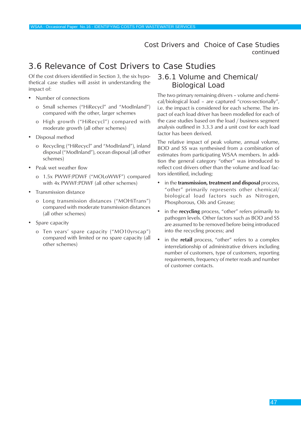# 3.6 Relevance of Cost Drivers to Case Studies

Of the cost drivers identified in Section 3, the six hypothetical case studies will assist in understanding the impact of:

- Number of connections
	- o Small schemes ("HiRecycl" and "ModInland") compared with the other, larger schemes
	- o High growth ("HiRecycl") compared with moderate growth (all other schemes)
- Disposal method
	- o Recycling ("HiRecycl" and "ModInland"), inland disposal ("ModInland"), ocean disposal (all other schemes)
- Peak wet weather flow
	- o 1.5x PWWF:PDWF ("MOLoWWF") compared with 4x PWWF:PDWF (all other schemes)
- Transmission distance
	- o Long transmission distances ("MOHiTrans") compared with moderate transmission distances (all other schemes)
- Spare capacity
	- o Ten years' spare capacity ("MO10yrscap") compared with limited or no spare capacity (all other schemes)

# 3.6.1 Volume and Chemical/ Biological Load

The two primary remaining drivers – volume and chemical/biological load – are captured "cross-sectionally", i.e. the impact is considered for each scheme. The impact of each load driver has been modelled for each of the case studies based on the load / business segment analysis outlined in 3.3.3 and a unit cost for each load factor has been derived.

The relative impact of peak volume, annual volume, BOD and SS was synthesised from a combination of estimates from participating WSAA members. In addition the general category "other" was introduced to reflect cost drivers other than the volume and load factors identified, including:

- in the **transmission, treatment and disposal** process, "other" primarily represents other chemical/ biological load factors such as Nitrogen, Phosphorous, Oils and Grease;
- in the **recycling** process, "other" refers primarily to pathogen levels. Other factors such as BOD and SS are assumed to be removed before being introduced into the recycling process; and
- in the **retail** process, "other" refers to a complex interrelationship of administrative drivers including number of customers, type of customers, reporting requirements, frequency of meter reads and number of customer contacts.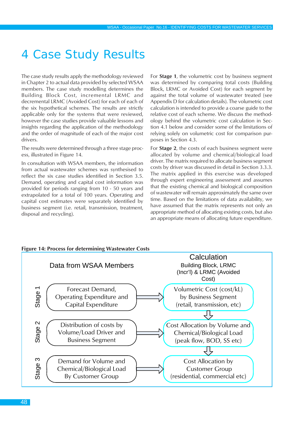# 4 Case Study Results

The case study results apply the methodology reviewed in Chapter 2 to actual data provided by selected WSAA members. The case study modelling determines the Building Block Cost, incremental LRMC and decremental LRMC (Avoided Cost) for each of each of the six hypothetical schemes. The results are strictly applicable only for the systems that were reviewed, however the case studies provide valuable lessons and insights regarding the application of the methodology and the order of magnitude of each of the major cost drivers.

The results were determined through a three stage process, illustrated in Figure 14.

In consultation with WSAA members, the information from actual wastewater schemes was synthesised to reflect the six case studies identified in Section 3.5. Demand, operating and capital cost information was provided for periods ranging from 10 - 50 years and extrapolated for a total of 100 years. Operating and capital cost estimates were separately identified by business segment (i.e. retail, transmission, treatment, disposal and recycling).

For **Stage 1**, the volumetric cost by business segment was determined by comparing total costs (Building Block, LRMC or Avoided Cost) for each segment by against the total volume of wastewater treated (see Appendix D for calculation details). The volumetric cost calculation is intended to provide a coarse guide to the relative cost of each scheme. We discuss the methodology behind the volumetric cost calculation in Section 4.1 below and consider some of the limitations of relying solely on volumetric cost for comparison purposes in Section 4.3.

For **Stage 2**, the costs of each business segment were allocated by volume and chemical/biological load driver. The matrix required to allocate business segment costs by driver was discussed in detail in Section 3.3.3. The matrix applied in this exercise was developed through expert engineering assessment and assumes that the existing chemical and biological composition of wastewater will remain approximately the same over time. Based on the limitations of data availability, we have assumed that the matrix represents not only an appropriate method of allocating existing costs, but also an appropriate means of allocating future expenditure.

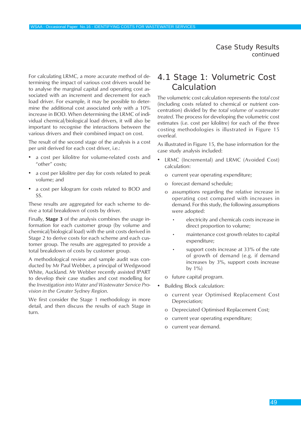For calculating LRMC, a more accurate method of determining the impact of various cost drivers would be to analyse the marginal capital and operating cost associated with an increment and decrement for each load driver. For example, it may be possible to determine the additional cost associated only with a 10% increase in BOD. When determining the LRMC of individual chemical/biological load drivers, it will also be important to recognise the interactions between the various drivers and their combined impact on cost.

The result of the second stage of the analysis is a cost per unit derived for each cost driver, i.e.:

- a cost per kilolitre for volume-related costs and "other" costs;
- a cost per kilolitre per day for costs related to peak volume; and
- a cost per kilogram for costs related to BOD and SS.

These results are aggregated for each scheme to derive a total breakdown of costs by driver.

Finally, **Stage 3** of the analysis combines the usage information for each customer group (by volume and chemical/biological load) with the unit costs derived in Stage 2 to derive costs for each scheme and each customer group. The results are aggregated to provide a total breakdown of costs by customer group.

A methodological review and sample audit was conducted by Mr Paul Webber, a principal of Wedgwood White, Auckland. Mr Webber recently assisted IPART to develop their case studies and cost modelling for the *Investigation into Water and Wastewater Service Provision in the Greater Sydney Region*.

We first consider the Stage 1 methodology in more detail, and then discuss the results of each Stage in turn.

# 4.1 Stage 1: Volumetric Cost **Calculation**

The volumetric cost calculation represents the *total cost* (including costs related to chemical or nutrient concentration) divided by the *total volume of wastewater treated*. The process for developing the volumetric cost estimates (i.e. cost per kilolitre) for each of the three costing methodologies is illustrated in Figure 15 overleaf.

As illustrated in Figure 15, the base information for the case study analysis included:

- LRMC (Incremental) and LRMC (Avoided Cost) calculation:
	- o current year operating expenditure;
	- o forecast demand schedule;
	- o assumptions regarding the relative increase in operating cost compared with increases in demand. For this study, the following assumptions were adopted:
		- electricity and chemicals costs increase in direct proportion to volume;
		- maintenance cost growth relates to capital expenditure;
		- support costs increase at 33% of the rate of growth of demand (e.g. if demand increases by 3%, support costs increase by 1%)
	- o future capital program.
- Building Block calculation:
	- o current year Optimised Replacement Cost Depreciation;
	- o Depreciated Optimised Replacement Cost;
	- o current year operating expenditure;
	- o current year demand.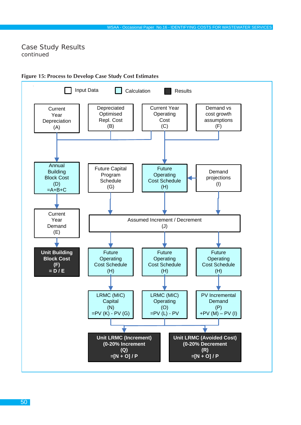

### **Figure 15: Process to Develop Case Study Cost Estimates**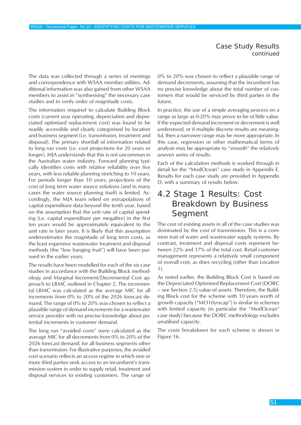The data was collected through a series of meetings and correspondence with WSAA member utilities. Additional information was also gained from other WSAA members to assist in "synthesising" the necessary case studies and to verify order of magnitude costs.

The information required to calculate Building Block costs (current year operating, depreciation and depreciated optimised replacement cost) was found to be readily accessible and clearly categorised by location and business segment (i.e. transmission, treatment and disposal). The primary shortfall of information related to long run costs (i.e. cost projections for 20 years or longer). MJA understands that this is not uncommon in the Australian water industry. Forward planning typically identifies costs with relative reliability over five years, with less reliable planning stretching to 10 years. For periods longer than 10 years, projections of the cost of long term water source solutions (and in many cases the water source planning itself) is limited. Accordingly, the MJA team relied on extrapolations of capital expenditure data beyond the tenth year, based on the assumption that the unit rate of capital spending (i.e. capital expenditure per megalitre) in the first ten years would be approximately equivalent to the unit rate in later years. It is likely that this assumption underestimates the magnitude of long term costs, as the least expensive wastewater treatment and disposal methods (the "low hanging fruit") will have been pursued in the earlier years.

The results have been modelled for each of the six case studies in accordance with the Building Block methodology and Marginal Increment/Decremental Cost approach to LRMC outlined in Chapter 2. The incremental LRMC was calculated as the average MIC for all increments from 0% to 20% of the 2026 forecast demand. The range of 0% to 20% was chosen to reflect a plausible range of demand increments for a wastewater service provider with no precise knowledge about potential increments in customer demand.

The long run "avoided costs" were calculated as the average MIC for all decrements from 0% to 20% of the 2026 forecast demand, for all business segments other than transmission. For illustrative purposes, the avoided cost scenario reflects an access regime in which one or more third parties seek access to an incumbent's transmission system in order to supply retail, treatment and disposal services to existing customers. The range of

0% to 20% was chosen to reflect a plausible range of demand decrements, assuming that the incumbent has no precise knowledge about the total number of customers that would be serviced by third parties in the future.

In practice, the use of a simple averaging process on a range as large as 0-20% may prove to be of little value. If the expected demand increment or decrement is well understood, or if multiple discrete results are meaningful, then a narrower range may be more appropriate. In this case, regression or other mathematical forms of analysis may be appropriate to "smooth" the relatively uneven series of results.

Each of the calculation methods is worked through in detail for the "ModOcean" case study in Appendix E. Results for each case study are provided in Appendix D, with a summary of results below.

# 4.2 Stage 1 Results: Cost Breakdown by Business Segment

The cost of existing assets in all of the case studies was dominated by the cost of transmission. This is a common trait of water and wastewater supply systems. By contrast, treatment and disposal costs represent between 22% and 37% of the total cost. Retail customer management represents a relatively small component of overall cost, as does recycling (other than Location 1).

As noted earlier, the Building Block Cost is based on the Depreciated Optimised Replacement Cost (DORC – see Section 2.5) value of assets. Therefore, the Building Block cost for the scheme with 10 years worth of growth capacity ("MO10yrscap") is similar to schemes with limited capacity (in particular the "ModOcean" case study) because the DORC methodology excludes unutilised capacity.

The costs breakdown for each scheme is shown in Figure 16.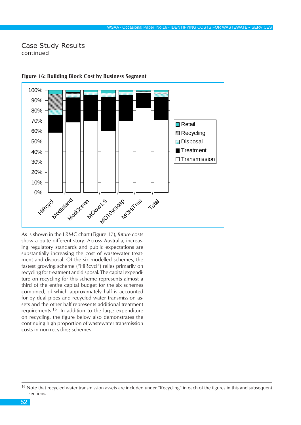

#### **Figure 16: Building Block Cost by Business Segment**

As is shown in the LRMC chart (Figure 17), *future* costs show a quite different story. Across Australia, increasing regulatory standards and public expectations are substantially increasing the cost of wastewater treatment and disposal. Of the six modelled schemes, the fastest growing scheme ("HiRcycl") relies primarily on recycling for treatment and disposal. The capital expenditure on recycling for this scheme represents almost a third of the entire capital budget for the six schemes combined, of which approximately half is accounted for by dual pipes and recycled water transmission assets and the other half represents additional treatment requirements.16 In addition to the large expenditure on recycling, the figure below also demonstrates the continuing high proportion of wastewater transmission costs in non-recycling schemes.

<sup>&</sup>lt;sup>16</sup> Note that recycled water transmission assets are included under "Recycling" in each of the figures in this and subsequent sections.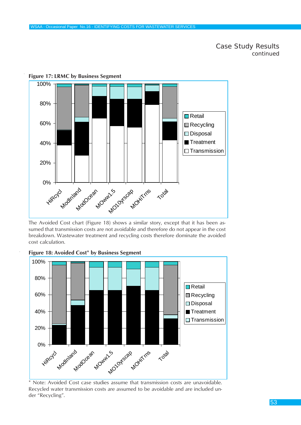

**Figure 17: LRMC by Business Segment**

The Avoided Cost chart (Figure 18) shows a similar story, except that it has been assumed that transmission costs are not avoidable and therefore do not appear in the cost breakdown. Wastewater treatment and recycling costs therefore dominate the avoided cost calculation.



**Figure 18: Avoided Cost\* by Business Segment**

Note: Avoided Cost case studies assume that transmission costs are unavoidable. Recycled water transmission costs are assumed to be avoidable and are included under "Recycling".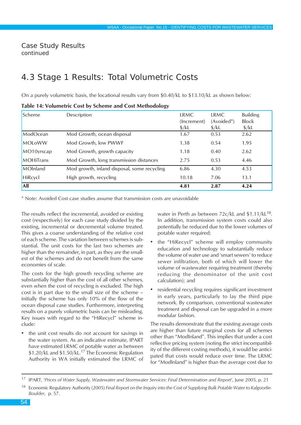# 4.3 Stage 1 Results: Total Volumetric Costs

On a purely volumetric basis, the locational results vary from \$0.40/kL to \$13.10/kL as shown below:

| Scheme        | Description                                 | LRMC<br>(Increment) | LRMC<br>(Avoided*) | <b>Building</b><br><b>Block</b> |
|---------------|---------------------------------------------|---------------------|--------------------|---------------------------------|
|               |                                             | $\frac{1}{2}$ /kL   | $\frac{\xi}{k}$    | $\frac{1}{2}$ /kL               |
| ModOcean      | Mod Growth, ocean disposal                  | 1.67                | 0.53               | 2.62                            |
| <b>MOLoWW</b> | Mod Growth, low PWWF                        | 1.38                | 0.54               | 1.95                            |
| MO10yrscap    | Mod Growth, growth capacity                 | 1.18                | 0.40               | 2.62                            |
| MOHiTrans     | Mod Growth, long transmission distances     | 2.75                | 0.53               | 4.46                            |
| MOInland      | Mod growth, inland disposal, some recycling | 6.86                | 4.30               | 4.53                            |
| HiRcycl       | High growth, recycling                      | 10.18               | 7.06               | 13.1                            |
| All           |                                             | 4.81                | 2.87               | 4.24                            |

\* Note: Avoided Cost case studies assume that transmission costs are unavoidable

The results reflect the incremental, avoided or existing cost (respectively) for each case study divided by the existing, incremental or decremental volume treated. This gives a coarse understanding of the relative cost of each scheme. The variation between schemes is substantial. The unit costs for the last two schemes are higher than the remainder, in part, as they are the smallest of the schemes and do not benefit from the same economies of scale.

The costs for the high growth recycling scheme are substantially higher than the cost of all other schemes, even when the cost of recycling is excluded. The high cost is in part due to the small size of the scheme – initially the scheme has only 10% of the flow of the ocean disposal case studies. Furthermore, interpreting results on a purely volumetric basis can be misleading. Key issues with regard to the "HiRecycl" scheme include:

• the unit cost results do *not* account for savings in the water system. As an indicative estimate, IPART have estimated LRMC of potable water as between \$1.20/kL and \$1.50/kL.<sup>17</sup> The Economic Regulation Authority in WA initially estimated the LRMC of water in Perth as between 72c/kL and \$1.11/kL<sup>18</sup>. In addition, transmission system costs could also potentially be reduced due to the lower volumes of potable water required;

- the "HiRecycl" scheme will employ community education and technology to substantially reduce the volume of water use and 'smart sewers' to reduce sewer infiltration, both of which will lower the volume of wastewater requiring treatment (thereby reducing the denominator of the unit cost calculation); and
- residential recycling requires significant investment in early years, particularly to lay the third pipe network. By comparison, conventional wastewater treatment and disposal can be upgraded in a more modular fashion.

The results demonstrate that the existing average costs are higher than future marginal costs for all schemes other than "ModInland". This implies that under a cost reflective pricing system (noting the strict incompatibility of the different costing methods), it would be anticipated that costs would reduce over time. The LRMC for "ModInland" is higher than the average cost due to

<sup>17</sup> IPART, '*Prices of Water Supply, Wastewater and Stormwater Services: Final Determination and Report*', June 2005, p. 21

<sup>18</sup> Economic Regulatory Authority (2005) *Final Report on the Inquiry into the Cost of Supplying Bulk Potable Water to Kalgoorlie-Boulder*, p. 57.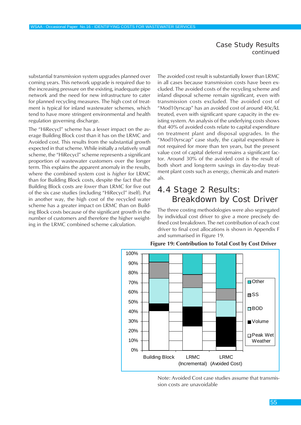substantial transmission system upgrades planned over coming years. This network upgrade is required due to the increasing pressure on the existing, inadequate pipe network and the need for new infrastructure to cater for planned recycling measures. The high cost of treatment is typical for inland wastewater schemes, which tend to have more stringent environmental and health regulation governing discharge.

The "HiRecycl" scheme has a lesser impact on the average Building Block cost than it has on the LRMC and Avoided cost. This results from the substantial growth expected in that scheme. While initially a relatively small scheme, the "HiRecycl" scheme represents a significant proportion of wastewater customers over the longer term. This explains the apparent anomaly in the results, where the combined system cost is *higher* for LRMC than for Building Block costs, despite the fact that the Building Block costs are *lower* than LRMC for five out of the six case studies (including "HiRecycl" itself). Put in another way, the high cost of the recycled water scheme has a greater impact on LRMC than on Building Block costs because of the significant growth in the number of customers and therefore the higher weighting in the LRMC combined scheme calculation.

The avoided cost result is substantially lower than LRMC in all cases because transmission costs have been excluded. The avoided costs of the recycling scheme and inland disposal scheme remain significant, even with transmission costs excluded. The avoided cost of "Mod10yrscap" has an avoided cost of around 40c/kL treated, even with significant spare capacity in the existing system. An analysis of the underlying costs shows that 40% of avoided costs relate to capital expenditure on treatment plant and disposal upgrades. In the "Mod10yrscap" case study, the capital expenditure is not required for more than ten years, but the present value cost of capital deferral remains a significant factor. Around 30% of the avoided cost is the result of both short and long-term savings in day-to-day treatment plant costs such as energy, chemicals and materials.

# 4.4 Stage 2 Results: Breakdown by Cost Driver

The three costing methodologies were also segregated by individual cost driver to give a more precisely defined cost breakdown. The net contribution of each cost driver to final cost allocations is shown in Appendix F and summarised in Figure 19.



**Figure 19: Contribution to Total Cost by Cost Driver**

Note: Avoided Cost case studies assume that transmission costs are unavoidable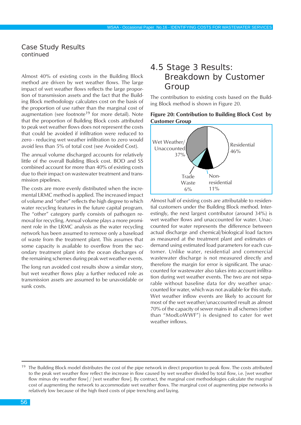Almost 40% of existing costs in the Building Block method are driven by wet weather flows. The large impact of wet weather flows reflects the large proportion of transmission assets and the fact that the Building Block methodology calculates cost on the basis of the proportion of use rather than the marginal cost of augmentation (see footnote<sup>19</sup> for more detail). Note that the proportion of Building Block costs attributed to peak wet weather flows does not represent the costs that could be avoided if infiltration were reduced to zero - reducing wet weather infiltration to zero would avoid less than 5% of total cost (see Avoided Cost).

The annual volume discharged accounts for relatively little of the overall Building Block cost. BOD and SS combined account for more than 40% of existing costs due to their impact on wastewater treatment and transmission pipelines.

The costs are more evenly distributed when the incremental LRMC method is applied. The increased impact of volume and "other" reflects the high degree to which water recycling features in the future capital program. The "other" category partly consists of pathogen removal for recycling. Annual volume plays a more prominent role in the LRMC analysis as the water recycling network has been assumed to remove only a baseload of waste from the treatment plant. This assumes that some capacity is available to overflow from the secondary treatment plant into the ocean discharges of the remaining schemes during peak wet weather events.

The long run avoided cost results show a similar story, but wet weather flows play a further reduced role as transmission assets are assumed to be unavoidable or sunk costs.

# 4.5 Stage 3 Results: Breakdown by Customer Group

The contribution to existing costs based on the Building Block method is shown in Figure 20.





Almost half of existing costs are attributable to residential customers under the Building Block method. Interestingly, the next largest contributor (around 34%) is wet weather flows and unaccounted for water. Unaccounted for water represents the difference between actual discharge and chemical/biological load factors as measured at the treatment plant and estimates of demand using estimated load parameters for each customer. Unlike water, residential and commercial wastewater discharge is not measured directly and therefore the margin for error is significant. The unaccounted for wastewater also takes into account infiltration during wet weather events. The two are not separable without baseline data for dry weather unaccounted for water, which was not available for this study. Wet weather inflow events are likely to account for most of the wet weather/unaccounted result as almost 70% of the capacity of sewer mains in all schemes (other than "ModLoWWF") is designed to cater for wet weather inflows.

<sup>&</sup>lt;sup>19</sup> The Building Block model distributes the cost of the pipe network in direct proportion to peak flow. The costs attributed to the peak wet weather flow reflect the increase in flow caused by wet weather divided by total flow, i.e. [wet weather flow minus dry weather flow] / [wet weather flow]. By contract, the marginal cost methodologies calculate the *marginal* cost of augmenting the network to accommodate wet weather flows. The marginal cost of augmenting pipe networks is relatively low because of the high fixed costs of pipe trenching and laying.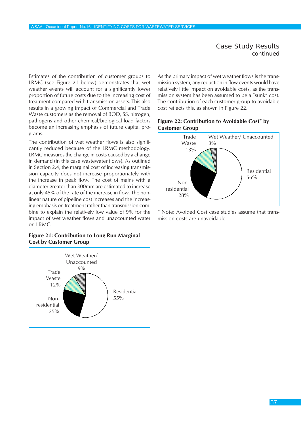Estimates of the contribution of customer groups to LRMC (see Figure 21 below) demonstrates that wet weather events will account for a significantly lower proportion of future costs due to the increasing cost of treatment compared with transmission assets. This also results in a growing impact of Commercial and Trade Waste customers as the removal of BOD, SS, nitrogen, pathogens and other chemical/biological load factors become an increasing emphasis of future capital programs.

The contribution of wet weather flows is also significantly reduced because of the LRMC methodology. LRMC measures the change in costs caused by a change in demand (in this case wastewater flows). As outlined in Section 2.4, the marginal cost of increasing transmission capacity does not increase proportionately with the increase in peak flow. The cost of mains with a diameter greater than 300mm are estimated to increase at only 45% of the rate of the increase in flow. The nonlinear nature of pipeline cost increases and the increasing emphasis on treatment rather than transmission combine to explain the relatively low value of 9% for the impact of wet weather flows and unaccounted water on LRMC.

#### **Figure 21: Contribution to Long Run Marginal Cost by Customer Group**



As the primary impact of wet weather flows is the transmission system, any reduction in flow events would have relatively little impact on avoidable costs, as the transmission system has been assumed to be a "sunk" cost. The contribution of each customer group to avoidable cost reflects this, as shown in Figure 22.

#### **Figure 22: Contribution to Avoidable Cost\* by Customer Group**



\* Note: Avoided Cost case studies assume that transmission costs are unavoidable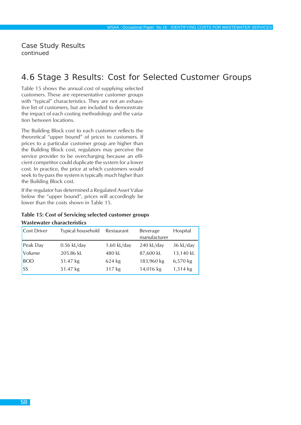# 4.6 Stage 3 Results: Cost for Selected Customer Groups

Table 15 shows the annual cost of supplying selected customers. These are representative customer groups with "typical" characteristics. They are not an exhaustive list of customers, but are included to demonstrate the impact of each costing methodology and the variation between locations.

The Building Block cost to each customer reflects the theoretical "upper bound" of prices to customers. If prices to a particular customer group are higher than the Building Block cost, regulators may perceive the service provider to be overcharging because an efficient competitor could duplicate the system for a lower cost. In practice, the price at which customers would seek to by-pass the system is typically much higher than the Building Block cost.

If the regulator has determined a Regulated Asset Value below the "upper bound", prices will accordingly be lower than the costs shown in Table 15.

#### **Table 15: Cost of Servicing selected customer groups**

| <b>Cost Driver</b> | Typical household | Restaurant    | Beverage<br>manufacturer | Hospital  |
|--------------------|-------------------|---------------|--------------------------|-----------|
| Peak Day           | $0.56$ kL/day     | $1.60$ kL/day | 240 kL/day               | 36 kL/day |
| Volume             | 205.86 kL         | 480 kL        | 87,600 kL                | 13,140 kL |
| <b>BOD</b>         | 51.47 kg          | 624 kg        | 183,960 kg               | 6,570 kg  |
| SS                 | 51.47 kg          | 317 kg        | 14,016 kg                | 1,314 kg  |

#### **Wastewater characteristics**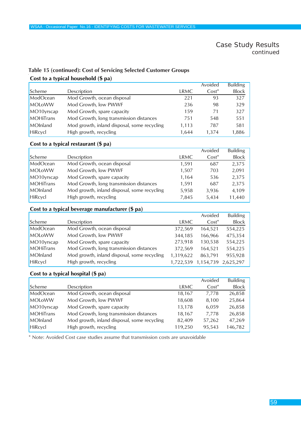## **Cost to a typical household (\$ pa) Table 15 (continued): Cost of Servicing Selected Customer Groups**

|            |                                             |       | Avoided  | <b>Building</b> |
|------------|---------------------------------------------|-------|----------|-----------------|
| Scheme     | Description                                 | LRMC  | $Cost^*$ | <b>Block</b>    |
| ModOcean   | Mod Growth, ocean disposal                  | 221   | 93       | 327             |
| MOLoWW     | Mod Growth, low PWWF                        | 236   | 98       | 329             |
| MO10yrscap | Mod Growth, spare capacity                  | 159   | 71       | 327             |
| MOHITrans  | Mod Growth, long transmission distances     | 751   | 548      | 551             |
| MOInland   | Mod growth, inland disposal, some recycling | 1,113 | 787      | 581             |
| HiRcycl    | High growth, recycling                      | 1.644 | 1.374    | 1,886           |

#### **Cost to a typical restaurant (\$ pa)**

|                  |                                             |       | Avoided  | <b>Building</b> |
|------------------|---------------------------------------------|-------|----------|-----------------|
| Scheme           | Description                                 | LRMC  | $Cost^*$ | <b>Block</b>    |
| ModOcean         | Mod Growth, ocean disposal                  | 1.591 | 687      | 2,375           |
| MOLoWW           | Mod Growth, low PWWF                        | 1,507 | 703      | 2,091           |
| MO10yrscap       | Mod Growth, spare capacity                  | 1.164 | 536      | 2,375           |
| <b>MOHiTrans</b> | Mod Growth, long transmission distances     | 1,591 | 687      | 2,375           |
| MOInland         | Mod growth, inland disposal, some recycling | 5,958 | 3,936    | 4,109           |
| HiRcycl          | High growth, recycling                      | 7,845 | 5,434    | 11,440          |

#### **Cost to a typical beverage manufacturer (\$ pa)**

|                  |                                             |           | Avoided  | <b>Building</b>     |
|------------------|---------------------------------------------|-----------|----------|---------------------|
| Scheme           | Description                                 | LRMC      | $Cost^*$ | <b>Block</b>        |
| ModOcean         | Mod Growth, ocean disposal                  | 372,569   | 164,521  | 554,225             |
| MOLoWW           | Mod Growth, low PWWF                        | 344,185   | 166.966  | 475,354             |
| MO10yrscap       | Mod Growth, spare capacity                  | 273,918   | 130,538  | 554,225             |
| <b>MOHiTrans</b> | Mod Growth, long transmission distances     | 372.569   | 164.521  | 554,225             |
| MOInland         | Mod growth, inland disposal, some recycling | 1,319,622 | 863.791  | 955,928             |
| HiRcycl          | High growth, recycling                      | 1,722,539 |          | 1,154,739 2,625,297 |

#### **Cost to a typical hospital (\$ pa)**

|                  |                                             |         | Avoided  | <b>Building</b> |
|------------------|---------------------------------------------|---------|----------|-----------------|
| Scheme           | Description                                 | LRMC    | $Cost^*$ | <b>Block</b>    |
| ModOcean         | Mod Growth, ocean disposal                  | 18,167  | 7,778    | 26,858          |
| MOLoWW           | Mod Growth, low PWWF                        | 18,608  | 8,100    | 25,864          |
| MO10yrscap       | Mod Growth, spare capacity                  | 13,178  | 6.059    | 26,858          |
| <b>MOHiTrans</b> | Mod Growth, long transmission distances     | 18.167  | 7.778    | 26,858          |
| MOInland         | Mod growth, inland disposal, some recycling | 82,409  | 57,262   | 47,269          |
| HiRcycl          | High growth, recycling                      | 119,250 | 95,543   | 146,782         |

\* Note: Avoided Cost case studies assume that transmission costs are unavoidable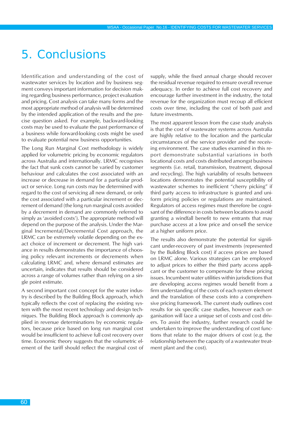# 5. Conclusions

Identification and understanding of the cost of wastewater services by location and by business segment conveys important information for decision making regarding business performance, project evaluation and pricing. Cost analysis can take many forms and the most appropriate method of analysis will be determined by the intended application of the results and the precise question asked. For example, backward-looking costs may be used to evaluate the past performance of a business while forward-looking costs might be used to evaluate potential new business opportunities.

The Long Run Marginal Cost methodology is widely applied for volumetric pricing by economic regulators across Australia and internationally. LRMC recognises the fact that sunk costs cannot be varied by customer behaviour and calculates the cost associated with an increase or decrease in demand for a particular product or service. Long run costs may be determined with regard to the cost of servicing all new demand, or only the cost associated with a particular increment or decrement of demand (the long run marginal costs avoided by a decrement in demand are commonly referred to simply as 'avoided costs'). The appropriate method will depend on the purpose of the analysis. Under the Marginal Incremental/Decremental Cost approach, the LRMC can be extremely volatile depending on the exact choice of increment or decrement. The high variance in results demonstrates the importance of choosing policy relevant increments or decrements when calculating LRMC and, where demand estimates are uncertain, indicates that results should be considered across a range of volumes rather than relying on a single point estimate.

A second important cost concept for the water industry is described by the Building Block approach, which typically reflects the cost of replacing the existing system with the most recent technology and design techniques. The Building Block approach is commonly applied in revenue determinations by economic regulators, because price based on long run marginal cost would be insufficient to achieve full cost recovery over time. Economic theory suggests that the volumetric element of the tariff should reflect the marginal cost of supply, while the fixed annual charge should recover the residual revenue required to ensure overall revenue adequacy. In order to achieve full cost recovery and encourage further investment in the industry, the total revenue for the organization must recoup all efficient costs over time, including the cost of both past and future investments.

The most apparent lesson from the case study analysis is that the cost of wastewater systems across Australia are highly relative to the location and the particular circumstances of the service provider and the receiving environment. The case studies examined in this report demonstrate substantial variations in both locational costs and costs distributed amongst business segments (i.e. retail, transmission, treatment, disposal and recycling). The high variability of results between locations demonstrates the potential susceptibility of wastewater schemes to inefficient "cherry picking" if third party access to infrastructure is granted and uniform pricing policies or regulations are maintained. Regulators of access regimes must therefore be cognisant of the difference in costs between locations to avoid granting a windfall benefit to new entrants that may purchase access at a low price and on-sell the service at a higher uniform price.

The results also demonstrate the potential for significant under-recovery of past investments (represented by the Building Block cost) if access prices are based on LRMC alone. Various strategies can be employed to adjust prices to either the third party access applicant or the customer to compensate for these pricing issues. Incumbent water utilities within jurisdictions that are developing access regimes would benefit from a firm understanding of the costs of each system element and the translation of these costs into a comprehensive pricing framework. The current study outlines cost results for six specific case studies, however each organisation will face a unique set of costs and cost drivers. To assist the industry, further research could be undertaken to improve the understanding of cost functions that relate to the major drivers of cost (e.g. the relationship between the capacity of a wastewater treatment plant and the cost).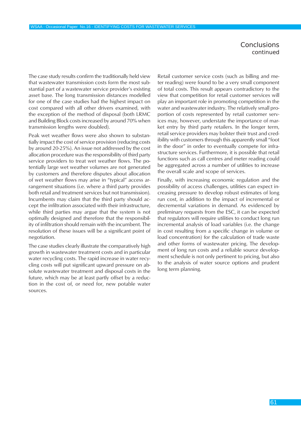### **Conclusions** *continued*

The case study results confirm the traditionally held view that wastewater transmission costs form the most substantial part of a wastewater service provider's existing asset base. The long transmission distances modelled for one of the case studies had the highest impact on cost compared with all other drivers examined, with the exception of the method of disposal (both LRMC and Building Block costs increased by around 70% when transmission lengths were doubled).

Peak wet weather flows were also shown to substantially impact the cost of service provision (reducing costs by around 20-25%). An issue not addressed by the cost allocation procedure was the responsibility of third party service providers to treat wet weather flows. The potentially large wet weather volumes are not generated by customers and therefore disputes about allocation of wet weather flows may arise in "typical" access arrangement situations (i.e. where a third party provides both retail and treatment services but not transmission). Incumbents may claim that the third party should accept the infiltration associated with their infrastructure, while third parties may argue that the system is not optimally designed and therefore that the responsibility of infiltration should remain with the incumbent. The resolution of these issues will be a significant point of negotiation.

The case studies clearly illustrate the comparatively high growth in wastewater treatment costs and in particular water recycling costs. The rapid increase in water recycling costs will put significant upward pressure on absolute wastewater treatment and disposal costs in the future, which may be at least partly offset by a reduction in the cost of, or need for, new potable water sources.

Retail customer service costs (such as billing and meter reading) were found to be a very small component of total costs. This result appears contradictory to the view that competition for retail customer services will play an important role in promoting competition in the water and wastewater industry. The relatively small proportion of costs represented by retail customer services may, however, understate the importance of market entry by third party retailers. In the longer term, retail service providers may bolster their trust and credibility with customers through this apparently small "foot in the door" in order to eventually compete for infrastructure services. Furthermore, it is possible that retail functions such as call centres and meter reading could be aggregated across a number of utilities to increase the overall scale and scope of services.

Finally, with increasing economic regulation and the possibility of access challenges, utilities can expect increasing pressure to develop robust estimates of long run cost, in addition to the impact of incremental or decremental variations in demand. As evidenced by preliminary requests from the ESC, it can be expected that regulators will require utilities to conduct long run incremental analysis of load variables (i.e. the change in cost resulting from a specific change in volume or load concentration) for the calculation of trade waste and other forms of wastewater pricing. The development of long run costs and a reliable source development schedule is not only pertinent to pricing, but also to the analysis of water source options and prudent long term planning.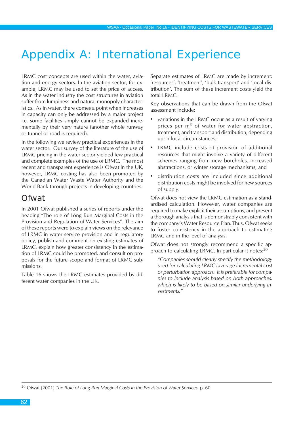# Appendix A: International Experience

LRMC cost concepts are used within the water, aviation and energy sectors. In the aviation sector, for example, LRMC may be used to set the price of access. As in the water industry the cost structures in aviation suffer from lumpiness and natural monopoly characteristics. As in water, there comes a point when increases in capacity can only be addressed by a major project i.e. some facilities simply cannot be expanded incrementally by their very nature (another whole runway or tunnel or road is required).

In the following we review practical experiences in the water sector. Our survey of the literature of the use of LRMC pricing in the water sector yielded few practical and complete examples of the use of LRMC. The most recent and transparent experience is Ofwat in the UK, however, LRMC costing has also been promoted by the Canadian Water Waste Water Authority and the World Bank through projects in developing countries.

# **Ofwat**

In 2001 Ofwat published a series of reports under the heading "The role of Long Run Marginal Costs in the Provision and Regulation of Water Services". The aim of these reports were to explain views on the relevance of LRMC in water service provision and in regulatory policy, publish and comment on existing estimates of LRMC, explain how greater consistency in the estimation of LRMC could be promoted, and consult on proposals for the future scope and format of LRMC submissions.

Table 16 shows the LRMC estimates provided by different water companies in the UK.

Separate estimates of LRMC are made by increment: 'resources', 'treatment', 'bulk transport' and 'local distribution'. The sum of these increment costs yield the total LRMC.

Key observations that can be drawn from the Ofwat assessment include:

- variations in the LRMC occur as a result of varying prices per  $m<sup>3</sup>$  of water for water abstraction, treatment, and transport and distribution, depending upon local circumstances;
- LRMC include costs of provision of additional resources that might involve a variety of different schemes ranging from new boreholes, increased abstractions, or winter storage mechanisms; and
- distribution costs are included since additional distribution costs might be involved for new sources of supply.

Ofwat does not view the LRMC estimation as a standardised calculation. However, water companies are required to make explicit their assumptions, and present a thorough analysis that is demonstrably consistent with the company's Water Resource Plan. Thus, Ofwat seeks to foster consistency in the approach to estimating LRMC and in the level of analysis.

Ofwat does not strongly recommend a specific approach to calculating LRMC. In particular it notes:<sup>20</sup>

*"Companies should clearly specify the methodology used for calculating LRMC (average incremental cost or perturbation approach). It is preferable for companies to include analysis based on both approaches, which is likely to be based on similar underlying investments."*

20 Ofwat (2001) *The Role of Long Run Marginal Costs in the Provision of Water Services*, p. 60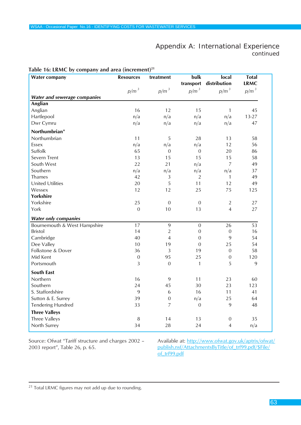## Appendix A: International Experience *continued*

| rable To: EXIVE by company and area (merchicit)<br><b>Water company</b> | <b>Resources</b> | treatment        | bulk           | local            | <b>Total</b> |
|-------------------------------------------------------------------------|------------------|------------------|----------------|------------------|--------------|
|                                                                         |                  |                  | transport      | distribution     | <b>LRMC</b>  |
|                                                                         | $p/m^3$          | $p/m^3$          | $p/m^3$        | $p/m^3$          | $p/m^3$      |
| <b>Water and sewerage companies</b>                                     |                  |                  |                |                  |              |
| Anglian                                                                 |                  |                  |                |                  |              |
| Anglian                                                                 | 16               | 12               | 15             | $\mathbf{1}$     | 45           |
| Hartlepool                                                              | n/a              | n/a              | n/a            | n/a              | $13 - 27$    |
| Dwr Cymru                                                               | n/a              | n/a              | n/a            | n/a              | 47           |
| Northumbrian*                                                           |                  |                  |                |                  |              |
| Northumbrian                                                            | 11               | 5                | 28             | 13               | 58           |
| Essex                                                                   | n/a              | n/a              | n/a            | 12               | 56           |
| Suffolk                                                                 | 65               | $\overline{0}$   | 0              | 20               | 86           |
| Severn Trent                                                            | 13               | 15               | 15             | 15               | 58           |
| South West                                                              | 22               | 21               | n/a            | $\overline{7}$   | 49           |
| Southern                                                                | n/a              | n/a              | n/a            | n/a              | 37           |
| Thames                                                                  | 42               | 3                | $\overline{2}$ | $\mathbf{1}$     | 49           |
| <b>United Utilities</b>                                                 | 20               | 5                | 11             | 12               | 49           |
| Wessex                                                                  | 12               | 12               | 25             | 75               | 125          |
| <b>Yorkshire</b>                                                        |                  |                  |                |                  |              |
| Yorkshire                                                               | 25               | $\boldsymbol{0}$ | $\mathbf 0$    | $\sqrt{2}$       | 27           |
| York                                                                    | $\overline{0}$   | 10               | 13             | $\overline{4}$   | 27           |
| <b>Water only companies</b>                                             |                  |                  |                |                  |              |
| Bournemouth & West Hampshire                                            | 17               | 9                | $\mathbf 0$    | 26               | 53           |
| <b>Bristol</b>                                                          | 14               | $\overline{2}$   | $\mathbf 0$    | $\boldsymbol{0}$ | 16           |
| Cambridge                                                               | 40               | $\overline{4}$   | $\mathbf 0$    | 9                | 54           |
| Dee Valley                                                              | 10               | 19               | $\overline{0}$ | 25               | 54           |
| Folkstone & Dover                                                       | 36               | $\overline{3}$   | 19             | $\mathbf 0$      | 58           |
| Mid Kent                                                                | $\boldsymbol{0}$ | 95               | 25             | $\boldsymbol{0}$ | 120          |
| Portsmouth                                                              | 3                | $\overline{0}$   | $\mathbf{1}$   | 5                | 9            |
| <b>South East</b>                                                       |                  |                  |                |                  |              |
| Northern                                                                | 16               | 9                | 11             | 23               | 60           |
| Southern                                                                | 24               | 45               | 30             | 23               | 123          |
| S. Staffordshire                                                        | 9                | 6                | 16             | 11               | 41           |
| Sutton & E. Surrey                                                      | 39               | $\mathbf 0$      | n/a            | 25               | 64           |
| <b>Tendering Hundred</b>                                                | 33               | $\overline{7}$   | $\mathbf 0$    | 9                | 48           |
| <b>Three Valleys</b>                                                    |                  |                  |                |                  |              |
| Three Valleys                                                           | 8                | 14               | 13             | $\boldsymbol{0}$ | 35           |
| North Surrey                                                            | 34               | 28               | 24             | 4                | n/a          |

#### **Table 16: LRMC by company and area (increment)21**

Source: Ofwat "Tariff structure and charges 2002 – 2003 report", Table 26, p. 65.

Available at: http://www.ofwat.gov.uk/aptrix/ofwat/ publish.nsf/AttachmentsByTitle/of\_trf99.pdf/\$File/ of\_trf99.pdf

<sup>&</sup>lt;sup>21</sup> Total LRMC figures may not add up due to rounding.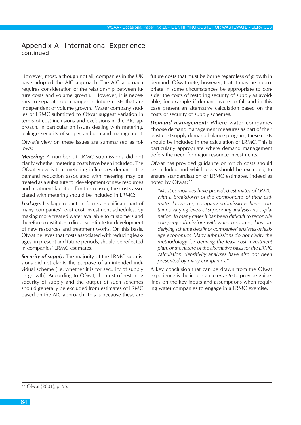### Appendix A: International Experience *continued*

However, most, although not all, companies in the UK have adopted the AIC approach. The AIC approach requires consideration of the relationship between future costs and volume growth. However, it is necessary to separate out changes in future costs that are independent of volume growth. Water company studies of LRMC submitted to Ofwat suggest variation in terms of cost inclusions and exclusions in the AIC approach, in particular on issues dealing with metering, leakage, security of supply, and demand management.

Ofwat's view on these issues are summarised as follows:

*Metering***:** A number of LRMC submissions did not clarify whether metering costs have been included. The Ofwat view is that metering influences demand, the demand reduction associated with metering may be treated as a substitute for development of new resources and treatment facilities. For this reason, the costs associated with metering should be included in LRMC;

*Leakage***:** Leakage reduction forms a significant part of many companies' least cost investment schedules, by making more treated water available to customers and therefore constitutes a direct substitute for development of new resources and treatment works. On this basis, Ofwat believes that costs associated with reducing leakages, in present and future periods, should be reflected in companies' LRMC estimates.

*Security of supply***:** The majority of the LRMC submissions did not clarify the purpose of an intended individual scheme (i.e. whether it is for security of supply or growth). According to Ofwat, the cost of restoring security of supply and the output of such schemes should generally be excluded from estimates of LRMC based on the AIC approach. This is because these are

future costs that must be borne regardless of growth in demand. Ofwat note, however, that it may be appropriate in some circumstances be appropriate to consider the costs of restoring security of supply as avoidable, for example if demand were to fall and in this case present an alternative calculation based on the costs of security of supply schemes.

*Demand management***:** Where water companies choose demand management measures as part of their least cost supply-demand balance program, these costs should be included in the calculation of LRMC. This is particularly appropriate where demand management defers the need for major resource investments.

Ofwat has provided guidance on which costs should be included and which costs should be excluded, to ensure standardisation of LRMC estimates. Indeed as noted by Ofwat:<sup>22</sup>

*"Most companies have provided estimates of LRMC, with a breakdown of the components of their estimate. However, company submissions have contained varying levels of supporting analysis and explanation. In many cases it has been difficult to reconcile company submissions with water resource plans, underlying scheme details or companies' analyses of leakage economics. Many submissions do not clarify the methodology for deriving the least cost investment plan, or the nature of the alternative basis for the LRMC calculation. Sensitivity analyses have also not been presented by many companies."*

A key conclusion that can be drawn from the Ofwat experience is the importance *ex ante* to provide guidelines on the key inputs and assumptions when requiring water companies to engage in a LRMC exercise.

22 Ofwat (2001), p. 55.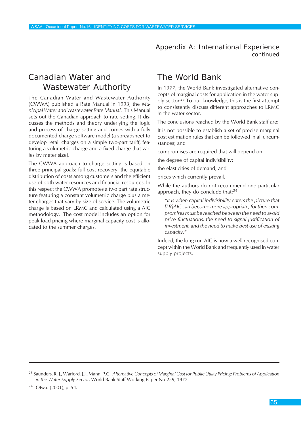Appendix A: International Experience *continued*

# Canadian Water and Wastewater Authority

The Canadian Water and Wastewater Authority (CWWA) published a Rate Manual in 1993, the *Municipal Water and Wastewater Rate Manual*. This Manual sets out the Canadian approach to rate setting. It discusses the methods and theory underlying the logic and process of charge setting and comes with a fully documented charge software model (a spreadsheet to develop retail charges on a simple two-part tariff, featuring a volumetric charge and a fixed charge that varies by meter size).

The CWWA approach to charge setting is based on three principal goals: full cost recovery, the equitable distribution of costs among customers and the efficient use of both water resources and financial resources. In this respect the CWWA promotes a two part rate structure featuring a constant volumetric charge plus a meter charges that vary by size of service. The volumetric charge is based on LRMC and calculated using a AIC methodology. The cost model includes an option for peak load pricing where marginal capacity cost is allocated to the summer charges.

# The World Bank

In 1977, the World Bank investigated alternative concepts of marginal costs for application in the water supply sector.23 To our knowledge, this is the first attempt to consistently discuss different approaches to LRMC in the water sector.

The conclusions reached by the World Bank staff are:

It is not possible to establish a set of precise marginal cost estimation rules that can be followed in all circumstances; and

compromises are required that will depend on:

the degree of capital indivisibility;

the elasticities of demand; and

prices which currently prevail.

While the authors do not recommend one particular approach, they do conclude that:<sup>24</sup>

*"It is when capital indivisibility enters the picture that [LR]AIC can become more appropriate, for then compromises must be reached between the need to avoid price fluctuations, the need to signal justification of investment, and the need to make best use of existing capacity."*

Indeed, the long run AIC is now a well recognised concept within the World Bank and frequently used in water supply projects.

<sup>24</sup> Ofwat (2001), p. 54.

<sup>23</sup> Saunders, R. J., Warford, J.J., Mann, P.C., *AIternative Concepts of Marginal Cost for Public Utility Pricing: Problems of Application in the Water Supply Sector*, World Bank Staff Working Paper No 259, 1977.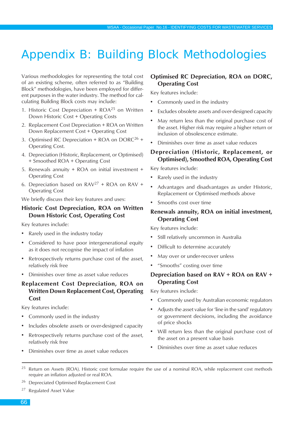# Appendix B: Building Block Methodologies

Various methodologies for representing the total cost of an existing scheme, often referred to as "Building Block" methodologies, have been employed for different purposes in the water industry. The method for calculating Building Block costs may include:

- 1. Historic Cost Depreciation  $+$  ROA<sup>25</sup> on Written Down Historic Cost + Operating Costs
- 2. Replacement Cost Depreciation + ROA on Written Down Replacement Cost + Operating Cost
- 3. Optimised RC Depreciation + ROA on  $DORC^{26}$  + Operating Cost.
- 4. Depreciation (Historic, Replacement, or Optimised) + Smoothed ROA + Operating Cost
- 5. Renewals annuity + ROA on initial investment + Operating Cost
- 6. Depreciation based on  $RAV^{27}$  + ROA on RAV + Operating Cost

We briefly discuss their key features and uses:

### **Historic Cost Depreciation, ROA on Written Down Historic Cost, Operating Cost**

Key features include:

- Rarely used in the industry today
- Considered to have poor intergenerational equity as it does not recognise the impact of inflation
- Retrospectively returns purchase cost of the asset, relatively risk free
- Diminishes over time as asset value reduces

## **Replacement Cost Depreciation, ROA on Written Down Replacement Cost, Operating Cost**

Key features include:

- Commonly used in the industry
- Includes obsolete assets or over-designed capacity
- Retrospectively returns purchase cost of the asset, relatively risk free

• Diminishes over time as asset value reduces

### **Optimised RC Depreciation, ROA on DORC, Operating Cost**

Key features include:

- Commonly used in the industry
- Excludes obsolete assets and over-designed capacity
- May return less than the original purchase cost of the asset. Higher risk may require a higher return or inclusion of obsolescence estimate.
- Diminishes over time as asset value reduces

#### **Depreciation (Historic, Replacement, or Optimised), Smoothed ROA, Operating Cost**

Key features include:

- Rarely used in the industry
- Advantages and disadvantages as under Historic, Replacement or Optimised methods above
- Smooths cost over time

#### **Renewals annuity, ROA on initial investment, Operating Cost**

Key features include:

- Still relatively uncommon in Australia
- Difficult to determine accurately
- May over or under-recover unless
- "Smooths" costing over time

### **Depreciation based on RAV + ROA on RAV + Operating Cost**

Key features include:

- Commonly used by Australian economic regulators
- Adjusts the asset value for 'line in the sand' regulatory or government decisions, including the avoidance of price shocks
- Will return less than the original purchase cost of the asset on a present value basis
- Diminishes over time as asset value reduces
- <sup>25</sup> Return on Assets (ROA). Historic cost formulae require the use of a nominal ROA, while replacement cost methods require an inflation adjusted or real ROA.

<sup>26</sup> Depreciated Optimised Replacement Cost

<sup>27</sup> Regulated Asset Value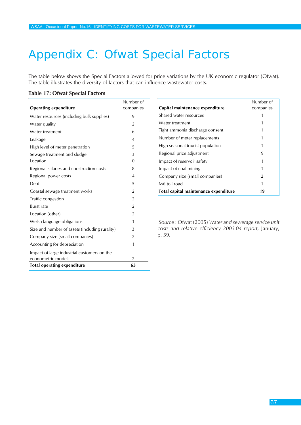# Appendix C: Ofwat Special Factors

The table below shows the Special Factors allowed for price variations by the UK economic regulator (Ofwat). The table illustrates the diversity of factors that can influence wastewater costs.

#### **Table 17: Ofwat Special Factors**

| <b>Operating expenditure</b>                   | Number of<br>companies |
|------------------------------------------------|------------------------|
| Water resources (including bulk supplies)      | 9                      |
| Water quality                                  | $\overline{2}$         |
| Water treatment                                | 6                      |
| Leakage                                        | $\overline{4}$         |
| High level of meter penetration                | 5                      |
| Sewage treatment and sludge                    | 3                      |
| Location                                       | $\Omega$               |
| Regional salaries and construction costs       | 8                      |
| Regional power costs                           | $\overline{4}$         |
| Debt                                           | 5                      |
| Coastal sewage treatment works                 | $\overline{2}$         |
| Traffic congestion                             | $\overline{2}$         |
| <b>Burst rate</b>                              | $\overline{2}$         |
| Location (other)                               | $\overline{2}$         |
| Welsh language obligations                     | 1                      |
| Size and number of assets (including rurality) | 3                      |
| Company size (small companies)                 | $\overline{2}$         |
| Accounting for depreciation                    | 1                      |
| Impact of large industrial customers on the    |                        |
| econometric models                             | $\overline{2}$         |
| <b>Total operating expenditure</b>             | 63                     |

|                                       | Number of |
|---------------------------------------|-----------|
| Capital maintenance expenditure       | companies |
| Shared water resources                |           |
| Water treatment                       |           |
| Tight ammonia discharge consent       |           |
| Number of meter replacements          |           |
| High seasonal tourist population      |           |
| Regional price adjustment             | 9         |
| Impact of reservoir safety            |           |
| Impact of coal mining                 |           |
| Company size (small companies)        | 2         |
| M6 toll road                          |           |
| Total capital maintenance expenditure | 19        |

*Source* : Ofwat (2005) *Water and sewerage service unit costs and relative efficiency 2003-04 report*, January, p. 59.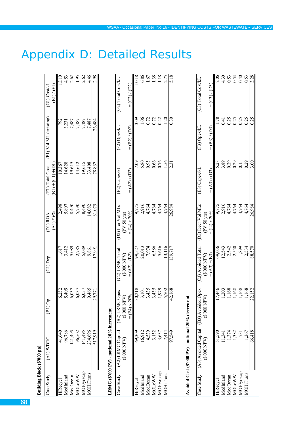| Building Block (\$'000 pa) |                                                   |                                    |                                      |                                    |                                           |                        |                              |
|----------------------------|---------------------------------------------------|------------------------------------|--------------------------------------|------------------------------------|-------------------------------------------|------------------------|------------------------------|
| Case Study                 | $(A1)$ WDRC                                       | $\overline{G}$ (B1) $\overline{O}$ | (C1) Dep                             | $=(A1)*6%$<br>(D1) ROA             | $= (B1) + (C1) + (D1)$<br>(E1) Total Cost | (F1) Vol ML (existing) | (G1) Cost/kL<br>$=(E1)/(F1)$ |
| HiRecycl                   | 41,640                                            | 6,252                              | 1,617                                | 2,498                              | 10,367                                    | 792                    | 13.10                        |
| ModInland                  | 96,786                                            | 5,409                              | 3,412                                | 5,807                              | 14,628                                    | 3,231                  | 4.53                         |
| ModOcean                   | 141,495                                           | 6,037                              | 5,089                                | 8,490                              | 19,615                                    |                        | 2.62                         |
| MOLOWW                     | 96,502                                            | 6,037                              | 2,785                                | 5,790                              | 14,612                                    | $7,487$<br>7,487       | 1.95                         |
| MO10yrscap                 | 141,495                                           | 6,037                              | 5,089                                | 8,490                              | 19,615                                    |                        | 2.62                         |
| <b>MOHiTrans</b>           | 234,696                                           | 9,465                              | 9,861                                | 14.082                             | 33,408                                    | 7,487<br>7,487         | 4.46                         |
|                            | 517,919                                           | 29,77                              | 7.991                                | 31,075                             | 78,837                                    | 26,484                 | 2.98                         |
|                            | LRMC (\$'000 PV) - notional 20% increment         |                                    |                                      |                                    |                                           |                        |                              |
| Case Study                 | (A2) LRMC Capital<br>(AdN 000.3)                  | Opex<br>(3000 NPV)<br>(B2) LRMC    | (C2) LRMC Total<br>(NdN 000S)        | (D2) Incr Vol MLs<br>(PV 50 yrs)   | (E2) Capex/kL                             | (F2) Opex/kL           | (G2) Total Cost/kL           |
|                            |                                                   | $=$ (E4) x 20%                     | $=(A2)+(B2)$                         | $=(14) \times 20\%$                | $=(A2)/(D2)$                              | $= (B2) / (D2)$        | $=(C2)/D2$                   |
| HiRecycl                   | 69,309                                            | 30,218                             | 99,527                               | 9,775                              | 7.09                                      | 3.09                   | 10.18                        |
| ModInland                  | 16,912                                            | 3,101                              | 20,013                               | 2,916                              | 5.80                                      | $1.06$<br>0.72<br>0.72 | 6.86                         |
| ModOcean                   | 4,539                                             | 3,435                              | 7,974                                | 4,764                              | 0.95                                      |                        | $-1.67$                      |
| MOLOWW                     | 3,152                                             | 3,435                              | 6,586                                | 4,764                              | 0.66                                      |                        | 1.38                         |
| MO10yrscap                 | 3,637                                             | 1,979                              | 5,616                                | 4,764                              | 0.76                                      | 0.42                   | 1.18                         |
| <b>MOHiTrans</b>           | 7.414                                             | 5,702                              | 13.116                               | 4.764                              | .56                                       | 120                    | 2.75                         |
|                            | 1,549                                             | 42,168                             | 39,717                               | 26,984                             | 2.3                                       | 0.30                   | 5.18                         |
|                            | Avoided Cost (\$'000 PV) - notional 20% decrement |                                    |                                      |                                    |                                           |                        |                              |
| Case Study                 | (A3) Avoided Capital                              | (B3) Avoided Opex                  | (C3) Avoided Total                   | (D3) Decr Vol MLs                  | (E3) Capex/kL                             | (F3) Opex/kL           | (G3) Total Cost/kL           |
|                            | (AdN 000.\$)                                      | (AdN 000.\$)                       | $=(A3)+(B3)$<br>$(14N 000 \text{S})$ | $=(14) \times 20\%$<br>(PV 50 yrs) | $=(A3)/(D3)$                              | $=(B3)/(D3)$           | $=(C3)/(D3)$                 |
| HiRecycl                   | 51,590                                            | 7,446                              | 69,036                               | 9,775                              |                                           |                        | 7.06                         |
| ModInland                  | 11,341                                            | 1,203                              | 12,543                               | 2,916                              | 3.89                                      | 0.41                   | $\frac{4.30}{0.53}$<br>0.54  |
| ModOcean                   | 1,374                                             | $\frac{1,168}{1,168}$              | 2,542<br>2,550                       | 4,764                              | $0.29$<br>$0.29$                          | 0.25                   |                              |
| MOLOWW                     | 1,382                                             |                                    |                                      | 4,764                              |                                           | 0.25                   |                              |
| MO10yrscap                 | 731                                               |                                    | 1,899                                | 4,764                              | 0.15                                      | 0.25                   |                              |
| MOHiTrans                  | 1,367                                             | 1,168                              | 2,534                                | 4,764                              | 0.29                                      | 0.25                   | 0.53                         |
|                            | 66,418                                            | 22,152                             | 88,570                               | 26,984                             | 3.00                                      | 0.25                   | 3.28                         |

# Appendix D: Detailed Results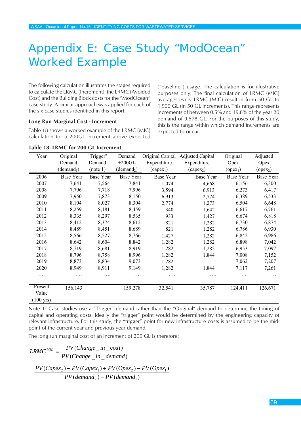# Appendix E: Case Study "ModOcean" Worked Example

The following calculation illustrates the stages required to calculate the LRMC (Increment), the LRMC (Avoided Cost) and the Building Block costs for the "ModOcean" case study. A similar approach was applied for each of the six case studies identified in this report.

#### **Long Run Marginal Cost - Increment**

Table 18 shows a worked example of the LRMC (MIC) calculation for a 200GL increment above expected ("baseline") usage. The calculation is for illustrative purposes only. The final calculation of LRMC (MIC) averages every LRMC (MIC) result in from 50 GL to 1,900 GL (in 50 GL increments). This range represents increments of between 0.5% and 19.8% of the year 20 demand of 9,578 GL. For the purposes of this study, this is the range within which demand increments are expected to occur.

| Year                                    | Original               | "Trigger"        | Demand                 | Original Capital | <b>Adjusted Capital</b> | Original             | Adjusted         |
|-----------------------------------------|------------------------|------------------|------------------------|------------------|-------------------------|----------------------|------------------|
|                                         | Demand                 | Demand           | $+200$ GL              | Expenditure      | Expenditure             | Opex                 | Opex             |
|                                         | (demand <sub>1</sub> ) | (note 1)         | (demand <sub>2</sub> ) | $(capex_1)$      | $(capex_2)$             | (open <sub>1</sub> ) | $(open_2)$       |
| 2006                                    | <b>Base Year</b>       | <b>Base Year</b> | <b>Base Year</b>       | <b>Base Year</b> | <b>Base Year</b>        | <b>Base Year</b>     | <b>Base Year</b> |
| 2007                                    | 7,641                  | 7,564            | 7,841                  | 1,074            | 4,668                   | 6,156                | 6,300            |
| 2008                                    | 7,796                  | 7,718            | 7,996                  | 3,594            | 6,913                   | 6,273                | 6,417            |
| 2009                                    | 7,950                  | 7,873            | 8,150                  | 6,913            | 2,774                   | 6,389                | 6,533            |
| 2010                                    | 8,104                  | 8,027            | 8,304                  | 2,774            | 1,273                   | 6,504                | 6,648            |
| 2011                                    | 8,259                  | 8,181            | 8,459                  | 340              | 1,642                   | 6,617                | 6,761            |
| 2012                                    | 8,335                  | 8,297            | 8,535                  | 933              | 1,427                   | 6,674                | 6,818            |
| 2013                                    | 8,412                  | 8,374            | 8,612                  | 821              | 1,282                   | 6,730                | 6,874            |
| 2014                                    | 8,489                  | 8,451            | 8,689                  | 821              | 1,282                   | 6,786                | 6,930            |
| 2015                                    | 8,566                  | 8,527            | 8,766                  | 1,427            | 1,282                   | 6,842                | 6,986            |
| 2016                                    | 8,642                  | 8,604            | 8,842                  | 1,282            | 1,282                   | 6,898                | 7,042            |
| 2017                                    | 8,719                  | 8,681            | 8,919                  | 1,282            | 1,282                   | 6,953                | 7,097            |
| 2018                                    | 8,796                  | 8,758            | 8,996                  | 1,282            | 1,844                   | 7,008                | 7,152            |
| 2019                                    | 8,873                  | 8,834            | 9,073                  | 1,282            |                         | 7,062                | 7,207            |
| 2020                                    | 8,949                  | 8,911            | 9,149                  | 1,282            | 1,844                   | 7,117                | 7,261            |
| .                                       | .                      | .                | .                      | .                | .                       | .                    |                  |
| Present<br>Value<br>$(100 \text{ yrs})$ | 156,143                |                  | 159,278                | 32,541           | 35,787                  | 124,411              | 126,671          |

#### **Table 18: LRMC for 200 GL Increment**

Note 1: Case studies use a "Trigger" demand rather than the "Original" demand to determine the timing of capital and operating costs. Ideally the "trigger" point would be determined by the engineering capacity of relevant infrastructure. For this study, the "trigger" point for new infrastructure costs is assumed to be the midpoint of the current year and previous year demand.

The long run marginal cost of an increment of 200 GL is therefore:

$$
LRMC^{MIC} = \frac{PV(Change\_in\_cost)}{PV(Change\_in\_demand)}
$$
  
= 
$$
\frac{PV(Capex_2) - PV(Capex_1) + PV(Opex_2) - PV(Opex_1)}{PV(demand_2) - PV(demand_1)}
$$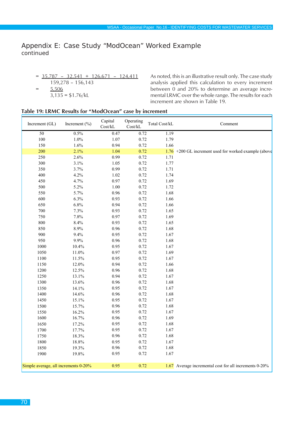## Appendix E: Case Study "ModOcean" Worked Example *continued*

 $= 35,787 - 32,541 + 126,671 - 124,411$ 159,278 – 156,143  $= 5,506$  $3,135 = $1.76/kL$ 

As noted, this is an illustrative result only. The case study analysis applied this calculation to every increment between 0 and 20% to determine an average incremental LRMC over the whole range. The results for each increment are shown in Table 19.

#### **Table 19: LRMC Results for "ModOcean" case by increment**

| Increment (GL)                       | Increment $(\% )$ | Capital<br>Cost/kL | Operating<br>$\mbox{Cost/}k\mbox{L}$ | Total Cost/kL | Comment                                                 |
|--------------------------------------|-------------------|--------------------|--------------------------------------|---------------|---------------------------------------------------------|
| 50                                   | 0.5%              | 0.47               | 0.72                                 | 1.19          |                                                         |
| 100                                  | $1.0\%$           | 1.07               | 0.72                                 | 1.79          |                                                         |
| 150                                  | 1.6%              | 0.94               | 0.72                                 | 1.66          |                                                         |
| 200                                  | 2.1%              | 1.04               | 0.72                                 |               | $1.76$ +200 GL increment used for worked example (above |
| 250                                  | 2.6%              | 0.99               | 0.72                                 | 1.71          |                                                         |
| 300                                  | 3.1%              | 1.05               | 0.72                                 | 1.77          |                                                         |
| 350                                  | 3.7%              | 0.99               | 0.72                                 | 1.71          |                                                         |
| 400                                  | 4.2%              | 1.02               | 0.72                                 | 1.74          |                                                         |
| 450                                  | 4.7%              | 0.97               | 0.72                                 | 1.69          |                                                         |
| 500                                  | 5.2%              | $1.00\,$           | 0.72                                 | 1.72          |                                                         |
| 550                                  | 5.7%              | 0.96               | 0.72                                 | 1.68          |                                                         |
| 600                                  | 6.3%              | 0.93               | 0.72                                 | 1.66          |                                                         |
| 650                                  | 6.8%              | 0.94               | 0.72                                 | 1.66          |                                                         |
| 700                                  | 7.3%              | 0.93               | 0.72                                 | 1.65          |                                                         |
| 750                                  | 7.8%              | 0.97               | 0.72                                 | 1.69          |                                                         |
| 800                                  | 8.4%              | 0.93               | 0.72                                 | 1.65          |                                                         |
| 850                                  | 8.9%              | 0.96               | 0.72                                 | 1.68          |                                                         |
| 900                                  | 9.4%              | 0.95               | 0.72                                 | 1.67          |                                                         |
| 950                                  | 9.9%              | 0.96               | 0.72                                 | 1.68          |                                                         |
| 1000                                 | 10.4%             | 0.95               | 0.72                                 | 1.67          |                                                         |
| 1050                                 | $11.0\%$          | 0.97               | 0.72                                 | 1.69          |                                                         |
| 1100                                 | 11.5%             | 0.95               | 0.72                                 | 1.67          |                                                         |
| 1150                                 | 12.0%             | 0.94               | 0.72                                 | 1.66          |                                                         |
| 1200                                 | 12.5%             | 0.96               | 0.72                                 | 1.68          |                                                         |
| 1250                                 | 13.1%             | 0.94               | 0.72                                 | 1.67          |                                                         |
| 1300                                 | 13.6%             | 0.96               | 0.72                                 | 1.68          |                                                         |
| 1350                                 | 14.1%             | 0.95               | 0.72                                 | 1.67          |                                                         |
| 1400                                 | 14.6%             | 0.96               | 0.72                                 | 1.68          |                                                         |
| 1450                                 | 15.1%             | 0.95               | 0.72                                 | 1.67          |                                                         |
| 1500                                 | 15.7%             | 0.96               | 0.72                                 | 1.68          |                                                         |
| 1550                                 | 16.2%             | 0.95               | 0.72                                 | 1.67          |                                                         |
| 1600                                 | 16.7%             | 0.96               | 0.72                                 | 1.69          |                                                         |
| 1650                                 | 17.2%             | 0.95               | 0.72                                 | 1.68          |                                                         |
| 1700                                 | 17.7%             | 0.95               | 0.72                                 | 1.67          |                                                         |
| 1750                                 | 18.3%             | 0.96               | 0.72                                 | 1.68          |                                                         |
| 1800                                 | 18.8%             | 0.95               | 0.72                                 | 1.67          |                                                         |
| 1850                                 | 19.3%             | 0.96               | 0.72                                 | 1.68          |                                                         |
| 1900                                 | 19.8%             | 0.95               | 0.72                                 | 1.67          |                                                         |
| Simple average, all increments 0-20% |                   | 0.95               | 0.72                                 |               | 1.67 Average incremental cost for all increments 0-20%  |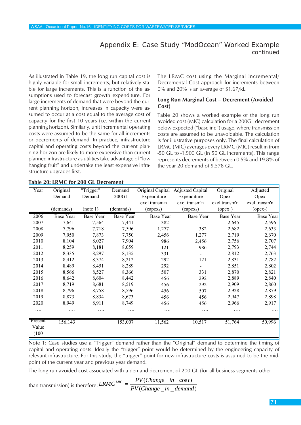## Appendix E: Case Study "ModOcean" Worked Example *continued*

As illustrated in Table 19, the long run capital cost is highly variable for small increments, but relatively stable for large increments. This is a function of the assumptions used to forecast growth expenditure. For large increments of demand that were beyond the current planning horizon, increases in capacity were assumed to occur at a cost equal to the average cost of capacity for the first 10 years (i.e. within the current planning horizon). Similarly, unit incremental operating costs were assumed to be the same for all increments or decrements of demand. In practice, infrastructure capital and operating costs beyond the current planning horizon are likely to more expensive than current planned infrastructure as utilities take advantage of "low hanging fruit" and undertake the least expensive infrastructure upgrades first.

The LRMC cost using the Marginal Incremental/ Decremental Cost approach for increments between 0% and 20% is an average of \$1.67/kL.

#### **Long Run Marginal Cost – Decrement (Avoided Cost)**

Table 20 shows a worked example of the long run avoided cost (MIC) calculation for a 200GL decrement below expected ("baseline") usage, where transmission costs are assumed to be unavoidable. The calculation is for illustrative purposes only. The final calculation of LRMC (MIC) averages every LRMC (MIC) result in from -50 GL to -1,900 GL (in 50 GL increments). This range represents decrements of between 0.5% and 19.8% of the year 20 demand of 9,578 GL.

| Year           | Original               | "Trigger"        | Demand                 |                  | Original Capital Adjusted Capital | Original             | Adjusted         |
|----------------|------------------------|------------------|------------------------|------------------|-----------------------------------|----------------------|------------------|
|                | Demand                 | Demand           | $-200$ GL              | Expenditure      | Expenditure                       | Opex                 | Opex             |
|                |                        |                  |                        | excl transm'n    | excl transm'n                     | excl transm'n        | excl transm'n    |
|                | (demand <sub>1</sub> ) | (note 1)         | (demand <sub>2</sub> ) | $(capex_1)$      | (capex <sub>2</sub> )             | (open <sub>1</sub> ) | $(open_2)$       |
| 2006           | <b>Base Year</b>       | <b>Base Year</b> | <b>Base Year</b>       | <b>Base Year</b> | Base Year                         | <b>Base Year</b>     | <b>Base Year</b> |
| 2007           | 7,641                  | 7,564            | 7,441                  | 382              |                                   | 2,645                | 2,596            |
| 2008           | 7,796                  | 7,718            | 7,596                  | 1,277            | 382                               | 2,682                | 2,633            |
| 2009           | 7,950                  | 7,873            | 7,750                  | 2,456            | 1,277                             | 2,719                | 2,670            |
| 2010           | 8,104                  | 8,027            | 7,904                  | 986              | 2,456                             | 2,756                | 2,707            |
| 2011           | 8,259                  | 8,181            | 8,059                  | 121              | 986                               | 2,793                | 2,744            |
| 2012           | 8,335                  | 8,297            | 8,135                  | 331              |                                   | 2,812                | 2,763            |
| 2013           | 8,412                  | 8,374            | 8,212                  | 292              | 121                               | 2,831                | 2,782            |
| 2014           | 8,489                  | 8,451            | 8,289                  | 292              |                                   | 2,851                | 2,802            |
| 2015           | 8,566                  | 8,527            | 8,366                  | 507              | 331                               | 2,870                | 2,821            |
| 2016           | 8,642                  | 8,604            | 8,442                  | 456              | 292                               | 2,889                | 2,840            |
| 2017           | 8,719                  | 8,681            | 8,519                  | 456              | 292                               | 2,909                | 2,860            |
| 2018           | 8,796                  | 8,758            | 8,596                  | 456              | 507                               | 2,928                | 2,879            |
| 2019           | 8,873                  | 8,834            | 8,673                  | 456              | 456                               | 2,947                | 2,898            |
| 2020           | 8,949                  | 8,911            | 8,749                  | 456              | 456                               | 2,966                | 2,917            |
| .              | .                      |                  |                        | .                | .                                 | .                    |                  |
| Present        | 156,143                |                  | 153,007                | 11,562           | 10,517                            | 51,764               | 50,996           |
| Value<br>(100) |                        |                  |                        |                  |                                   |                      |                  |

#### **Table 20: LRMC for 200 GL Decrement**

Note 1: Case studies use a "Trigger" demand rather than the "Original" demand to determine the timing of capital and operating costs. Ideally the "trigger" point would be determined by the engineering capacity of relevant infrastructure. For this study, the "trigger" point for new infrastructure costs is assumed to be the midpoint of the current year and previous year demand.

The long run avoided cost associated with a demand decrement of 200 GL (for all business segments other

than transmission) is therefore:  $L$ *KM*C  $=$   $=$   $\frac{V}{PV(Change \ in \ demand)}$  $(Change_in\_{cos t})$ *PV Change in demand*  $LRMC^{MC} = \frac{PV(Change\_in\_cos t)}{T}$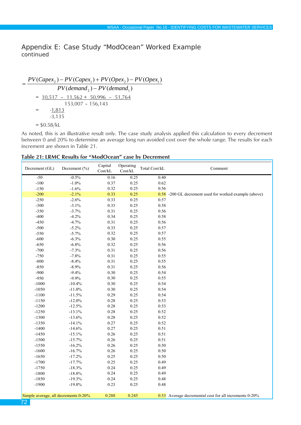Appendix E: Case Study "ModOcean" Worked Example *continued*

 $PV(demand<sub>2</sub>) - PV(demand<sub>1</sub>)$  $=\frac{PV(Capex_2)-PV(Capex_1)+PV(Opex_2)-PV(Opex_1)}{P(V(Opex_1)+P(V(Opex_2))+P(V(Opex_1))}$  $=$  10,517 - 11,562 + 50,996 - 51,764 153,007 – 156,143  $=$  -1,813 -3,135  $=$  \$0.58/kL

As noted, this is an illustrative result only. The case study analysis applied this calculation to every decrement between 0 and 20% to determine an average long run avoided cost over the whole range. The results for each increment are shown in Table 21.

#### **Table 21: LRMC Results for "ModOcean" case by Decrement**

| Decrement (GL)                       | Decrement $(\% )$  | Capital<br>Cost/kL | Operating<br>$\mbox{Cost/kL}$ | Total Cost/kL | Comment                                                |
|--------------------------------------|--------------------|--------------------|-------------------------------|---------------|--------------------------------------------------------|
| $-50$                                | $-0.5%$            | 0.16               | 0.25                          | 0.40          |                                                        |
| $-100$                               | $-1.0%$            | 0.37               | 0.25                          | 0.62          |                                                        |
| $-150$                               | $-1.6%$            | 0.32               | 0.25                          | 0.56          |                                                        |
| $-200$                               | $-2.1%$            | 0.33               | 0.25                          |               | 0.58 -200 GL decrement used for worked example (above) |
| $-250$                               | $-2.6%$            | 0.33               | 0.25                          | 0.57          |                                                        |
| $-300$                               | $-3.1%$            | 0.33               | 0.25                          | 0.58          |                                                        |
| $-350$                               | $-3.7%$            | 0.31               | 0.25                          | 0.56          |                                                        |
| $-400$                               | $-4.2%$            | 0.34               | 0.25                          | 0.58          |                                                        |
| $-450$                               | $-4.7%$            | 0.31               | 0.25                          | 0.56          |                                                        |
| $-500$                               | $-5.2%$            | 0.33               | 0.25                          | 0.57          |                                                        |
| $-550$                               | $-5.7%$            | 0.32               | 0.25                          | 0.57          |                                                        |
| $-600$                               | $-6.3%$            | 0.30               | 0.25                          | 0.55          |                                                        |
| $-650$                               | $-6.8%$            | 0.32               | 0.25                          | 0.56          |                                                        |
| $-700$                               | $-7.3%$            | 0.31               | 0.25                          | 0.56          |                                                        |
| $-750$                               | $-7.8%$            | 0.31               | 0.25                          | 0.55          |                                                        |
| $-800$                               | $-8.4%$            | 0.31               | 0.25                          | 0.55          |                                                        |
| $-850$                               | $-8.9%$            | 0.31               | 0.25                          | 0.56          |                                                        |
| $-900$                               | $-9.4%$            | 0.30               | 0.25                          | 0.54          |                                                        |
| $-950$                               | $-9.9%$            | $0.30\,$           | 0.25                          | 0.55          |                                                        |
| $-1000$                              | $-10.4%$           | 0.30               | 0.25                          | 0.54          |                                                        |
| $-1050$                              | $-11.0%$           | 0.30               | 0.25                          | 0.54          |                                                        |
| $-1100$                              | $-11.5%$           | 0.29               | 0.25                          | 0.54          |                                                        |
| $-1150$                              | $-12.0%$           | 0.28               | 0.25                          | 0.53          |                                                        |
| $-1200$                              | $-12.5%$           | 0.28               | 0.25                          | 0.53          |                                                        |
| $-1250$                              | $-13.1%$           | 0.28               | 0.25                          | 0.52          |                                                        |
| $-1300$                              | $-13.6%$           | 0.28               | 0.25                          | 0.52          |                                                        |
| $-1350$                              | $-14.1%$           | 0.27               | 0.25                          | 0.52          |                                                        |
| $-1400$                              | $\textbf{-14.6}\%$ | 0.27               | 0.25                          | 0.51          |                                                        |
| $-1450$                              | $-15.1%$           | 0.26               | 0.25                          | 0.51          |                                                        |
| $-1500$                              | $-15.7%$           | $0.26\,$           | 0.25                          | 0.51          |                                                        |
| $-1550$                              | $-16.2%$           | $0.26\,$           | 0.25                          | 0.50          |                                                        |
| $-1600$                              | $-16.7%$           | 0.26               | 0.25                          | 0.50          |                                                        |
| $-1650$                              | $-17.2%$           | 0.25               | 0.25                          | 0.50          |                                                        |
| $-1700$                              | $-17.7%$           | 0.25               | 0.25                          | 0.49          |                                                        |
| $-1750$                              | $-18.3%$           | 0.24               | 0.25                          | 0.49          |                                                        |
| $-1800$                              | $-18.8%$           | 0.24               | 0.25                          | 0.49          |                                                        |
| $-1850$                              | $-19.3%$           | 0.24               | 0.25                          | 0.48          |                                                        |
| $-1900$                              | $-19.8%$           | 0.23               | 0.25                          | 0.48          |                                                        |
| Simple average, all decrements 0-20% |                    | 0.288              | 0.245                         |               | 0.53 Average decremental cost for all increments 0-20% |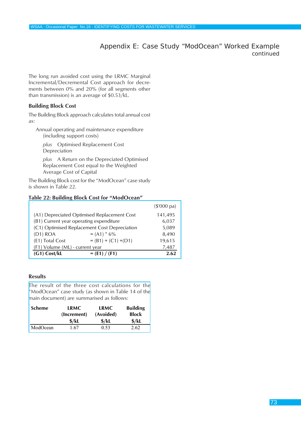Appendix E: Case Study "ModOcean" Worked Example *continued*

The long run avoided cost using the LRMC Marginal Incremental/Decremental Cost approach for decrements between 0% and 20% (for all segments other than transmission) is an average of \$0.53/kL.

#### **Building Block Cost**

The Building Block approach calculates total annual cost as:

Annual operating and maintenance expenditure (including support costs)

*plus* Optimised Replacement Cost Depreciation

*plus* A Return on the Depreciated Optimised Replacement Cost equal to the Weighted Average Cost of Capital

The Building Block cost for the "ModOcean" case study is shown in Table 22.

#### **Table 22: Building Block Cost for "ModOcean"**

|                                              |                        | $(\$'000$ pa) |
|----------------------------------------------|------------------------|---------------|
| (A1) Depreciated Optimised Replacement Cost  |                        | 141,495       |
| (B1) Current year operating expenditure      |                        | 6,037         |
| (C1) Optimised Replacement Cost Depreciation |                        | 5,089         |
| $(D1)$ ROA                                   | $= (A1) * 6\%$         | 8,490         |
| (E1) Total Cost                              | $= (B1) + (C1) + (D1)$ | 19,615        |
| (F1) Volume (ML) - current year              |                        | 7,487         |
| $(G1)$ Cost/kL                               | $= (E1) / (F1)$        | 2.62          |

#### **Results**

The result of the three cost calculations for the "ModOcean" case study (as shown in Table 14 of the main document) are summarised as follows:

| <b>Scheme</b> | <b>LRMC</b> | <b>LRMC</b>       | <b>Building</b>   |
|---------------|-------------|-------------------|-------------------|
|               | (Increment) | (Avoided)         | <b>Block</b>      |
|               | \$/kl       | $\frac{1}{2}$ /kL | $\frac{1}{2}$ /kL |
| ModOcean      | - 67        | 0.53              | 2.62              |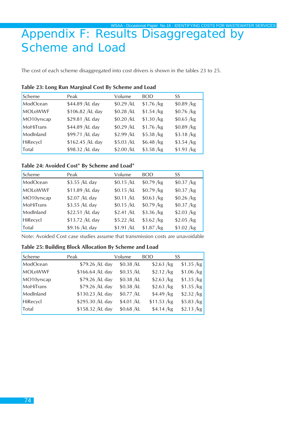# Appendix F: Results Disaggregated by Scheme and Load

The cost of each scheme disaggregated into cost drivers is shown in the tables 23 to 25.

#### **Table 23: Long Run Marginal Cost By Scheme and Load**

| Scheme         | Peak             | Volume      | <b>BOD</b>  | SS          |
|----------------|------------------|-------------|-------------|-------------|
| ModOcean       | \$44.89 /kL day  | \$0.29 / kL | \$1.76 / kg | $$0.89$ /kg |
| <b>MOLoWWF</b> | \$106.82 /kL day | \$0.28 / kL | \$1.54 / kg | $$0.76$ /kg |
| MO10yrscap     | \$29.81 /kL day  | \$0.20 / kL | \$1.30 / kg | $$0.65$ /kg |
| MoHiTrans      | \$44.89 /kL day  | \$0.29 / kL | \$1.76 / kg | $$0.89$ /kg |
| ModInland      | \$99.71 /kL day  | \$2.99 /kL  | $$5.38$ /kg | $$3.18$ /kg |
| HiRecycl       | \$162.45 /kL day | \$5.03 / kL | $$6.48$ /kg | \$3.54 / kg |
| Total          | \$98.32 /kL day  | \$2.00 / kL | $$3.58$ /kg | \$1.93 / kg |

#### **Table 24: Avoided Cost\* By Scheme and Load\***

| Scheme         | Peak            | Volume      | <b>BOD</b>  | SS          |
|----------------|-----------------|-------------|-------------|-------------|
| ModOcean       | \$3.55 /kL day  | \$0.15 / kL | $$0.79$ /kg | $$0.37$ /kg |
| <b>MOLOWWF</b> | \$11.89 /kL day | \$0.15 / kL | $$0.79$ /kg | $$0.37$ /kg |
| MO10yrscap     | \$2.07 /kL day  | \$0.11 / kL | \$0.63 / kg | $$0.26$ /kg |
| MoHiTrans      | \$3.55 /kL day  | \$0.15 / kL | $$0.79$ /kg | \$0.37/kg   |
| ModInland      | \$22.51 /kL day | \$2.41 / kL | \$3.36 / kg | \$2.03 / kg |
| HiRecycl       | \$13.72 /kL day | \$5.22 / kL | \$3.62 / kg | $$2.05$ /kg |
| Total          | \$9.16 /kL day  | \$1.91 / kL | \$1.87 / kg | \$1.02 / kg |

Note: Avoided Cost case studies assume that transmission costs are unavoidable

#### **Table 25: Building Block Allocation By Scheme and Load**

| Scheme         | Peak             | Volume      | <b>BOD</b>   | SS          |
|----------------|------------------|-------------|--------------|-------------|
| ModOcean       | \$79.26 /kL day  | \$0.38 / kL | $$2.63$ /kg  | \$1.35 / kg |
| <b>MOLoWWF</b> | \$166.64 /kL day | \$0.35 / kL | \$2.12 / kg  | \$1.06 / kg |
| MO10yrscap     | \$79.26 /kL day  | \$0.38 / kL | \$2.63 / kg  | \$1.35 / kg |
| MoHiTrans      | \$79.26 /kL day  | \$0.38 / kL | \$2.63 / kg  | \$1.35 / kg |
| ModInland      | \$130.23 /kL day | \$0.77 /kL  | $$4.49$ /kg  | \$2.32 / kg |
| HiRecycl       | \$295.30 /kL day | \$4.01 /kL  | \$11.53 / kg | \$5.83 / kg |
| Total          | \$158.32 /kL day | \$0.68 / kL | $$4.14$ /kg  | \$2.13 / kg |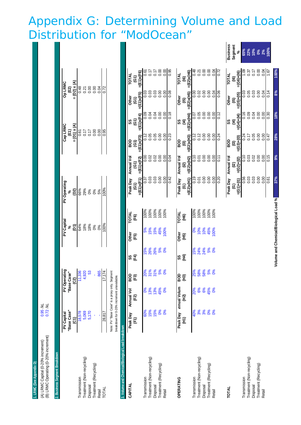## Appendix G: Determining Volume and Load Distribution for "ModOcean"  $\frac{1}{2}$   $\frac{1}{2}$

| 1. LRMC (See Appendix D)                                                                 |                                                          |                                                                                             |                                     |            |                                         |                                       |                                                  |                                                      |                                             |                                     |                                         |                                               |                                                 |
|------------------------------------------------------------------------------------------|----------------------------------------------------------|---------------------------------------------------------------------------------------------|-------------------------------------|------------|-----------------------------------------|---------------------------------------|--------------------------------------------------|------------------------------------------------------|---------------------------------------------|-------------------------------------|-----------------------------------------|-----------------------------------------------|-------------------------------------------------|
| (B) LRMC Operating (0-20% increment)<br>(A) LRMC Capital (0-20% increment)               | $0.95$ /kL<br>$0.72$ /kL                                 |                                                                                             |                                     |            |                                         |                                       |                                                  |                                                      |                                             |                                     |                                         |                                               |                                                 |
| 2. Business Segment Breakdown                                                            |                                                          |                                                                                             |                                     |            |                                         |                                       |                                                  |                                                      |                                             |                                     |                                         |                                               |                                                 |
|                                                                                          | "Base Case"<br><b>PV Capital</b><br>$\widehat{\epsilon}$ |                                                                                             | PV Operating<br>"Base Case"<br>(C2) |            | <b>PV Capital</b><br>$\widehat{E}$<br>ಽ |                                       | PV Operating<br>$\overline{2}$                   |                                                      | $=(D1)x(A)$<br><b>Cap LRMC</b><br>້ພິ       |                                     | $=(D2) \times (A)$<br>Op LRMC<br>ຼີເຊິງ |                                               |                                                 |
| Treatment (Non-recycling)<br>Treatment (Recycling)<br>Transmission<br>Disposal<br>Retail | 18,578<br>5,069<br>5,170                                 |                                                                                             | 11,336<br>4,920<br><b>c</b><br>865  |            | 64%<br>18%<br>18%<br>0%<br>$\delta$     |                                       | 66%<br>29%<br>0%<br>0%<br>5%                     |                                                      | 0.00<br>0.00<br>0.17<br>0.17<br>0.61        |                                     | 0.00<br>0.00<br>0.21<br>0.21<br>0.04    |                                               |                                                 |
| TOTAL                                                                                    | 28,817                                                   | Note: PV "Base Case" is a proxy only. Segment<br>breakdown for 0-20% increment unavailable. | $\frac{17.174}{17.174}$             |            | 100%                                    |                                       | 100%                                             |                                                      | 0.95                                        |                                     | 0.72                                    |                                               |                                                 |
| 3. Volume and Chemical/Biological Load breakdown                                         |                                                          |                                                                                             |                                     |            |                                         |                                       |                                                  |                                                      |                                             |                                     |                                         |                                               |                                                 |
| CAPITAL                                                                                  | Peak Day<br>$\widehat{E}$                                | Annual Vol<br>Œ)                                                                            | န္တြ<br>$\widehat{E}$               | 匡<br>SS    | Other<br>$\overline{F}$ 5)              | <b>LOTAL</b><br>(F6)                  | $=(E1)x(F1)$<br>Peak Day<br>ତି<br>ଓ              | Annual Vol<br>$=(E1)x(F2)$<br>$\widehat{5}$          | $=(E1)x(F3)$<br><b>GOB</b><br>$\widehat{5}$ | $=(E1)x(F4)$<br>$\widehat{G}$<br>SS | $=(E1)x(F5)$<br>Other<br>$\widehat{c}$  | $=(E1)x(F6)$<br><b>LOTAL</b><br>$\widehat{5}$ |                                                 |
| Transmission                                                                             | 60%                                                      | క                                                                                           |                                     | 15%        | 5%                                      | 100%<br>100%                          | 0.37                                             | 80<br>0.0                                            | 0.12                                        | 80.O                                | 0.03                                    | 0.61                                          |                                                 |
| Treatment (Non-recycling)<br>Disposal                                                    | 15%<br>15%                                               | 13%<br>13%                                                                                  | 20% % % %                           | <b>26%</b> | 15%<br>15%                              | 100%                                  | 0.03<br>0.03                                     | 0.02<br>0.02                                         | 0.05<br>0.05                                | 0.04<br>0.04                        | 0.03<br>0.03                            | 0.17<br>0.17                                  |                                                 |
| Treatment (Recycling)                                                                    | 0%                                                       | 45%                                                                                         |                                     | 5%         | 45%                                     | 100%                                  | 0.00                                             | 0.00                                                 | 0.00                                        | 0.00                                | 0.00                                    | 0.00                                          |                                                 |
| Retail                                                                                   | 0%                                                       | $\infty$                                                                                    |                                     | 0%         | 100%                                    | 100%                                  | 0.00                                             | 0.00                                                 | 0.00                                        | 0.00                                | 0.00                                    | 0.00                                          |                                                 |
|                                                                                          |                                                          |                                                                                             |                                     |            |                                         |                                       | 0.42                                             | 0.04                                                 | 0.23                                        | 0.18                                | 0.08                                    | <b>GG</b> <sup>-0</sup>                       |                                                 |
| <b>OPERATING</b>                                                                         | Peak Day<br>Э<br>Э                                       | mnual Volum<br>$\widetilde{E}$                                                              | aoa<br>(Н3)                         | (H4)<br>SS | Other<br>$\widetilde{E}$                | <b>TOTAL</b><br>$\widehat{E}$         | $=(E2)x(H1)$<br>Peak Day<br>Ξ                    | $=(E2)x(H2)$<br>Annual Vol<br>වූ                     | $=(E2)x(H3)$<br>aoa<br>මූ                   | $=(E2)x(H4)$<br>$\mathbf{f}$<br>SS  | $=(E2)x(H5)$<br>Other<br>මු             | $=(E2)x(H6)$<br><b>TOTAL</b><br><u>၉</u>      |                                                 |
| Transmission                                                                             | 40%                                                      | 20%                                                                                         |                                     |            |                                         |                                       | 0.19                                             | 0.10                                                 | 0.12                                        | 0.07                                | 0.00                                    | 0.48                                          |                                                 |
| Treatment (Non-recycling)                                                                | 3%                                                       | 8%                                                                                          | 25%<br>58%<br>58%                   | 15%<br>24% | <b>8%</b><br>10%                        | 100%<br>100%                          | 0.01                                             | 0.01                                                 | 0.12                                        | 0.05                                | 0.02                                    | 0.21                                          |                                                 |
| Treatment (Recycling)<br>Disposal                                                        | 3%                                                       | 6%<br>45%                                                                                   |                                     | 24%<br>5%  | 10%<br>45%                              | 100%<br>100%                          | 0.00<br>0.00                                     | 0.00<br>0.00                                         | 0.00<br>0.00                                | 0.00<br>0.00                        | 0.00<br>0.00                            | 0.00<br>0.00                                  |                                                 |
| Retail                                                                                   | 0%                                                       | $\infty$                                                                                    | <b>5%</b>                           | <b>O%</b>  | 100%                                    | 100%                                  | 0.00                                             | 0.00                                                 | 0.00                                        | 0.00                                | 0.04                                    |                                               |                                                 |
|                                                                                          |                                                          |                                                                                             |                                     |            |                                         |                                       | 0.20                                             | $\frac{1}{2}$                                        | 0.24                                        | 0.12                                | 0.06                                    | 0.04                                          |                                                 |
| <b>TOTAL</b>                                                                             |                                                          |                                                                                             |                                     |            |                                         |                                       | $=(G1)+(11)$<br>Peak Day<br>$\widehat{\epsilon}$ | Annual Vol<br>$=(G2)+(12)$<br>$\widehat{\mathbf{z}}$ | $=(63)+(13)$<br><b>GOB</b><br>මූ            | $=(G4)+(14)$<br>$\mathbf{f}$<br>SS  | $=(G5)+(15)$<br>Other<br>$\widehat{5}$  | $=(66)+(16)$<br><b>TOTAL</b><br>ම             | <b>Business</b><br>Segment<br>$\mathscr{E}_{6}$ |
| Transmission                                                                             |                                                          |                                                                                             |                                     |            |                                         |                                       | 0.56                                             | 0.10                                                 | 0.24                                        | 0.16                                | 0.03                                    | 1.09                                          | 65%                                             |
| Treatment (Non-recycling)                                                                |                                                          |                                                                                             |                                     |            |                                         |                                       | 0.03                                             | 0.03                                                 | 0.17                                        | 0.09                                | 0.05                                    | 0.37                                          | 22%                                             |
| Treatment (Recycling)<br>Disposal                                                        |                                                          |                                                                                             |                                     |            |                                         |                                       | 0.03<br>0.00                                     | 0.02<br>0.00                                         | 0.05<br>0.00                                | 0.00<br>0.04                        | 0.03<br>0.00                            | 0.00<br>0.17                                  | 10%<br>$0\%$                                    |
| Retail                                                                                   |                                                          |                                                                                             |                                     |            |                                         |                                       | 0.00                                             | 0.00                                                 | 0.00                                        | 0.00                                | 0.04                                    | 0.04                                          | 2%                                              |
|                                                                                          |                                                          |                                                                                             |                                     |            |                                         |                                       | 0.61                                             | 0.15                                                 | 0.47                                        | 0.30                                | 0.14                                    | 1.67                                          | 100%                                            |
|                                                                                          |                                                          |                                                                                             |                                     |            |                                         | Volume and Chemical/Biological Load % | 37%                                              | 9%                                                   | 28%                                         | 18%                                 | 8%                                      | 100%                                          |                                                 |